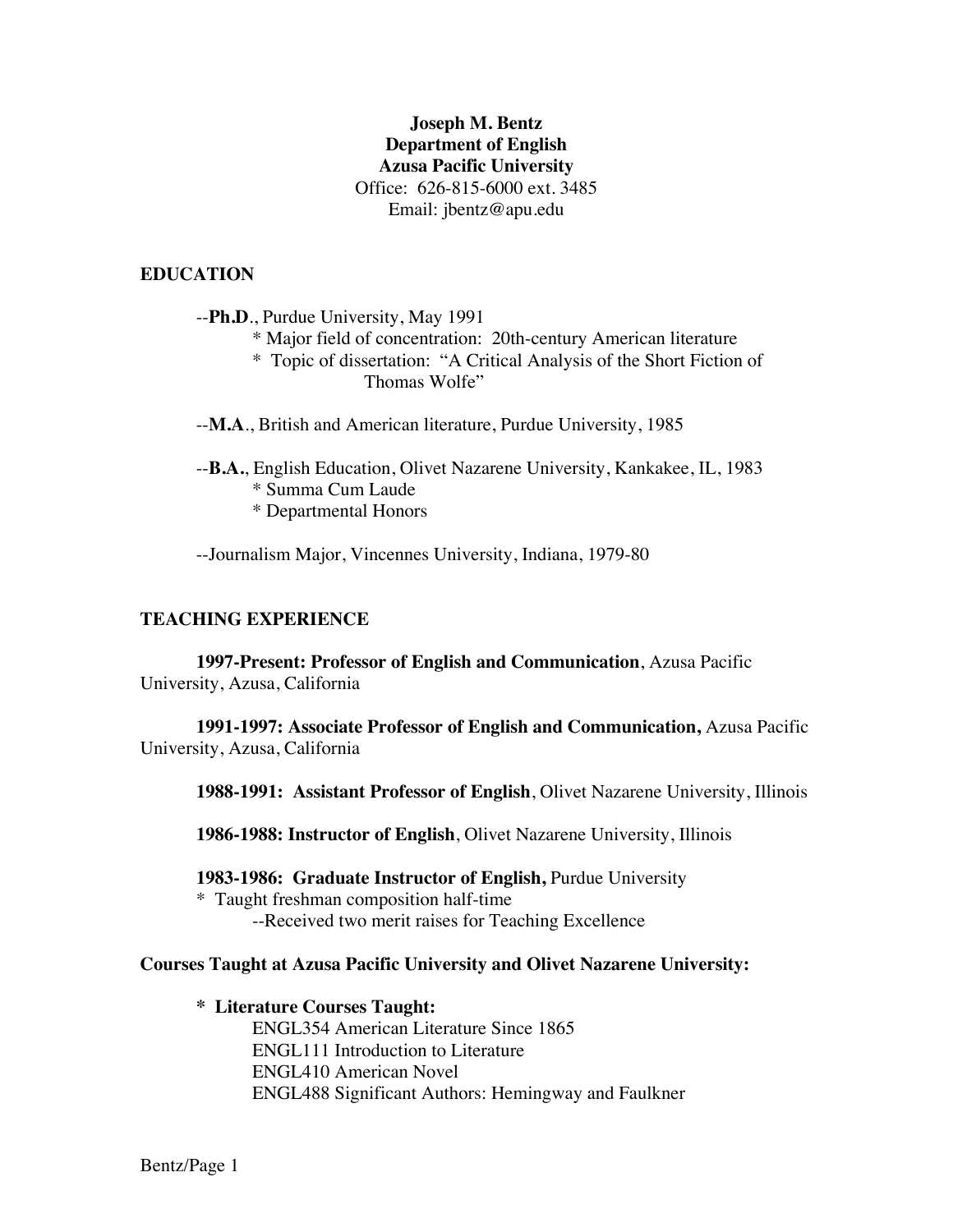# **Joseph M. Bentz Department of English Azusa Pacific University** Office: 626-815-6000 ext. 3485 Email: jbentz@apu.edu

## **EDUCATION**

--**Ph.D**., Purdue University, May 1991 \* Major field of concentration: 20th-century American literature \* Topic of dissertation: "A Critical Analysis of the Short Fiction of

Thomas Wolfe"

--**M.A**., British and American literature, Purdue University, 1985

--**B.A.**, English Education, Olivet Nazarene University, Kankakee, IL, 1983 \* Summa Cum Laude \* Departmental Honors

--Journalism Major, Vincennes University, Indiana, 1979-80

#### **TEACHING EXPERIENCE**

**1997-Present: Professor of English and Communication**, Azusa Pacific University, Azusa, California

**1991-1997: Associate Professor of English and Communication,** Azusa Pacific University, Azusa, California

**1988-1991: Assistant Professor of English**, Olivet Nazarene University, Illinois

**1986-1988: Instructor of English**, Olivet Nazarene University, Illinois

**1983-1986: Graduate Instructor of English,** Purdue University

\* Taught freshman composition half-time --Received two merit raises for Teaching Excellence

**Courses Taught at Azusa Pacific University and Olivet Nazarene University:** 

**\* Literature Courses Taught:**

ENGL354 American Literature Since 1865 ENGL111 Introduction to Literature ENGL410 American Novel ENGL488 Significant Authors: Hemingway and Faulkner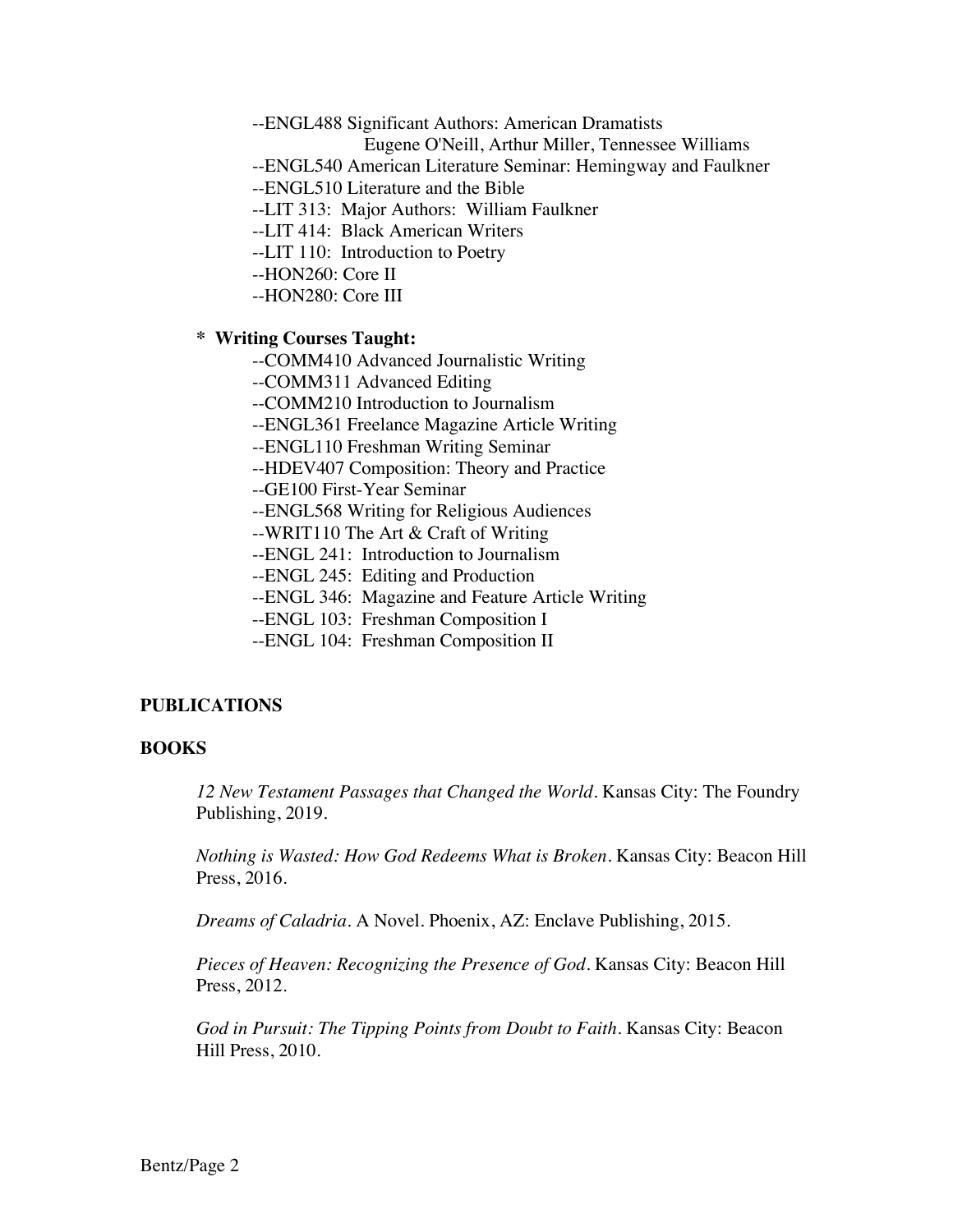--ENGL488 Significant Authors: American Dramatists

Eugene O'Neill, Arthur Miller, Tennessee Williams

- --ENGL540 American Literature Seminar: Hemingway and Faulkner
- --ENGL510 Literature and the Bible
- --LIT 313: Major Authors: William Faulkner
- --LIT 414: Black American Writers
- --LIT 110: Introduction to Poetry
- --HON260: Core II
- --HON280: Core III

### **\* Writing Courses Taught:**

- --COMM410 Advanced Journalistic Writing
- --COMM311 Advanced Editing
- --COMM210 Introduction to Journalism
- --ENGL361 Freelance Magazine Article Writing
- --ENGL110 Freshman Writing Seminar
- --HDEV407 Composition: Theory and Practice
- --GE100 First-Year Seminar
- --ENGL568 Writing for Religious Audiences
- --WRIT110 The Art & Craft of Writing
- --ENGL 241: Introduction to Journalism
- --ENGL 245: Editing and Production
- --ENGL 346: Magazine and Feature Article Writing
- --ENGL 103: Freshman Composition I
- --ENGL 104: Freshman Composition II

### **PUBLICATIONS**

### **BOOKS**

*12 New Testament Passages that Changed the World.* Kansas City: The Foundry Publishing, 2019.

*Nothing is Wasted: How God Redeems What is Broken.* Kansas City: Beacon Hill Press, 2016.

*Dreams of Caladria.* A Novel. Phoenix, AZ: Enclave Publishing, 2015.

*Pieces of Heaven: Recognizing the Presence of God.* Kansas City: Beacon Hill Press, 2012.

*God in Pursuit: The Tipping Points from Doubt to Faith.* Kansas City: Beacon Hill Press, 2010.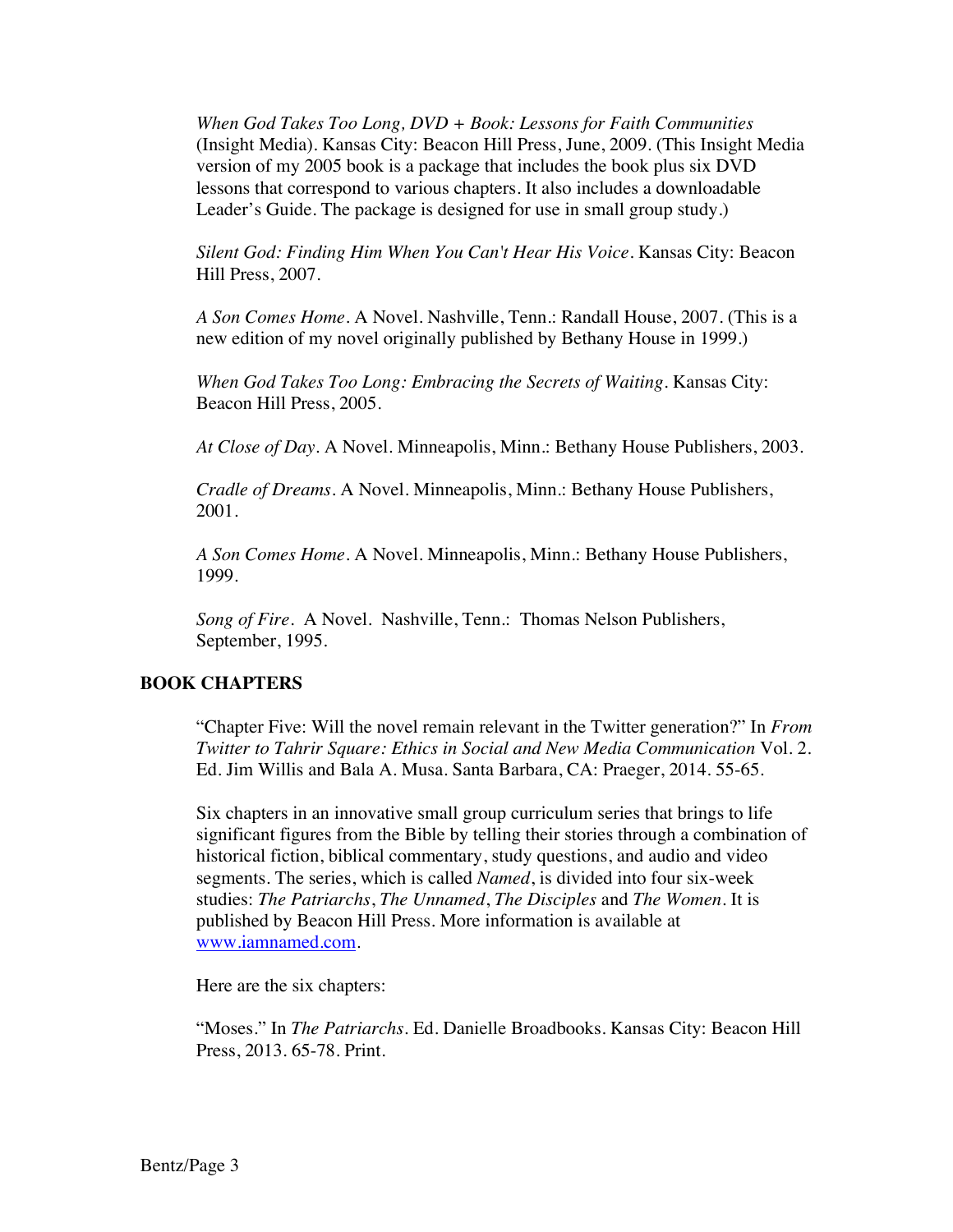*When God Takes Too Long, DVD + Book: Lessons for Faith Communities* (Insight Media). Kansas City: Beacon Hill Press, June, 2009. (This Insight Media version of my 2005 book is a package that includes the book plus six DVD lessons that correspond to various chapters. It also includes a downloadable Leader's Guide. The package is designed for use in small group study.)

*Silent God: Finding Him When You Can't Hear His Voice*. Kansas City: Beacon Hill Press, 2007.

*A Son Comes Home*. A Novel. Nashville, Tenn.: Randall House, 2007. (This is a new edition of my novel originally published by Bethany House in 1999.)

*When God Takes Too Long: Embracing the Secrets of Waiting*. Kansas City: Beacon Hill Press, 2005.

*At Close of Day.* A Novel. Minneapolis, Minn.: Bethany House Publishers, 2003.

*Cradle of Dreams*. A Novel. Minneapolis, Minn.: Bethany House Publishers, 2001.

*A Son Comes Home*. A Novel. Minneapolis, Minn.: Bethany House Publishers, 1999.

*Song of Fire*. A Novel. Nashville, Tenn.: Thomas Nelson Publishers, September, 1995.

### **BOOK CHAPTERS**

"Chapter Five: Will the novel remain relevant in the Twitter generation?" In *From Twitter to Tahrir Square: Ethics in Social and New Media Communication* Vol. 2. Ed. Jim Willis and Bala A. Musa. Santa Barbara, CA: Praeger, 2014. 55-65.

Six chapters in an innovative small group curriculum series that brings to life significant figures from the Bible by telling their stories through a combination of historical fiction, biblical commentary, study questions, and audio and video segments. The series, which is called *Named*, is divided into four six-week studies: *The Patriarchs*, *The Unnamed*, *The Disciples* and *The Women*. It is published by Beacon Hill Press. More information is available at www.iamnamed.com.

Here are the six chapters:

"Moses." In *The Patriarchs*. Ed. Danielle Broadbooks. Kansas City: Beacon Hill Press, 2013. 65-78. Print.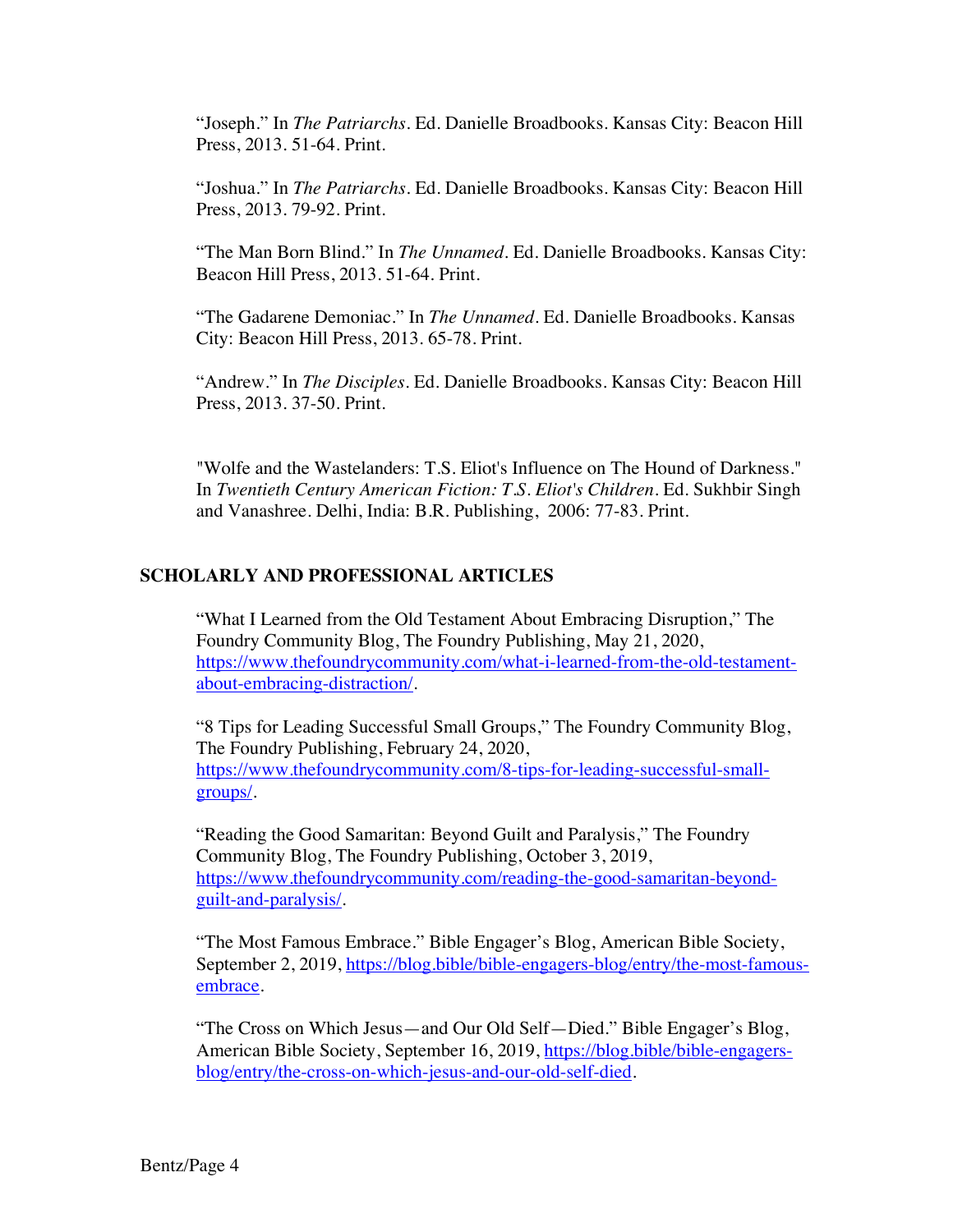"Joseph." In *The Patriarchs*. Ed. Danielle Broadbooks. Kansas City: Beacon Hill Press, 2013. 51-64. Print.

"Joshua." In *The Patriarchs*. Ed. Danielle Broadbooks. Kansas City: Beacon Hill Press, 2013. 79-92. Print.

"The Man Born Blind." In *The Unnamed*. Ed. Danielle Broadbooks. Kansas City: Beacon Hill Press, 2013. 51-64. Print.

"The Gadarene Demoniac." In *The Unnamed*. Ed. Danielle Broadbooks. Kansas City: Beacon Hill Press, 2013. 65-78. Print.

"Andrew." In *The Disciples*. Ed. Danielle Broadbooks. Kansas City: Beacon Hill Press, 2013. 37-50. Print.

"Wolfe and the Wastelanders: T.S. Eliot's Influence on The Hound of Darkness." In *Twentieth Century American Fiction: T.S. Eliot's Children*. Ed. Sukhbir Singh and Vanashree. Delhi, India: B.R. Publishing, 2006: 77-83. Print.

## **SCHOLARLY AND PROFESSIONAL ARTICLES**

"What I Learned from the Old Testament About Embracing Disruption," The Foundry Community Blog, The Foundry Publishing, May 21, 2020, https://www.thefoundrycommunity.com/what-i-learned-from-the-old-testamentabout-embracing-distraction/.

"8 Tips for Leading Successful Small Groups," The Foundry Community Blog, The Foundry Publishing, February 24, 2020, https://www.thefoundrycommunity.com/8-tips-for-leading-successful-smallgroups/.

"Reading the Good Samaritan: Beyond Guilt and Paralysis," The Foundry Community Blog, The Foundry Publishing, October 3, 2019, https://www.thefoundrycommunity.com/reading-the-good-samaritan-beyondguilt-and-paralysis/.

"The Most Famous Embrace." Bible Engager's Blog, American Bible Society, September 2, 2019, https://blog.bible/bible-engagers-blog/entry/the-most-famousembrace.

"The Cross on Which Jesus—and Our Old Self—Died." Bible Engager's Blog, American Bible Society, September 16, 2019, https://blog.bible/bible-engagersblog/entry/the-cross-on-which-jesus-and-our-old-self-died.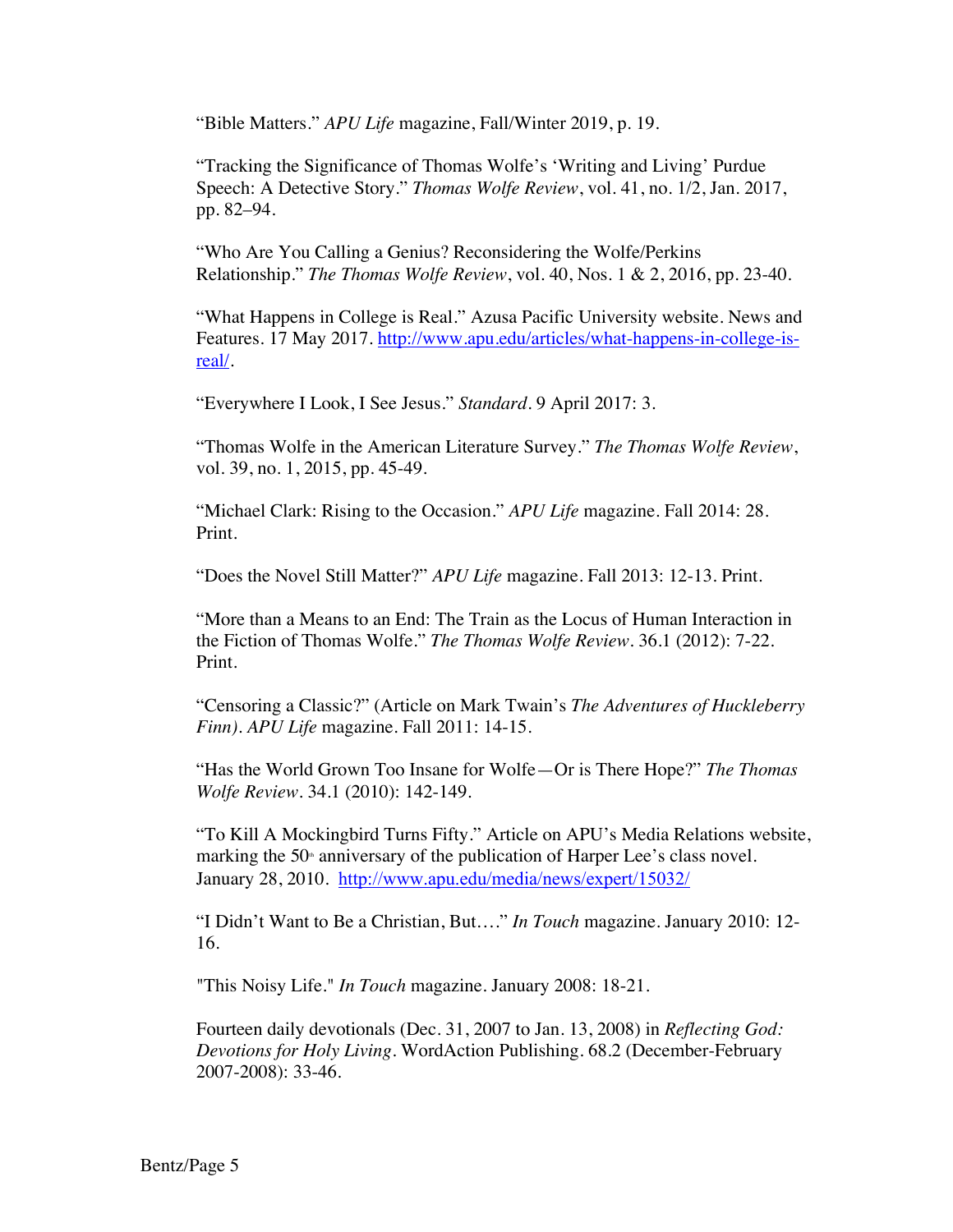"Bible Matters." *APU Life* magazine, Fall/Winter 2019, p. 19.

"Tracking the Significance of Thomas Wolfe's 'Writing and Living' Purdue Speech: A Detective Story." *Thomas Wolfe Review*, vol. 41, no. 1/2, Jan. 2017, pp. 82–94.

"Who Are You Calling a Genius? Reconsidering the Wolfe/Perkins Relationship." *The Thomas Wolfe Review*, vol. 40, Nos. 1 & 2, 2016, pp. 23-40.

"What Happens in College is Real." Azusa Pacific University website. News and Features. 17 May 2017. http://www.apu.edu/articles/what-happens-in-college-isreal/.

"Everywhere I Look, I See Jesus." *Standard*. 9 April 2017: 3.

"Thomas Wolfe in the American Literature Survey." *The Thomas Wolfe Review*, vol. 39, no. 1, 2015, pp. 45-49.

"Michael Clark: Rising to the Occasion." *APU Life* magazine. Fall 2014: 28. Print.

"Does the Novel Still Matter?" *APU Life* magazine. Fall 2013: 12-13. Print.

"More than a Means to an End: The Train as the Locus of Human Interaction in the Fiction of Thomas Wolfe." *The Thomas Wolfe Review*. 36.1 (2012): 7-22. Print.

"Censoring a Classic?" (Article on Mark Twain's *The Adventures of Huckleberry Finn)*. *APU Life* magazine. Fall 2011: 14-15.

"Has the World Grown Too Insane for Wolfe—Or is There Hope?" *The Thomas Wolfe Review*. 34.1 (2010): 142-149.

"To Kill A Mockingbird Turns Fifty." Article on APU's Media Relations website, marking the 50<sup>th</sup> anniversary of the publication of Harper Lee's class novel. January 28, 2010. http://www.apu.edu/media/news/expert/15032/

"I Didn't Want to Be a Christian, But…." *In Touch* magazine. January 2010: 12- 16.

"This Noisy Life." *In Touch* magazine. January 2008: 18-21.

Fourteen daily devotionals (Dec. 31, 2007 to Jan. 13, 2008) in *Reflecting God: Devotions for Holy Living*. WordAction Publishing. 68.2 (December-February 2007-2008): 33-46.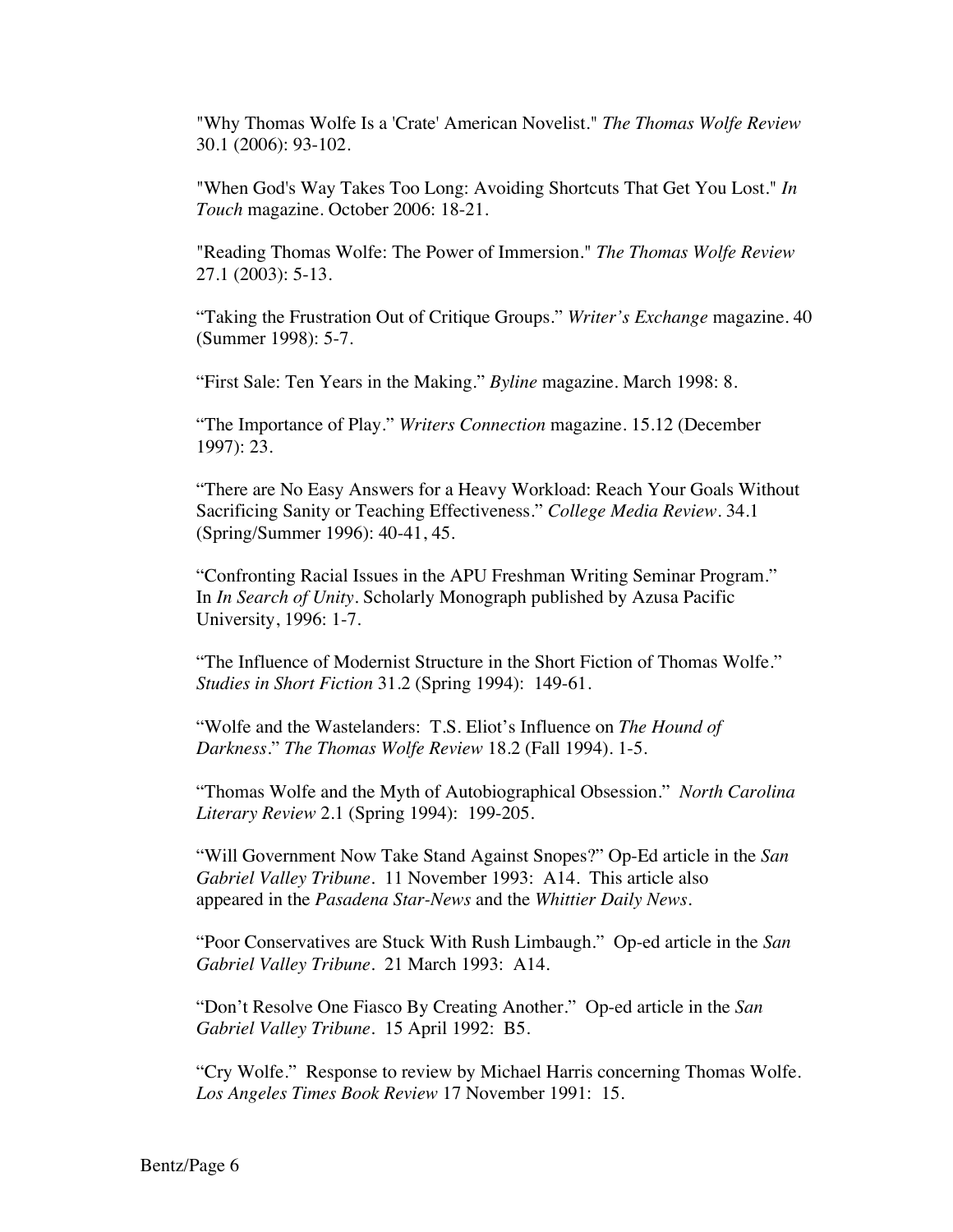"Why Thomas Wolfe Is a 'Crate' American Novelist." *The Thomas Wolfe Review* 30.1 (2006): 93-102.

"When God's Way Takes Too Long: Avoiding Shortcuts That Get You Lost." *In Touch* magazine. October 2006: 18-21.

"Reading Thomas Wolfe: The Power of Immersion." *The Thomas Wolfe Review* 27.1 (2003): 5-13.

"Taking the Frustration Out of Critique Groups." *Writer's Exchange* magazine. 40 (Summer 1998): 5-7.

"First Sale: Ten Years in the Making." *Byline* magazine. March 1998: 8.

"The Importance of Play." *Writers Connection* magazine. 15.12 (December 1997): 23.

"There are No Easy Answers for a Heavy Workload: Reach Your Goals Without Sacrificing Sanity or Teaching Effectiveness." *College Media Review*. 34.1 (Spring/Summer 1996): 40-41, 45.

"Confronting Racial Issues in the APU Freshman Writing Seminar Program." In *In Search of Unity*. Scholarly Monograph published by Azusa Pacific University, 1996: 1-7.

"The Influence of Modernist Structure in the Short Fiction of Thomas Wolfe." *Studies in Short Fiction* 31.2 (Spring 1994): 149-61.

"Wolfe and the Wastelanders: T.S. Eliot's Influence on *The Hound of Darkness*." *The Thomas Wolfe Review* 18.2 (Fall 1994). 1-5.

"Thomas Wolfe and the Myth of Autobiographical Obsession." *North Carolina Literary Review* 2.1 (Spring 1994): 199-205.

"Will Government Now Take Stand Against Snopes?" Op-Ed article in the *San Gabriel Valley Tribune*. 11 November 1993: A14. This article also appeared in the *Pasadena Star-News* and the *Whittier Daily News.*

"Poor Conservatives are Stuck With Rush Limbaugh." Op-ed article in the *San Gabriel Valley Tribune*. 21 March 1993: A14.

"Don't Resolve One Fiasco By Creating Another." Op-ed article in the *San Gabriel Valley Tribune*. 15 April 1992: B5.

"Cry Wolfe." Response to review by Michael Harris concerning Thomas Wolfe. *Los Angeles Times Book Review* 17 November 1991: 15.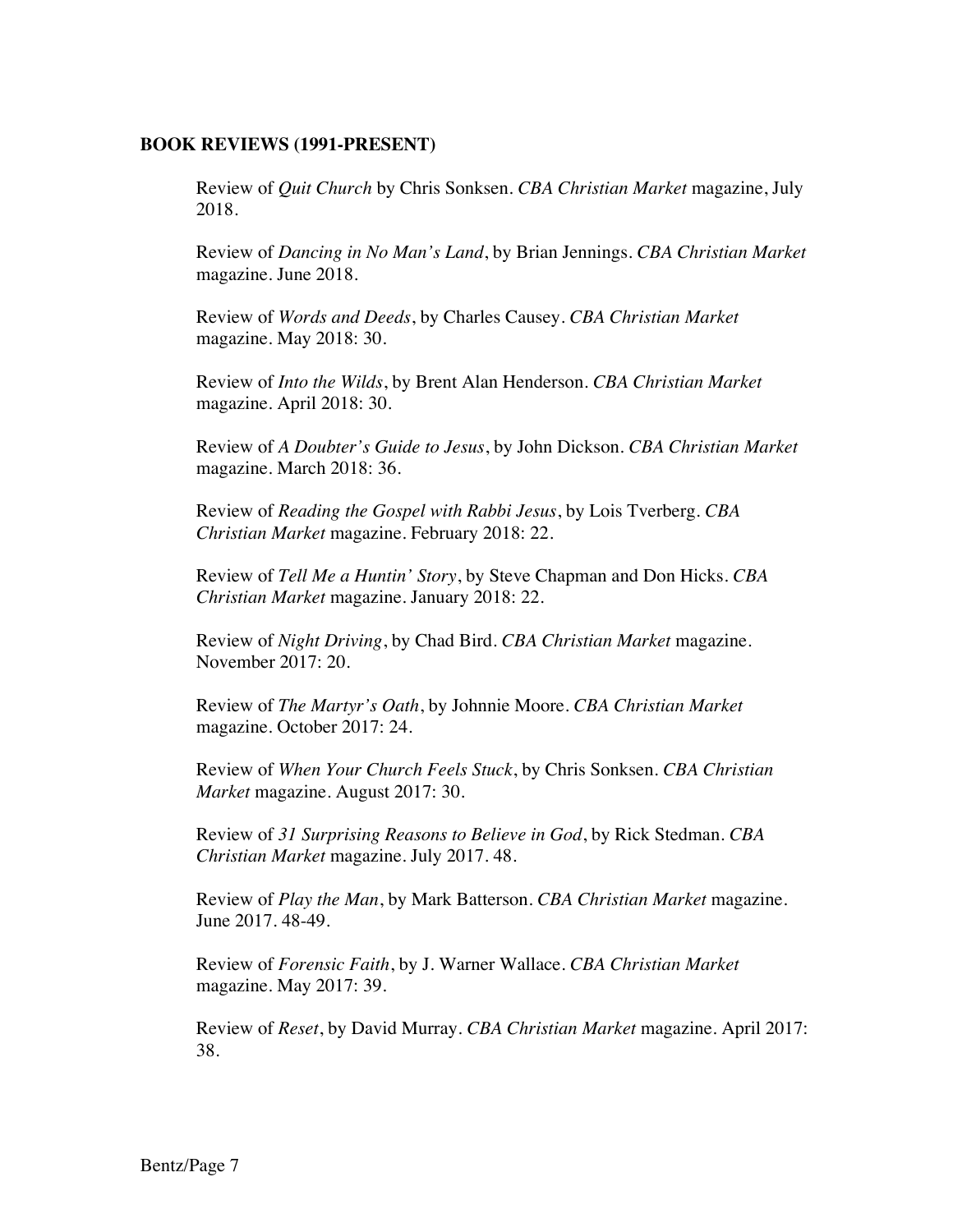### **BOOK REVIEWS (1991-PRESENT)**

Review of *Quit Church* by Chris Sonksen. *CBA Christian Market* magazine, July 2018.

Review of *Dancing in No Man's Land*, by Brian Jennings. *CBA Christian Market* magazine. June 2018.

Review of *Words and Deeds*, by Charles Causey. *CBA Christian Market* magazine. May 2018: 30.

Review of *Into the Wilds*, by Brent Alan Henderson. *CBA Christian Market* magazine. April 2018: 30.

Review of *A Doubter's Guide to Jesus*, by John Dickson. *CBA Christian Market* magazine. March 2018: 36.

Review of *Reading the Gospel with Rabbi Jesus*, by Lois Tverberg. *CBA Christian Market* magazine. February 2018: 22.

Review of *Tell Me a Huntin' Story*, by Steve Chapman and Don Hicks. *CBA Christian Market* magazine. January 2018: 22.

Review of *Night Driving*, by Chad Bird. *CBA Christian Market* magazine. November 2017: 20.

Review of *The Martyr's Oath*, by Johnnie Moore. *CBA Christian Market* magazine. October 2017: 24.

Review of *When Your Church Feels Stuck*, by Chris Sonksen. *CBA Christian Market* magazine. August 2017: 30.

Review of *31 Surprising Reasons to Believe in God*, by Rick Stedman. *CBA Christian Market* magazine. July 2017. 48.

Review of *Play the Man*, by Mark Batterson. *CBA Christian Market* magazine. June 2017. 48-49.

Review of *Forensic Faith*, by J. Warner Wallace. *CBA Christian Market* magazine. May 2017: 39.

Review of *Reset*, by David Murray. *CBA Christian Market* magazine. April 2017: 38.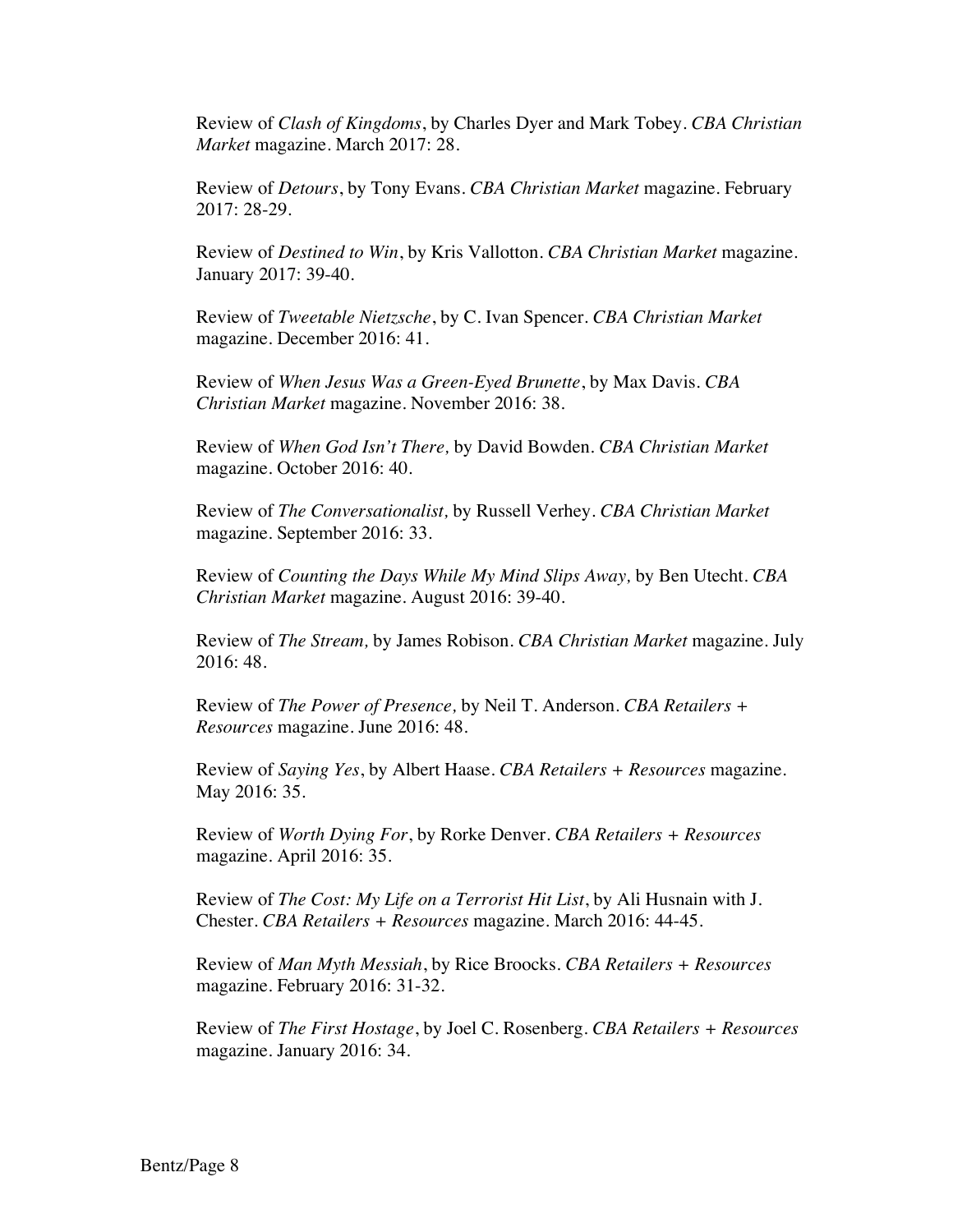Review of *Clash of Kingdoms*, by Charles Dyer and Mark Tobey. *CBA Christian Market* magazine. March 2017: 28.

Review of *Detours*, by Tony Evans. *CBA Christian Market* magazine. February 2017: 28-29.

Review of *Destined to Win*, by Kris Vallotton. *CBA Christian Market* magazine. January 2017: 39-40.

Review of *Tweetable Nietzsche*, by C. Ivan Spencer. *CBA Christian Market* magazine. December 2016: 41.

Review of *When Jesus Was a Green-Eyed Brunette*, by Max Davis. *CBA Christian Market* magazine. November 2016: 38.

Review of *When God Isn't There,* by David Bowden. *CBA Christian Market* magazine. October 2016: 40.

Review of *The Conversationalist,* by Russell Verhey. *CBA Christian Market* magazine. September 2016: 33.

Review of *Counting the Days While My Mind Slips Away,* by Ben Utecht. *CBA Christian Market* magazine. August 2016: 39-40.

Review of *The Stream,* by James Robison. *CBA Christian Market* magazine. July 2016: 48.

Review of *The Power of Presence,* by Neil T. Anderson. *CBA Retailers + Resources* magazine. June 2016: 48.

Review of *Saying Yes*, by Albert Haase. *CBA Retailers + Resources* magazine. May 2016: 35.

Review of *Worth Dying For*, by Rorke Denver. *CBA Retailers + Resources* magazine. April 2016: 35.

Review of *The Cost: My Life on a Terrorist Hit List*, by Ali Husnain with J. Chester. *CBA Retailers + Resources* magazine. March 2016: 44-45.

Review of *Man Myth Messiah*, by Rice Broocks. *CBA Retailers + Resources* magazine. February 2016: 31-32.

Review of *The First Hostage*, by Joel C. Rosenberg. *CBA Retailers + Resources* magazine. January 2016: 34.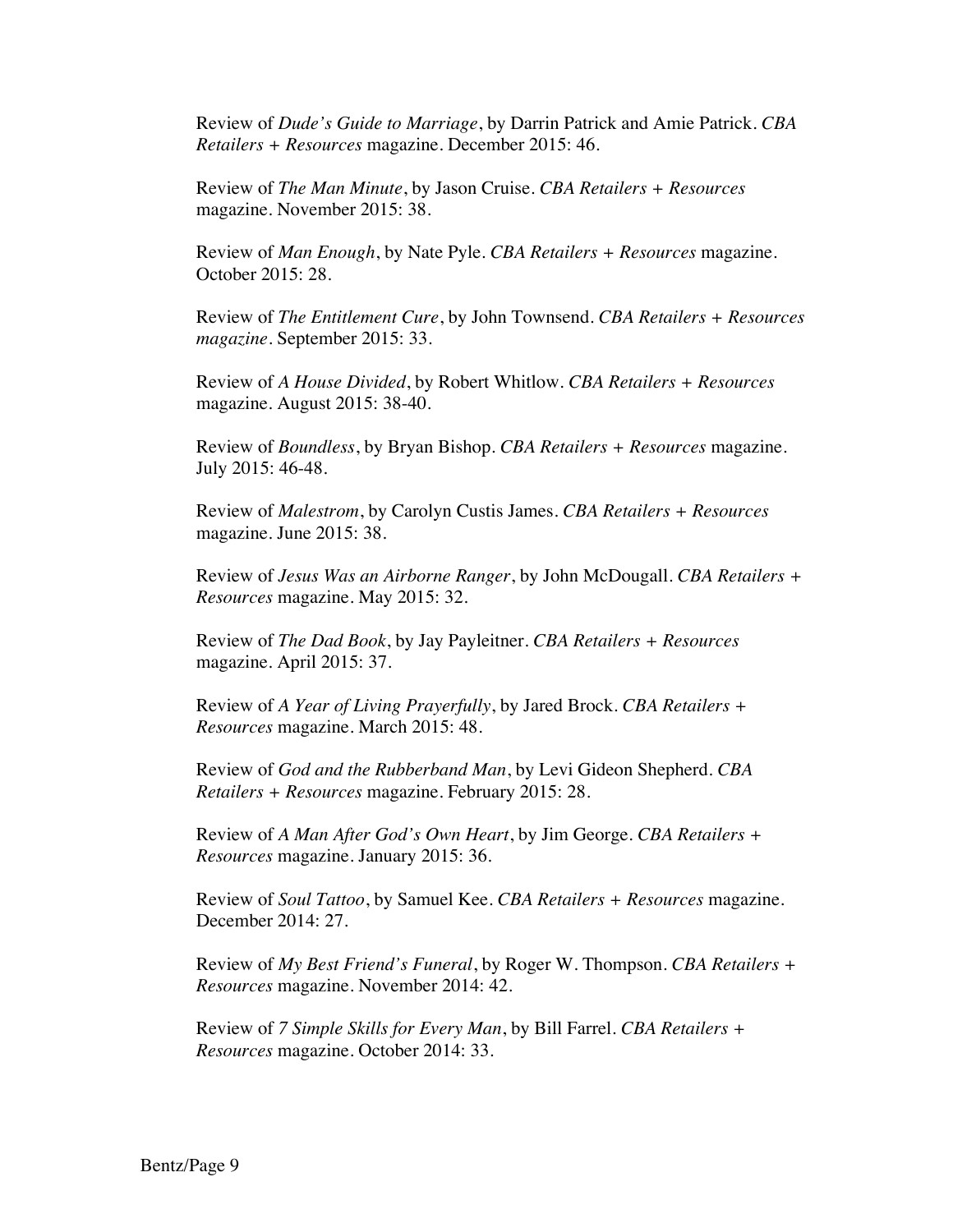Review of *Dude's Guide to Marriage*, by Darrin Patrick and Amie Patrick. *CBA Retailers + Resources* magazine. December 2015: 46.

Review of *The Man Minute*, by Jason Cruise. *CBA Retailers + Resources* magazine. November 2015: 38.

Review of *Man Enough*, by Nate Pyle. *CBA Retailers + Resources* magazine. October 2015: 28.

Review of *The Entitlement Cure*, by John Townsend. *CBA Retailers + Resources magazine*. September 2015: 33.

Review of *A House Divided*, by Robert Whitlow. *CBA Retailers + Resources* magazine. August 2015: 38-40.

Review of *Boundless*, by Bryan Bishop. *CBA Retailers + Resources* magazine. July 2015: 46-48.

Review of *Malestrom*, by Carolyn Custis James. *CBA Retailers + Resources* magazine. June 2015: 38.

Review of *Jesus Was an Airborne Ranger*, by John McDougall. *CBA Retailers + Resources* magazine. May 2015: 32.

Review of *The Dad Book*, by Jay Payleitner. *CBA Retailers + Resources* magazine. April 2015: 37.

Review of *A Year of Living Prayerfully*, by Jared Brock. *CBA Retailers + Resources* magazine. March 2015: 48.

Review of *God and the Rubberband Man*, by Levi Gideon Shepherd. *CBA Retailers + Resources* magazine. February 2015: 28.

Review of *A Man After God's Own Heart*, by Jim George. *CBA Retailers + Resources* magazine. January 2015: 36.

Review of *Soul Tattoo*, by Samuel Kee. *CBA Retailers + Resources* magazine. December 2014: 27.

Review of *My Best Friend's Funeral*, by Roger W. Thompson. *CBA Retailers + Resources* magazine. November 2014: 42.

Review of *7 Simple Skills for Every Man*, by Bill Farrel. *CBA Retailers + Resources* magazine. October 2014: 33.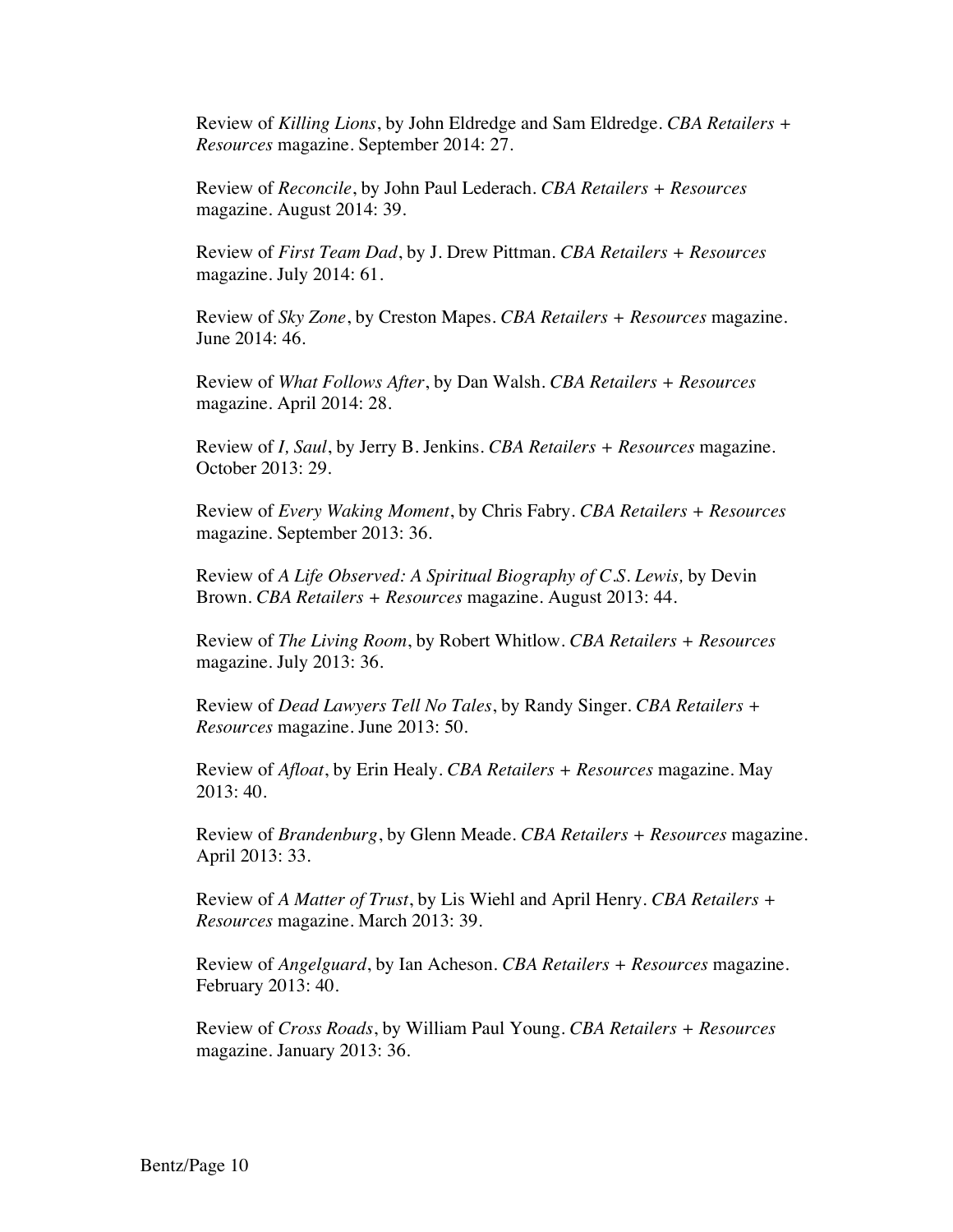Review of *Killing Lions*, by John Eldredge and Sam Eldredge. *CBA Retailers + Resources* magazine. September 2014: 27.

Review of *Reconcile*, by John Paul Lederach. *CBA Retailers + Resources* magazine. August 2014: 39.

Review of *First Team Dad*, by J. Drew Pittman. *CBA Retailers + Resources* magazine. July 2014: 61.

Review of *Sky Zone*, by Creston Mapes. *CBA Retailers + Resources* magazine. June 2014: 46.

Review of *What Follows After*, by Dan Walsh. *CBA Retailers + Resources* magazine. April 2014: 28.

Review of *I, Saul*, by Jerry B. Jenkins. *CBA Retailers + Resources* magazine. October 2013: 29.

Review of *Every Waking Moment*, by Chris Fabry. *CBA Retailers + Resources* magazine. September 2013: 36.

Review of *A Life Observed: A Spiritual Biography of C.S. Lewis,* by Devin Brown. *CBA Retailers + Resources* magazine. August 2013: 44.

Review of *The Living Room*, by Robert Whitlow. *CBA Retailers + Resources* magazine. July 2013: 36.

Review of *Dead Lawyers Tell No Tales*, by Randy Singer. *CBA Retailers + Resources* magazine. June 2013: 50.

Review of *Afloat*, by Erin Healy. *CBA Retailers + Resources* magazine. May 2013: 40.

Review of *Brandenburg*, by Glenn Meade. *CBA Retailers + Resources* magazine. April 2013: 33.

Review of *A Matter of Trust*, by Lis Wiehl and April Henry. *CBA Retailers + Resources* magazine. March 2013: 39.

Review of *Angelguard*, by Ian Acheson. *CBA Retailers + Resources* magazine. February 2013: 40.

Review of *Cross Roads*, by William Paul Young. *CBA Retailers + Resources* magazine. January 2013: 36.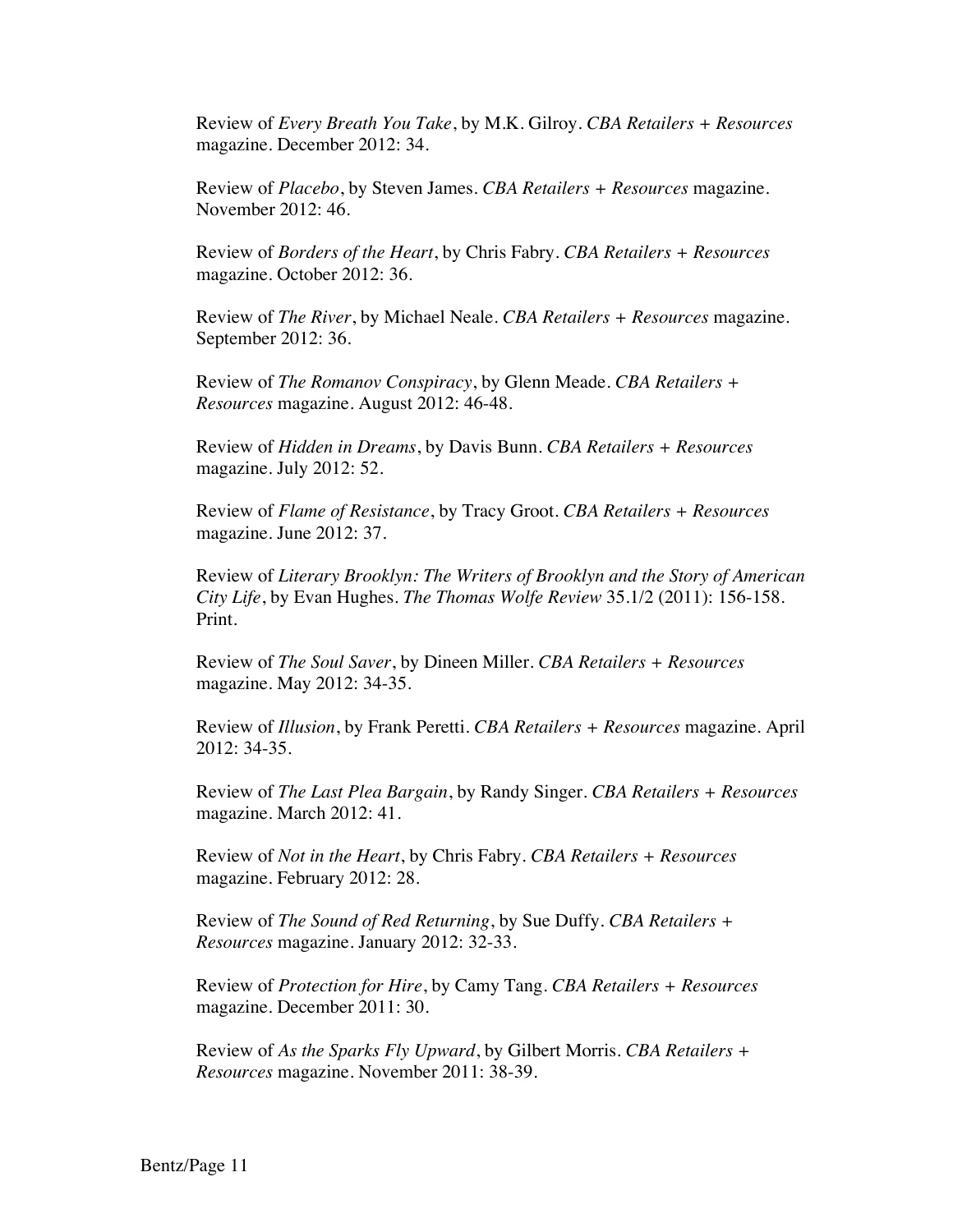Review of *Every Breath You Take*, by M.K. Gilroy. *CBA Retailers + Resources* magazine. December 2012: 34.

Review of *Placebo*, by Steven James*. CBA Retailers + Resources* magazine. November 2012: 46.

Review of *Borders of the Heart*, by Chris Fabry. *CBA Retailers + Resources* magazine. October 2012: 36.

Review of *The River*, by Michael Neale. *CBA Retailers + Resources* magazine. September 2012: 36.

Review of *The Romanov Conspiracy*, by Glenn Meade. *CBA Retailers + Resources* magazine. August 2012: 46-48.

Review of *Hidden in Dreams*, by Davis Bunn. *CBA Retailers + Resources* magazine. July 2012: 52.

Review of *Flame of Resistance*, by Tracy Groot. *CBA Retailers + Resources* magazine. June 2012: 37.

Review of *Literary Brooklyn: The Writers of Brooklyn and the Story of American City Life*, by Evan Hughes. *The Thomas Wolfe Review* 35.1/2 (2011): 156-158. Print.

Review of *The Soul Saver*, by Dineen Miller. *CBA Retailers + Resources* magazine. May 2012: 34-35.

Review of *Illusion*, by Frank Peretti. *CBA Retailers + Resources* magazine. April 2012: 34-35.

Review of *The Last Plea Bargain*, by Randy Singer. *CBA Retailers + Resources* magazine. March 2012: 41.

Review of *Not in the Heart*, by Chris Fabry. *CBA Retailers + Resources* magazine. February 2012: 28.

Review of *The Sound of Red Returning*, by Sue Duffy. *CBA Retailers + Resources* magazine. January 2012: 32-33.

Review of *Protection for Hire*, by Camy Tang. *CBA Retailers + Resources* magazine. December 2011: 30.

Review of *As the Sparks Fly Upward*, by Gilbert Morris. *CBA Retailers + Resources* magazine. November 2011: 38-39.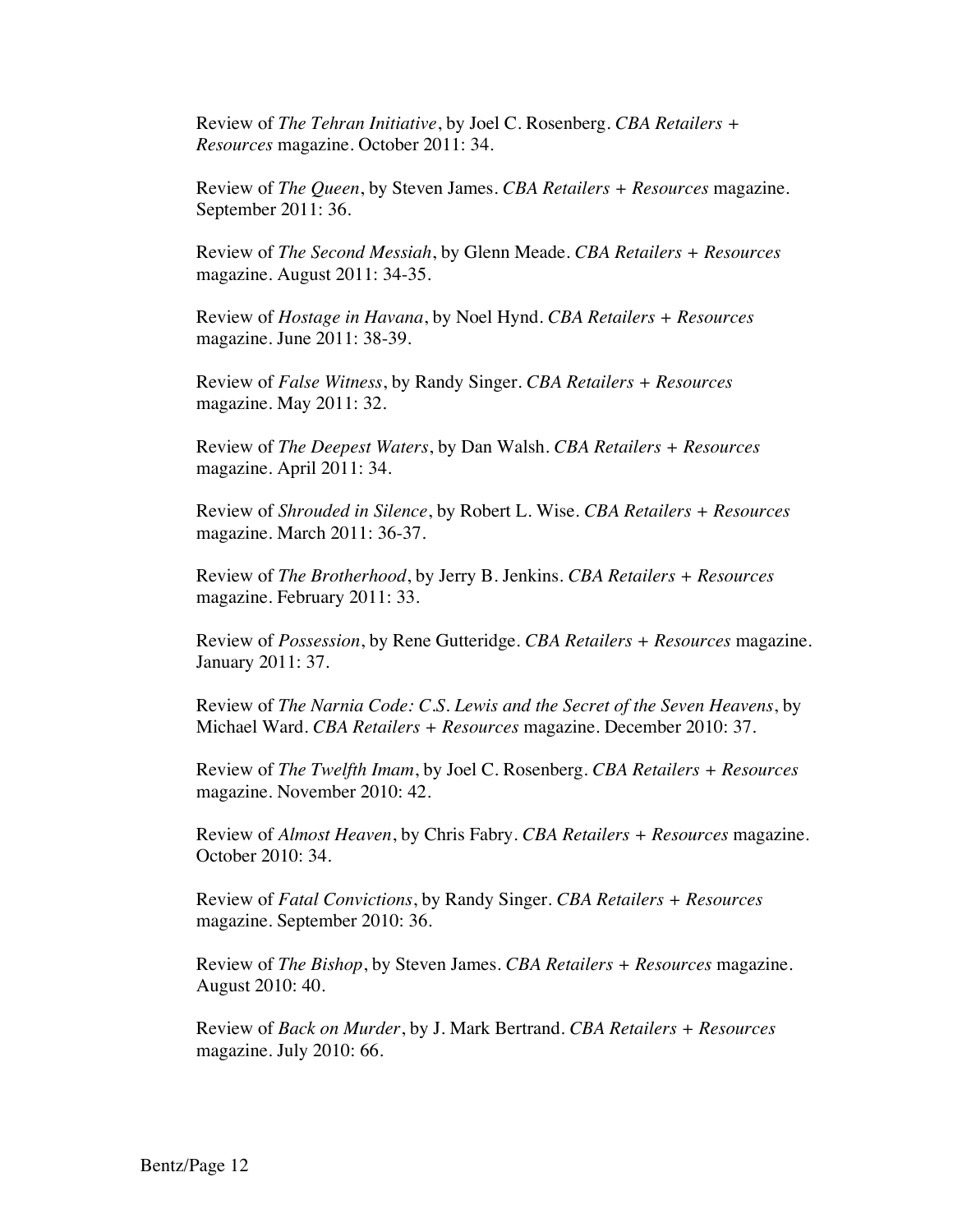Review of *The Tehran Initiative*, by Joel C. Rosenberg. *CBA Retailers + Resources* magazine. October 2011: 34.

Review of *The Queen*, by Steven James. *CBA Retailers + Resources* magazine. September 2011: 36.

Review of *The Second Messiah*, by Glenn Meade. *CBA Retailers + Resources* magazine. August 2011: 34-35.

Review of *Hostage in Havana*, by Noel Hynd. *CBA Retailers + Resources* magazine. June 2011: 38-39.

Review of *False Witness*, by Randy Singer. *CBA Retailers + Resources* magazine. May 2011: 32.

Review of *The Deepest Waters*, by Dan Walsh. *CBA Retailers + Resources* magazine. April 2011: 34.

Review of *Shrouded in Silence*, by Robert L. Wise. *CBA Retailers + Resources* magazine. March 2011: 36-37.

Review of *The Brotherhood*, by Jerry B. Jenkins. *CBA Retailers + Resources* magazine. February 2011: 33.

Review of *Possession*, by Rene Gutteridge. *CBA Retailers + Resources* magazine. January 2011: 37.

Review of *The Narnia Code: C.S. Lewis and the Secret of the Seven Heavens*, by Michael Ward. *CBA Retailers + Resources* magazine. December 2010: 37.

Review of *The Twelfth Imam*, by Joel C. Rosenberg. *CBA Retailers + Resources* magazine. November 2010: 42.

Review of *Almost Heaven*, by Chris Fabry. *CBA Retailers + Resources* magazine. October 2010: 34.

Review of *Fatal Convictions*, by Randy Singer. *CBA Retailers + Resources* magazine. September 2010: 36.

Review of *The Bishop*, by Steven James. *CBA Retailers + Resources* magazine. August 2010: 40.

Review of *Back on Murder*, by J. Mark Bertrand. *CBA Retailers + Resources* magazine. July 2010: 66.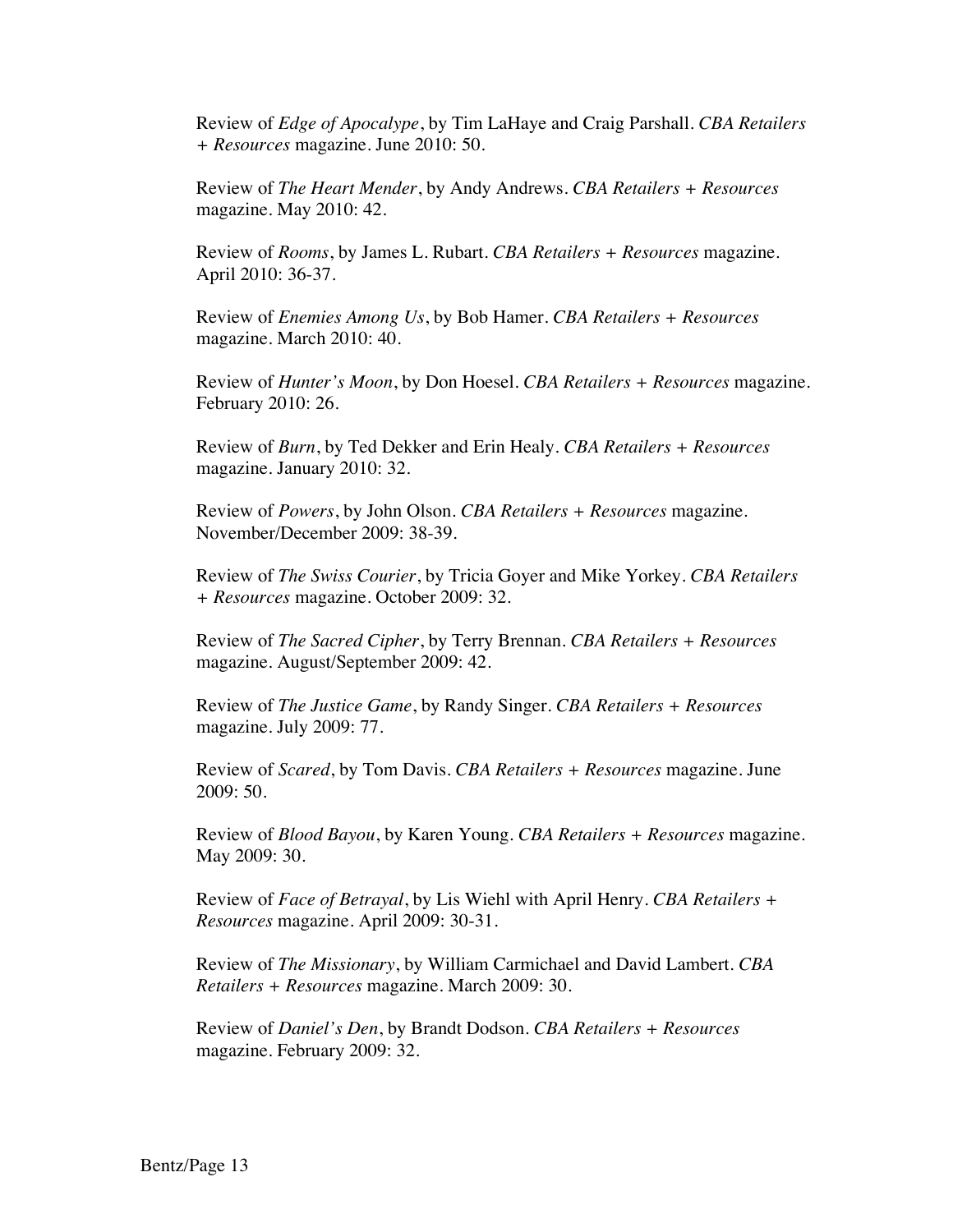Review of *Edge of Apocalype*, by Tim LaHaye and Craig Parshall. *CBA Retailers + Resources* magazine. June 2010: 50.

Review of *The Heart Mender*, by Andy Andrews. *CBA Retailers + Resources* magazine. May 2010: 42.

Review of *Rooms*, by James L. Rubart. *CBA Retailers + Resources* magazine. April 2010: 36-37.

Review of *Enemies Among Us*, by Bob Hamer. *CBA Retailers + Resources* magazine. March 2010: 40.

Review of *Hunter's Moon*, by Don Hoesel. *CBA Retailers + Resources* magazine. February 2010: 26.

Review of *Burn*, by Ted Dekker and Erin Healy. *CBA Retailers + Resources* magazine. January 2010: 32.

Review of *Powers*, by John Olson. *CBA Retailers + Resources* magazine. November/December 2009: 38-39.

Review of *The Swiss Courier*, by Tricia Goyer and Mike Yorkey. *CBA Retailers + Resources* magazine. October 2009: 32.

Review of *The Sacred Cipher*, by Terry Brennan. *CBA Retailers + Resources* magazine. August/September 2009: 42.

Review of *The Justice Game*, by Randy Singer. *CBA Retailers + Resources* magazine. July 2009: 77.

Review of *Scared*, by Tom Davis. *CBA Retailers + Resources* magazine. June 2009: 50.

Review of *Blood Bayou*, by Karen Young. *CBA Retailers + Resources* magazine. May 2009: 30.

Review of *Face of Betrayal*, by Lis Wiehl with April Henry. *CBA Retailers + Resources* magazine. April 2009: 30-31.

Review of *The Missionary*, by William Carmichael and David Lambert. *CBA Retailers + Resources* magazine. March 2009: 30.

Review of *Daniel's Den*, by Brandt Dodson. *CBA Retailers + Resources* magazine. February 2009: 32.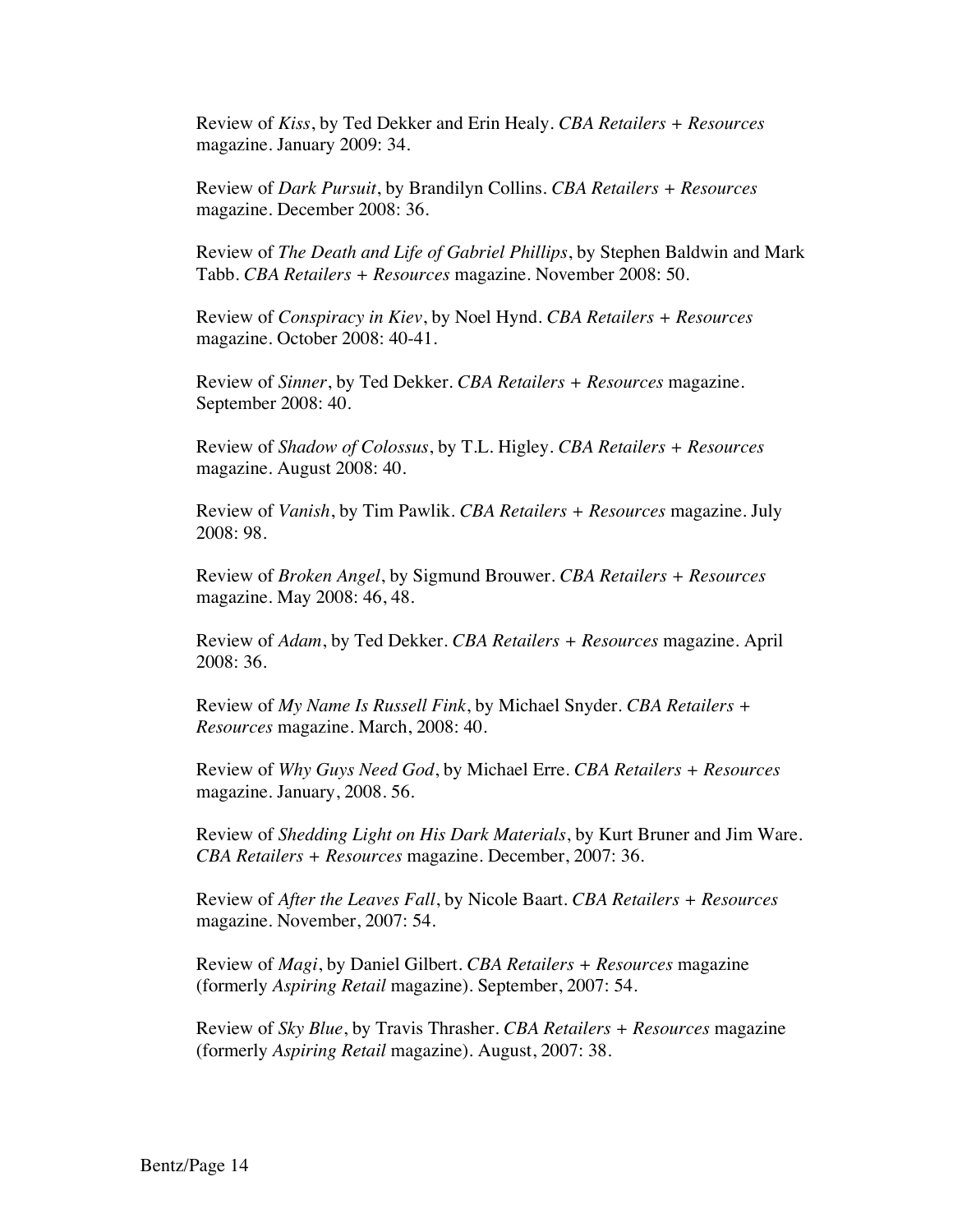Review of *Kiss*, by Ted Dekker and Erin Healy. *CBA Retailers + Resources* magazine. January 2009: 34.

Review of *Dark Pursuit*, by Brandilyn Collins. *CBA Retailers + Resources* magazine. December 2008: 36.

Review of *The Death and Life of Gabriel Phillips*, by Stephen Baldwin and Mark Tabb. *CBA Retailers + Resources* magazine. November 2008: 50.

Review of *Conspiracy in Kiev*, by Noel Hynd. *CBA Retailers + Resources* magazine. October 2008: 40-41.

Review of *Sinner*, by Ted Dekker. *CBA Retailers + Resources* magazine. September 2008: 40.

Review of *Shadow of Colossus*, by T.L. Higley. *CBA Retailers + Resources* magazine. August 2008: 40.

Review of *Vanish*, by Tim Pawlik. *CBA Retailers + Resources* magazine. July 2008: 98.

Review of *Broken Angel*, by Sigmund Brouwer. *CBA Retailers + Resources* magazine. May 2008: 46, 48.

Review of *Adam*, by Ted Dekker. *CBA Retailers + Resources* magazine. April 2008: 36.

Review of *My Name Is Russell Fink*, by Michael Snyder. *CBA Retailers + Resources* magazine. March, 2008: 40.

Review of *Why Guys Need God*, by Michael Erre. *CBA Retailers + Resources* magazine. January, 2008. 56.

Review of *Shedding Light on His Dark Materials*, by Kurt Bruner and Jim Ware. *CBA Retailers + Resources* magazine. December, 2007: 36.

Review of *After the Leaves Fall*, by Nicole Baart. *CBA Retailers + Resources*  magazine. November, 2007: 54.

Review of *Magi*, by Daniel Gilbert. *CBA Retailers + Resources* magazine (formerly *Aspiring Retail* magazine). September, 2007: 54.

Review of *Sky Blue*, by Travis Thrasher. *CBA Retailers + Resources* magazine (formerly *Aspiring Retail* magazine). August, 2007: 38.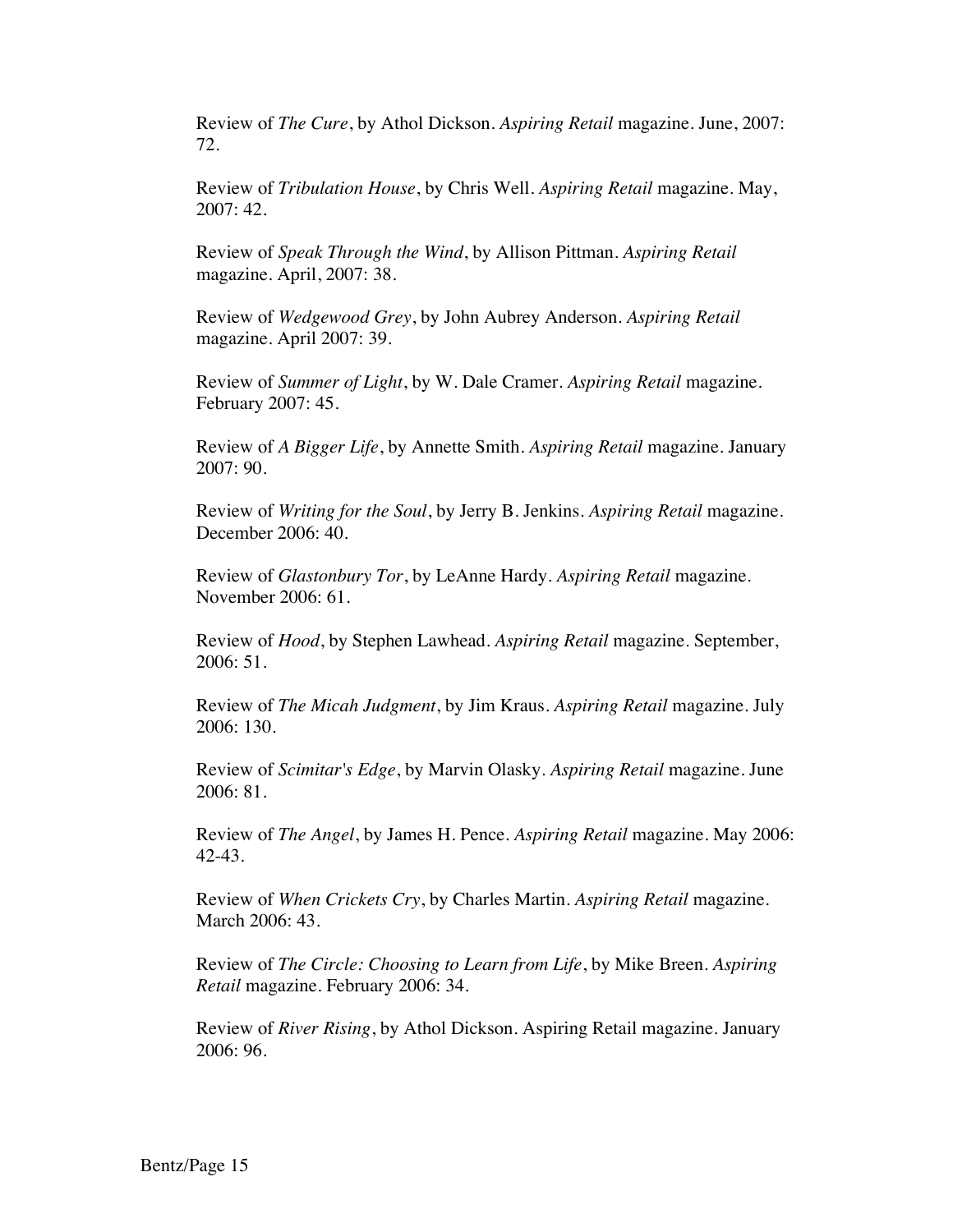Review of *The Cure*, by Athol Dickson. *Aspiring Retail* magazine. June, 2007: 72.

Review of *Tribulation House*, by Chris Well. *Aspiring Retail* magazine. May, 2007: 42.

Review of *Speak Through the Wind*, by Allison Pittman. *Aspiring Retail*  magazine. April, 2007: 38.

Review of *Wedgewood Grey*, by John Aubrey Anderson. *Aspiring Retail*  magazine. April 2007: 39.

Review of *Summer of Light*, by W. Dale Cramer. *Aspiring Retail* magazine. February 2007: 45.

Review of *A Bigger Life*, by Annette Smith. *Aspiring Retail* magazine. January 2007: 90.

Review of *Writing for the Soul*, by Jerry B. Jenkins. *Aspiring Retail* magazine. December 2006: 40.

Review of *Glastonbury Tor*, by LeAnne Hardy. *Aspiring Retail* magazine. November 2006: 61.

Review of *Hood*, by Stephen Lawhead. *Aspiring Retail* magazine. September, 2006: 51.

Review of *The Micah Judgment*, by Jim Kraus. *Aspiring Retail* magazine. July 2006: 130.

Review of *Scimitar's Edge*, by Marvin Olasky. *Aspiring Retail* magazine. June 2006: 81.

Review of *The Angel*, by James H. Pence. *Aspiring Retail* magazine. May 2006: 42-43.

Review of *When Crickets Cry*, by Charles Martin. *Aspiring Retail* magazine. March 2006: 43.

Review of *The Circle: Choosing to Learn from Life*, by Mike Breen. *Aspiring Retail* magazine. February 2006: 34.

Review of *River Rising*, by Athol Dickson. Aspiring Retail magazine. January 2006: 96.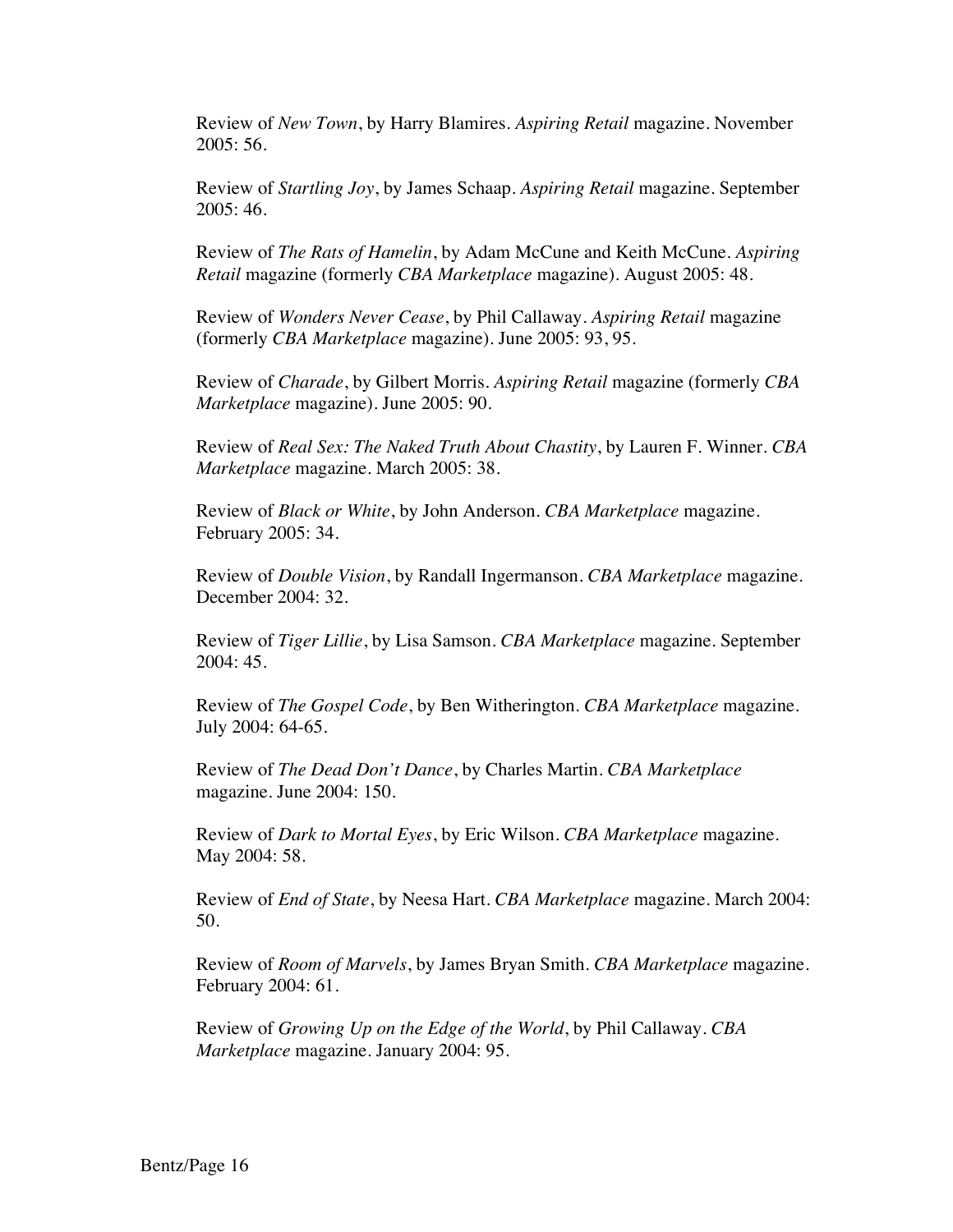Review of *New Town*, by Harry Blamires. *Aspiring Retail* magazine. November 2005: 56.

Review of *Startling Joy*, by James Schaap. *Aspiring Retail* magazine. September 2005: 46.

Review of *The Rats of Hamelin*, by Adam McCune and Keith McCune. *Aspiring Retail* magazine (formerly *CBA Marketplace* magazine). August 2005: 48.

Review of *Wonders Never Cease*, by Phil Callaway. *Aspiring Retail* magazine (formerly *CBA Marketplace* magazine). June 2005: 93, 95.

Review of *Charade*, by Gilbert Morris. *Aspiring Retail* magazine (formerly *CBA Marketplace* magazine). June 2005: 90.

Review of *Real Sex: The Naked Truth About Chastity*, by Lauren F. Winner. *CBA Marketplace* magazine. March 2005: 38.

Review of *Black or White*, by John Anderson. *CBA Marketplace* magazine. February 2005: 34.

Review of *Double Vision*, by Randall Ingermanson. *CBA Marketplace* magazine. December 2004: 32.

Review of *Tiger Lillie*, by Lisa Samson. *CBA Marketplace* magazine. September 2004: 45.

Review of *The Gospel Code*, by Ben Witherington. *CBA Marketplace* magazine. July 2004: 64-65.

Review of *The Dead Don't Dance*, by Charles Martin. *CBA Marketplace* magazine. June 2004: 150.

Review of *Dark to Mortal Eyes*, by Eric Wilson. *CBA Marketplace* magazine. May 2004: 58.

Review of *End of State*, by Neesa Hart. *CBA Marketplace* magazine. March 2004: 50.

Review of *Room of Marvels*, by James Bryan Smith. *CBA Marketplace* magazine. February 2004: 61.

Review of *Growing Up on the Edge of the World*, by Phil Callaway. *CBA Marketplace* magazine. January 2004: 95.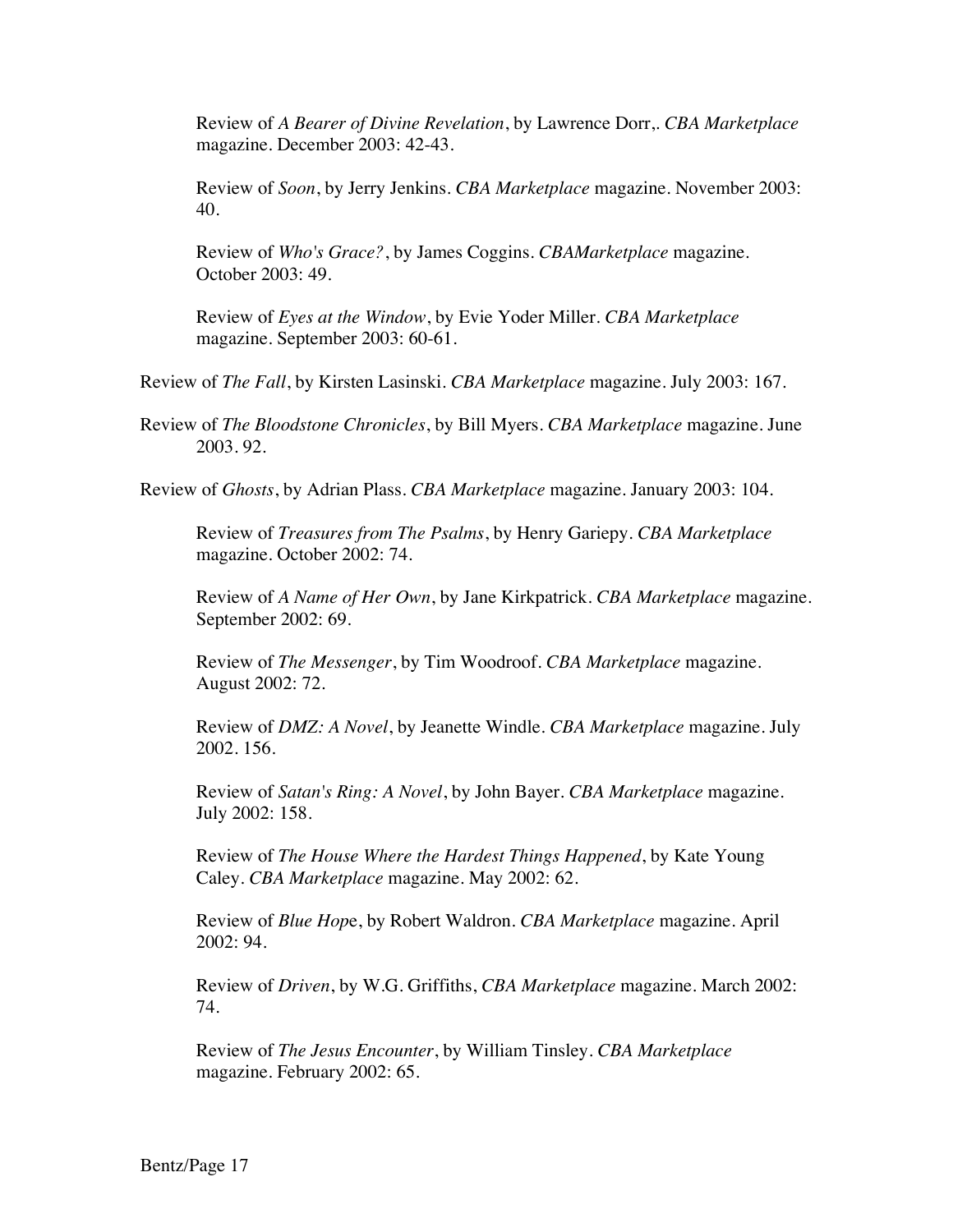Review of *A Bearer of Divine Revelation*, by Lawrence Dorr,. *CBA Marketplace* magazine. December 2003: 42-43.

Review of *Soon*, by Jerry Jenkins. *CBA Marketplace* magazine. November 2003: 40.

Review of *Who's Grace?*, by James Coggins. *CBAMarketplace* magazine. October 2003: 49.

Review of *Eyes at the Window*, by Evie Yoder Miller. *CBA Marketplace* magazine. September 2003: 60-61.

Review of *The Fall*, by Kirsten Lasinski. *CBA Marketplace* magazine. July 2003: 167.

Review of *The Bloodstone Chronicles*, by Bill Myers. *CBA Marketplace* magazine. June 2003. 92.

Review of *Ghosts*, by Adrian Plass. *CBA Marketplace* magazine. January 2003: 104.

Review of *Treasures from The Psalms*, by Henry Gariepy. *CBA Marketplace* magazine. October 2002: 74.

Review of *A Name of Her Own*, by Jane Kirkpatrick. *CBA Marketplace* magazine. September 2002: 69.

Review of *The Messenger*, by Tim Woodroof. *CBA Marketplace* magazine. August 2002: 72.

Review of *DMZ: A Novel*, by Jeanette Windle. *CBA Marketplace* magazine. July 2002. 156.

Review of *Satan's Ring: A Novel*, by John Bayer. *CBA Marketplace* magazine. July 2002: 158.

Review of *The House Where the Hardest Things Happened*, by Kate Young Caley. *CBA Marketplace* magazine. May 2002: 62.

Review of *Blue Hop*e, by Robert Waldron. *CBA Marketplace* magazine. April 2002: 94.

Review of *Driven*, by W.G. Griffiths, *CBA Marketplace* magazine. March 2002: 74.

Review of *The Jesus Encounter*, by William Tinsley. *CBA Marketplace* magazine. February 2002: 65.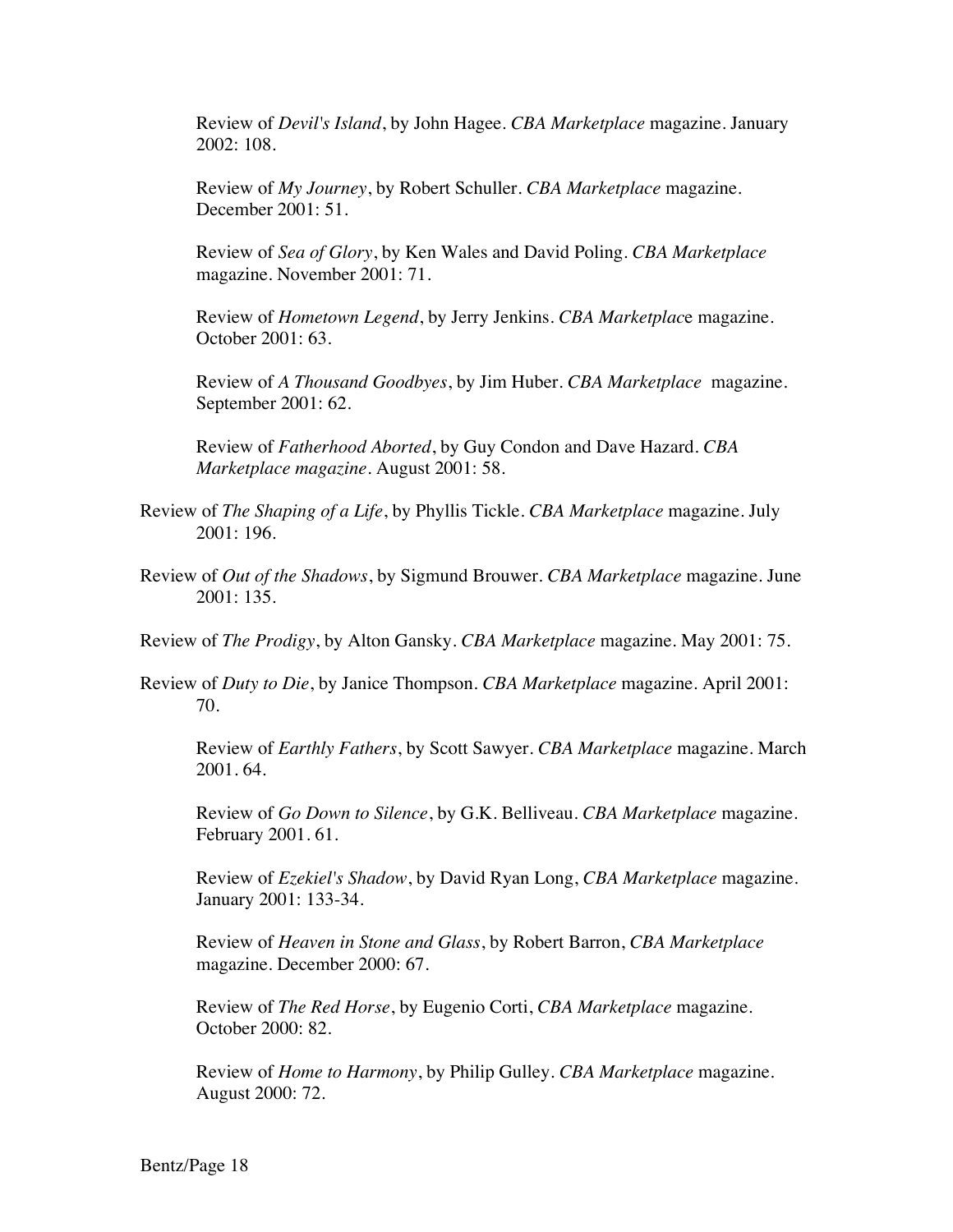Review of *Devil's Island*, by John Hagee. *CBA Marketplace* magazine. January 2002: 108.

Review of *My Journey*, by Robert Schuller. *CBA Marketplace* magazine. December 2001: 51.

Review of *Sea of Glory*, by Ken Wales and David Poling. *CBA Marketplace* magazine. November 2001: 71.

Review of *Hometown Legend*, by Jerry Jenkins. *CBA Marketplac*e magazine. October 2001: 63.

Review of *A Thousand Goodbyes*, by Jim Huber. *CBA Marketplace* magazine. September 2001: 62.

Review of *Fatherhood Aborted*, by Guy Condon and Dave Hazard. *CBA Marketplace magazine*. August 2001: 58.

- Review of *The Shaping of a Life*, by Phyllis Tickle. *CBA Marketplace* magazine. July 2001: 196.
- Review of *Out of the Shadows*, by Sigmund Brouwer. *CBA Marketplace* magazine. June 2001: 135.

Review of *The Prodigy*, by Alton Gansky. *CBA Marketplace* magazine. May 2001: 75.

Review of *Duty to Die*, by Janice Thompson. *CBA Marketplace* magazine. April 2001: 70.

Review of *Earthly Fathers*, by Scott Sawyer. *CBA Marketplace* magazine. March 2001. 64.

Review of *Go Down to Silence*, by G.K. Belliveau. *CBA Marketplace* magazine. February 2001. 61.

Review of *Ezekiel's Shadow*, by David Ryan Long, *CBA Marketplace* magazine. January 2001: 133-34.

Review of *Heaven in Stone and Glass*, by Robert Barron, *CBA Marketplace* magazine. December 2000: 67.

Review of *The Red Horse*, by Eugenio Corti, *CBA Marketplace* magazine. October 2000: 82.

Review of *Home to Harmony*, by Philip Gulley. *CBA Marketplace* magazine. August 2000: 72.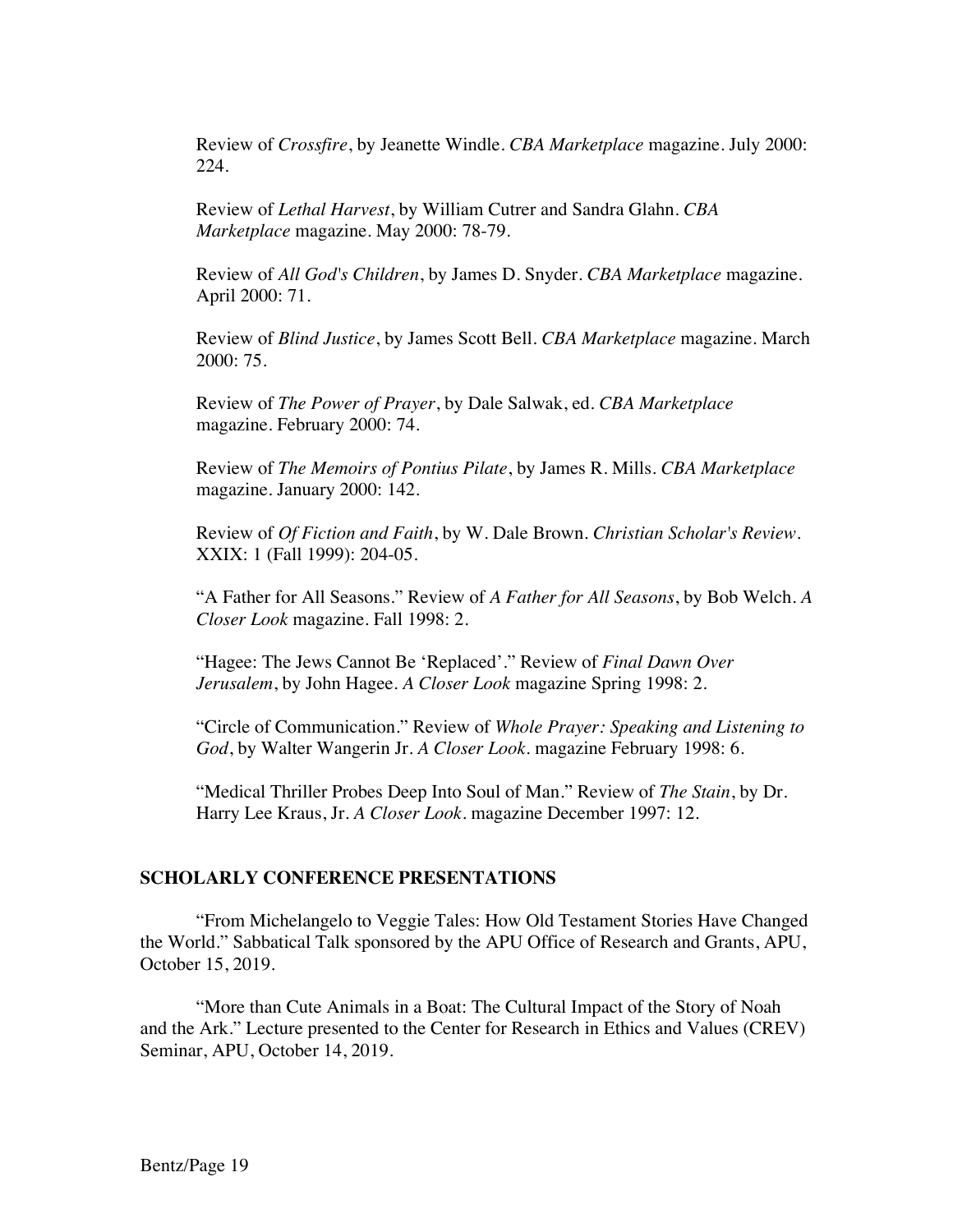Review of *Crossfire*, by Jeanette Windle. *CBA Marketplace* magazine. July 2000: 224.

Review of *Lethal Harvest*, by William Cutrer and Sandra Glahn. *CBA Marketplace* magazine. May 2000: 78-79.

Review of *All God's Children*, by James D. Snyder. *CBA Marketplace* magazine. April 2000: 71.

Review of *Blind Justice*, by James Scott Bell. *CBA Marketplace* magazine. March 2000: 75.

Review of *The Power of Prayer*, by Dale Salwak, ed. *CBA Marketplace* magazine. February 2000: 74.

Review of *The Memoirs of Pontius Pilate*, by James R. Mills. *CBA Marketplace* magazine. January 2000: 142.

Review of *Of Fiction and Faith*, by W. Dale Brown. *Christian Scholar's Review*. XXIX: 1 (Fall 1999): 204-05.

"A Father for All Seasons." Review of *A Father for All Seasons*, by Bob Welch. *A Closer Look* magazine. Fall 1998: 2.

"Hagee: The Jews Cannot Be 'Replaced'." Review of *Final Dawn Over Jerusalem*, by John Hagee. *A Closer Look* magazine Spring 1998: 2.

"Circle of Communication." Review of *Whole Prayer: Speaking and Listening to God*, by Walter Wangerin Jr. *A Closer Look*. magazine February 1998: 6.

"Medical Thriller Probes Deep Into Soul of Man." Review of *The Stain*, by Dr. Harry Lee Kraus, Jr. *A Closer Look*. magazine December 1997: 12.

#### **SCHOLARLY CONFERENCE PRESENTATIONS**

"From Michelangelo to Veggie Tales: How Old Testament Stories Have Changed the World." Sabbatical Talk sponsored by the APU Office of Research and Grants, APU, October 15, 2019.

"More than Cute Animals in a Boat: The Cultural Impact of the Story of Noah and the Ark." Lecture presented to the Center for Research in Ethics and Values (CREV) Seminar, APU, October 14, 2019.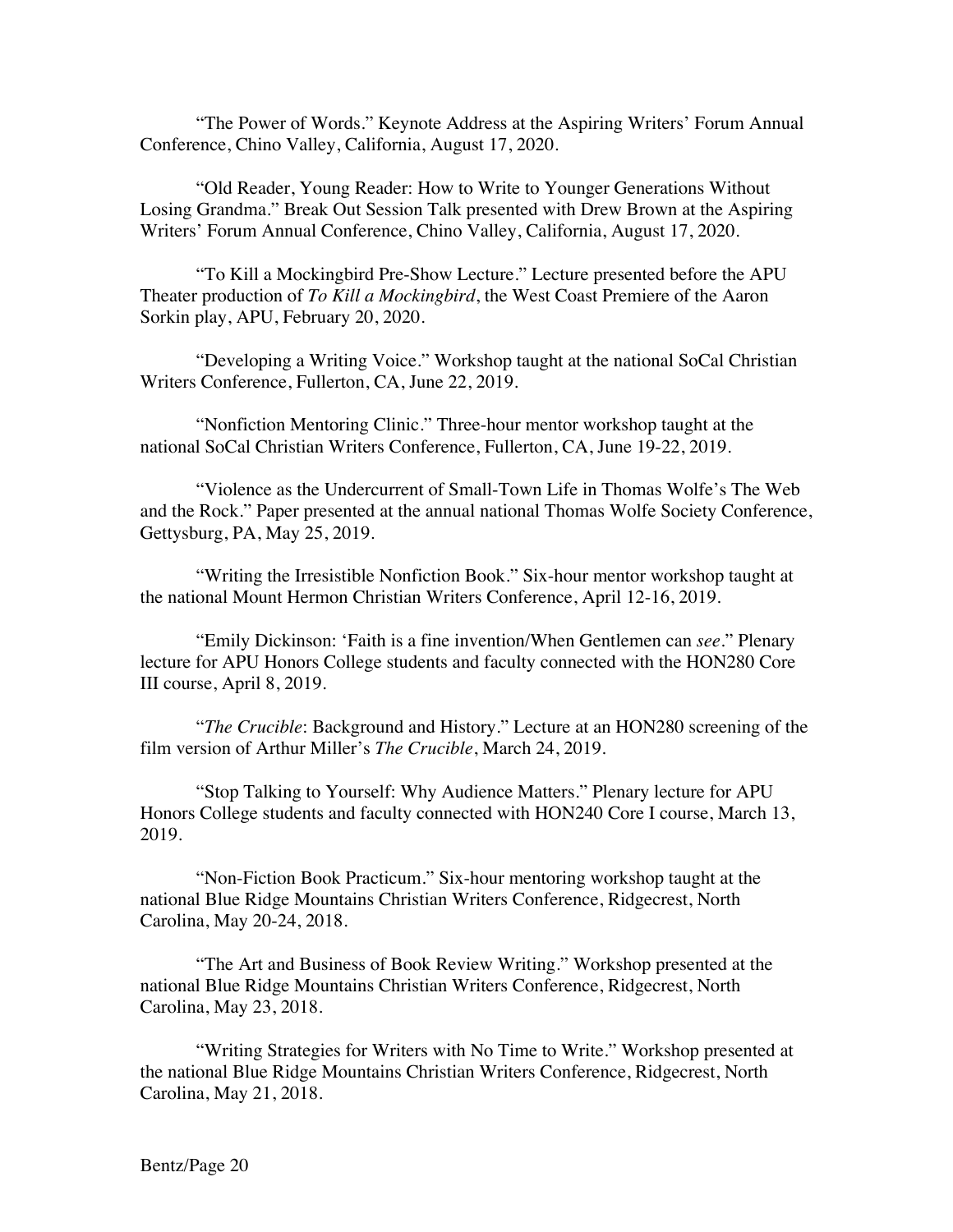"The Power of Words." Keynote Address at the Aspiring Writers' Forum Annual Conference, Chino Valley, California, August 17, 2020.

"Old Reader, Young Reader: How to Write to Younger Generations Without Losing Grandma." Break Out Session Talk presented with Drew Brown at the Aspiring Writers' Forum Annual Conference, Chino Valley, California, August 17, 2020.

"To Kill a Mockingbird Pre-Show Lecture." Lecture presented before the APU Theater production of *To Kill a Mockingbird*, the West Coast Premiere of the Aaron Sorkin play, APU, February 20, 2020.

"Developing a Writing Voice." Workshop taught at the national SoCal Christian Writers Conference, Fullerton, CA, June 22, 2019.

"Nonfiction Mentoring Clinic." Three-hour mentor workshop taught at the national SoCal Christian Writers Conference, Fullerton, CA, June 19-22, 2019.

"Violence as the Undercurrent of Small-Town Life in Thomas Wolfe's The Web and the Rock." Paper presented at the annual national Thomas Wolfe Society Conference, Gettysburg, PA, May 25, 2019.

"Writing the Irresistible Nonfiction Book." Six-hour mentor workshop taught at the national Mount Hermon Christian Writers Conference, April 12-16, 2019.

"Emily Dickinson: 'Faith is a fine invention/When Gentlemen can *see*." Plenary lecture for APU Honors College students and faculty connected with the HON280 Core III course, April 8, 2019.

"*The Crucible*: Background and History." Lecture at an HON280 screening of the film version of Arthur Miller's *The Crucible*, March 24, 2019.

"Stop Talking to Yourself: Why Audience Matters." Plenary lecture for APU Honors College students and faculty connected with HON240 Core I course, March 13, 2019.

"Non-Fiction Book Practicum." Six-hour mentoring workshop taught at the national Blue Ridge Mountains Christian Writers Conference, Ridgecrest, North Carolina, May 20-24, 2018.

"The Art and Business of Book Review Writing." Workshop presented at the national Blue Ridge Mountains Christian Writers Conference, Ridgecrest, North Carolina, May 23, 2018.

"Writing Strategies for Writers with No Time to Write." Workshop presented at the national Blue Ridge Mountains Christian Writers Conference, Ridgecrest, North Carolina, May 21, 2018.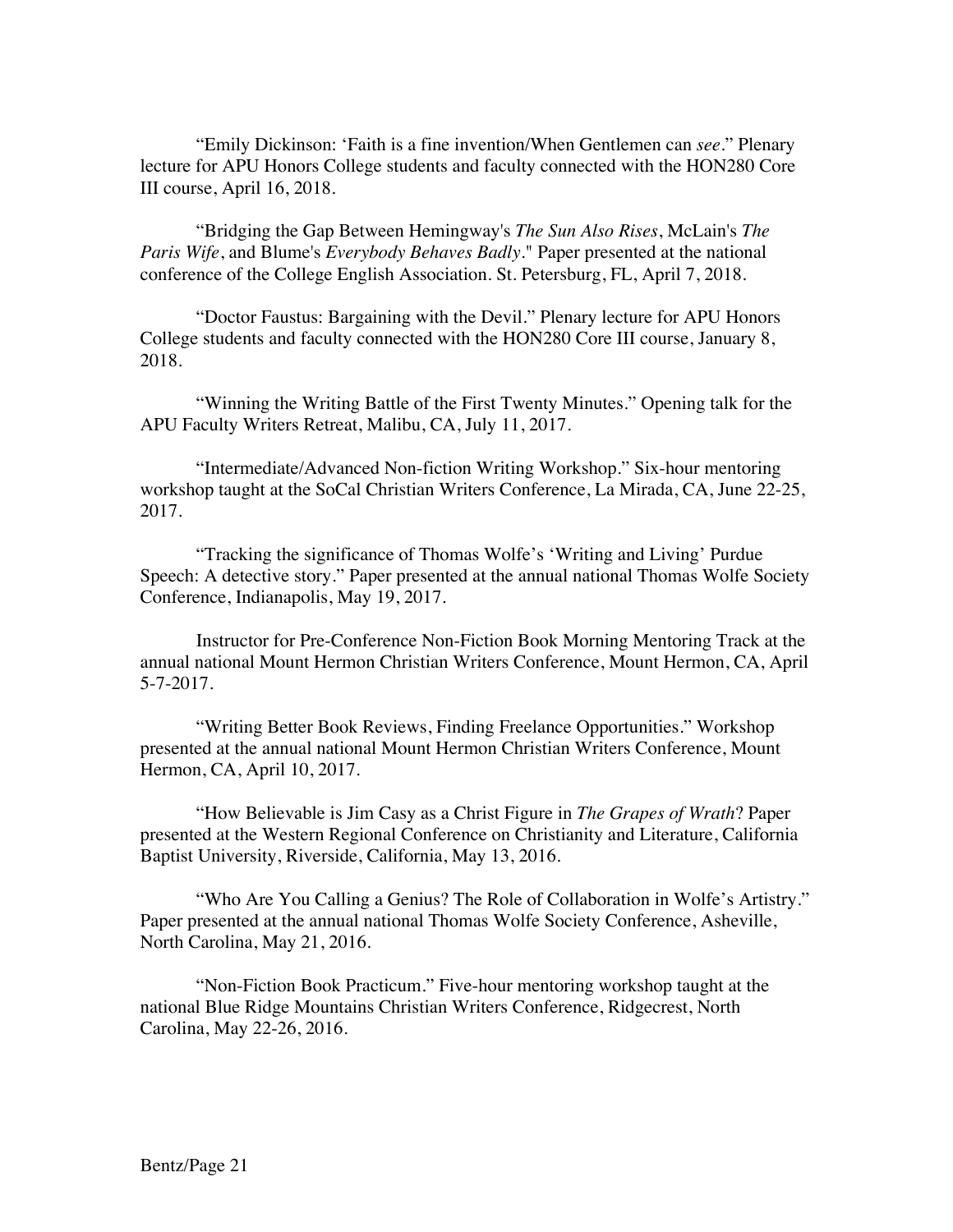"Emily Dickinson: 'Faith is a fine invention/When Gentlemen can *see*." Plenary lecture for APU Honors College students and faculty connected with the HON280 Core III course, April 16, 2018.

"Bridging the Gap Between Hemingway's *The Sun Also Rises*, McLain's *The Paris Wife*, and Blume's *Everybody Behaves Badly*." Paper presented at the national conference of the College English Association. St. Petersburg, FL, April 7, 2018.

"Doctor Faustus: Bargaining with the Devil." Plenary lecture for APU Honors College students and faculty connected with the HON280 Core III course, January 8, 2018.

"Winning the Writing Battle of the First Twenty Minutes." Opening talk for the APU Faculty Writers Retreat, Malibu, CA, July 11, 2017.

"Intermediate/Advanced Non-fiction Writing Workshop." Six-hour mentoring workshop taught at the SoCal Christian Writers Conference, La Mirada, CA, June 22-25, 2017.

"Tracking the significance of Thomas Wolfe's 'Writing and Living' Purdue Speech: A detective story." Paper presented at the annual national Thomas Wolfe Society Conference, Indianapolis, May 19, 2017.

Instructor for Pre-Conference Non-Fiction Book Morning Mentoring Track at the annual national Mount Hermon Christian Writers Conference, Mount Hermon, CA, April 5-7-2017.

"Writing Better Book Reviews, Finding Freelance Opportunities." Workshop presented at the annual national Mount Hermon Christian Writers Conference, Mount Hermon, CA, April 10, 2017.

"How Believable is Jim Casy as a Christ Figure in *The Grapes of Wrath*? Paper presented at the Western Regional Conference on Christianity and Literature, California Baptist University, Riverside, California, May 13, 2016.

"Who Are You Calling a Genius? The Role of Collaboration in Wolfe's Artistry." Paper presented at the annual national Thomas Wolfe Society Conference, Asheville, North Carolina, May 21, 2016.

"Non-Fiction Book Practicum." Five-hour mentoring workshop taught at the national Blue Ridge Mountains Christian Writers Conference, Ridgecrest, North Carolina, May 22-26, 2016.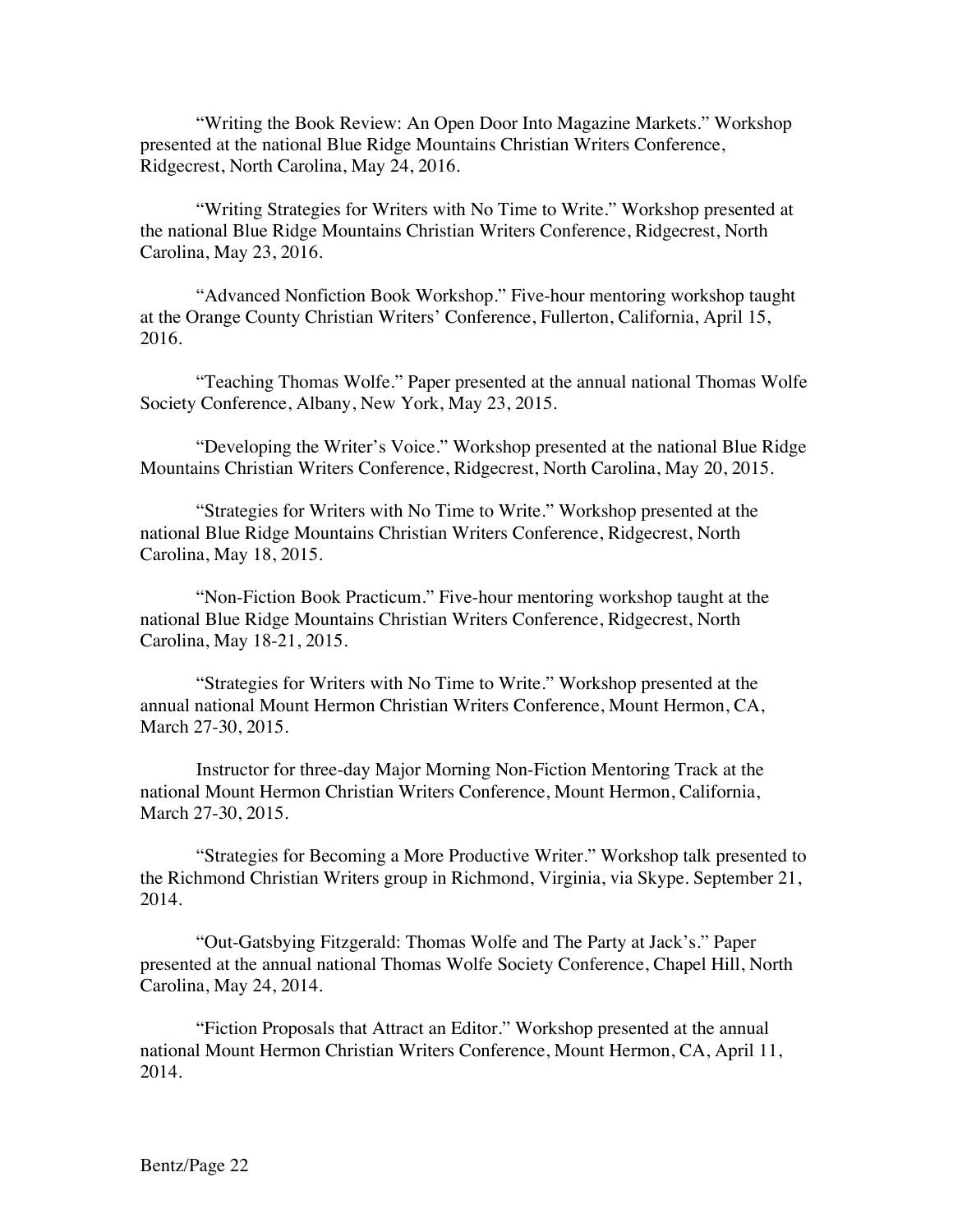"Writing the Book Review: An Open Door Into Magazine Markets." Workshop presented at the national Blue Ridge Mountains Christian Writers Conference, Ridgecrest, North Carolina, May 24, 2016.

"Writing Strategies for Writers with No Time to Write." Workshop presented at the national Blue Ridge Mountains Christian Writers Conference, Ridgecrest, North Carolina, May 23, 2016.

"Advanced Nonfiction Book Workshop." Five-hour mentoring workshop taught at the Orange County Christian Writers' Conference, Fullerton, California, April 15, 2016.

"Teaching Thomas Wolfe." Paper presented at the annual national Thomas Wolfe Society Conference, Albany, New York, May 23, 2015.

"Developing the Writer's Voice." Workshop presented at the national Blue Ridge Mountains Christian Writers Conference, Ridgecrest, North Carolina, May 20, 2015.

"Strategies for Writers with No Time to Write." Workshop presented at the national Blue Ridge Mountains Christian Writers Conference, Ridgecrest, North Carolina, May 18, 2015.

"Non-Fiction Book Practicum." Five-hour mentoring workshop taught at the national Blue Ridge Mountains Christian Writers Conference, Ridgecrest, North Carolina, May 18-21, 2015.

"Strategies for Writers with No Time to Write." Workshop presented at the annual national Mount Hermon Christian Writers Conference, Mount Hermon, CA, March 27-30, 2015.

Instructor for three-day Major Morning Non-Fiction Mentoring Track at the national Mount Hermon Christian Writers Conference, Mount Hermon, California, March 27-30, 2015.

"Strategies for Becoming a More Productive Writer." Workshop talk presented to the Richmond Christian Writers group in Richmond, Virginia, via Skype. September 21, 2014.

"Out-Gatsbying Fitzgerald: Thomas Wolfe and The Party at Jack's." Paper presented at the annual national Thomas Wolfe Society Conference, Chapel Hill, North Carolina, May 24, 2014.

"Fiction Proposals that Attract an Editor." Workshop presented at the annual national Mount Hermon Christian Writers Conference, Mount Hermon, CA, April 11, 2014.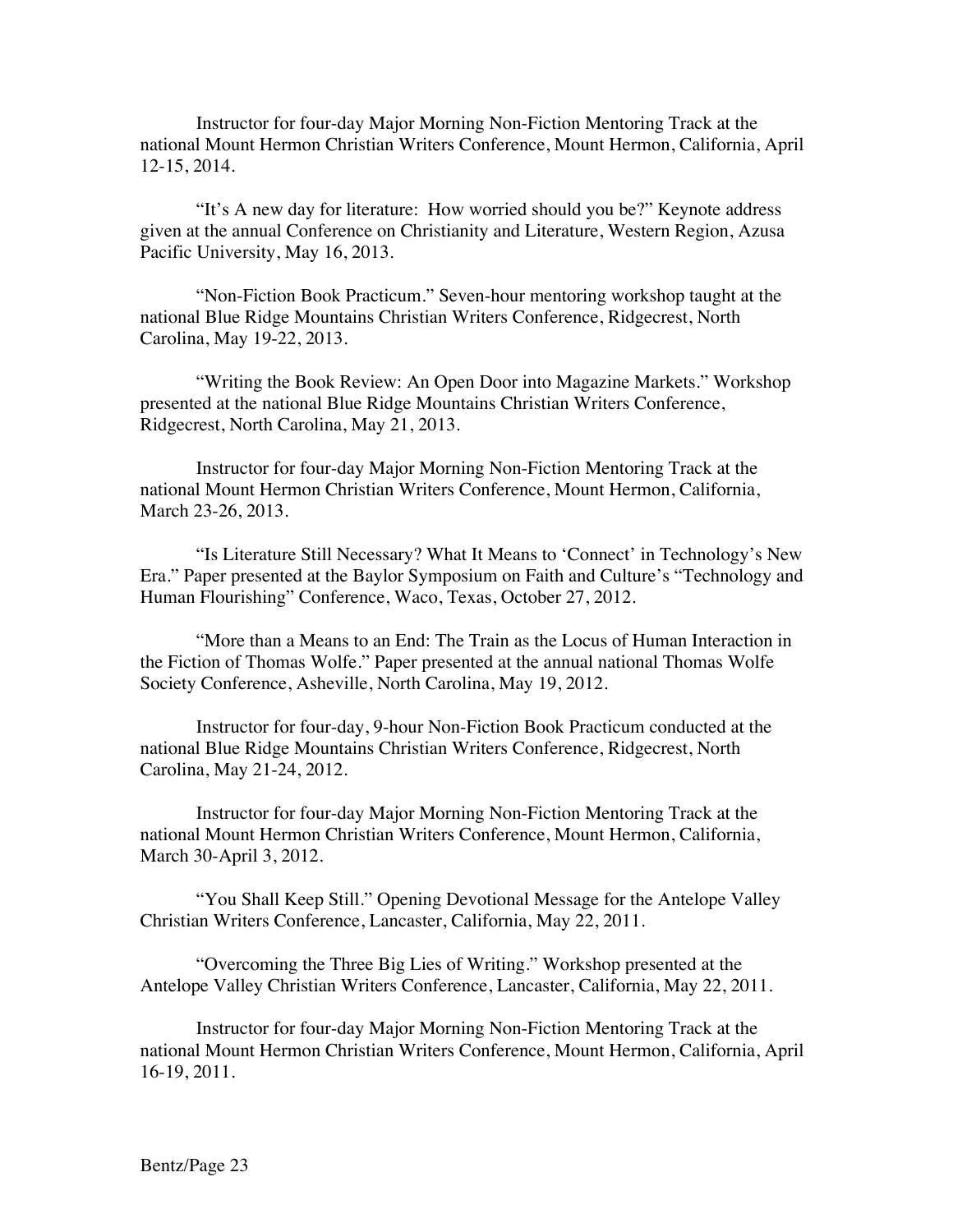Instructor for four-day Major Morning Non-Fiction Mentoring Track at the national Mount Hermon Christian Writers Conference, Mount Hermon, California, April 12-15, 2014.

"It's A new day for literature: How worried should you be?" Keynote address given at the annual Conference on Christianity and Literature, Western Region, Azusa Pacific University, May 16, 2013.

"Non-Fiction Book Practicum." Seven-hour mentoring workshop taught at the national Blue Ridge Mountains Christian Writers Conference, Ridgecrest, North Carolina, May 19-22, 2013.

"Writing the Book Review: An Open Door into Magazine Markets." Workshop presented at the national Blue Ridge Mountains Christian Writers Conference, Ridgecrest, North Carolina, May 21, 2013.

Instructor for four-day Major Morning Non-Fiction Mentoring Track at the national Mount Hermon Christian Writers Conference, Mount Hermon, California, March 23-26, 2013.

"Is Literature Still Necessary? What It Means to 'Connect' in Technology's New Era." Paper presented at the Baylor Symposium on Faith and Culture's "Technology and Human Flourishing" Conference, Waco, Texas, October 27, 2012.

"More than a Means to an End: The Train as the Locus of Human Interaction in the Fiction of Thomas Wolfe." Paper presented at the annual national Thomas Wolfe Society Conference, Asheville, North Carolina, May 19, 2012.

Instructor for four-day, 9-hour Non-Fiction Book Practicum conducted at the national Blue Ridge Mountains Christian Writers Conference, Ridgecrest, North Carolina, May 21-24, 2012.

Instructor for four-day Major Morning Non-Fiction Mentoring Track at the national Mount Hermon Christian Writers Conference, Mount Hermon, California, March 30-April 3, 2012.

"You Shall Keep Still." Opening Devotional Message for the Antelope Valley Christian Writers Conference, Lancaster, California, May 22, 2011.

"Overcoming the Three Big Lies of Writing." Workshop presented at the Antelope Valley Christian Writers Conference, Lancaster, California, May 22, 2011.

Instructor for four-day Major Morning Non-Fiction Mentoring Track at the national Mount Hermon Christian Writers Conference, Mount Hermon, California, April 16-19, 2011.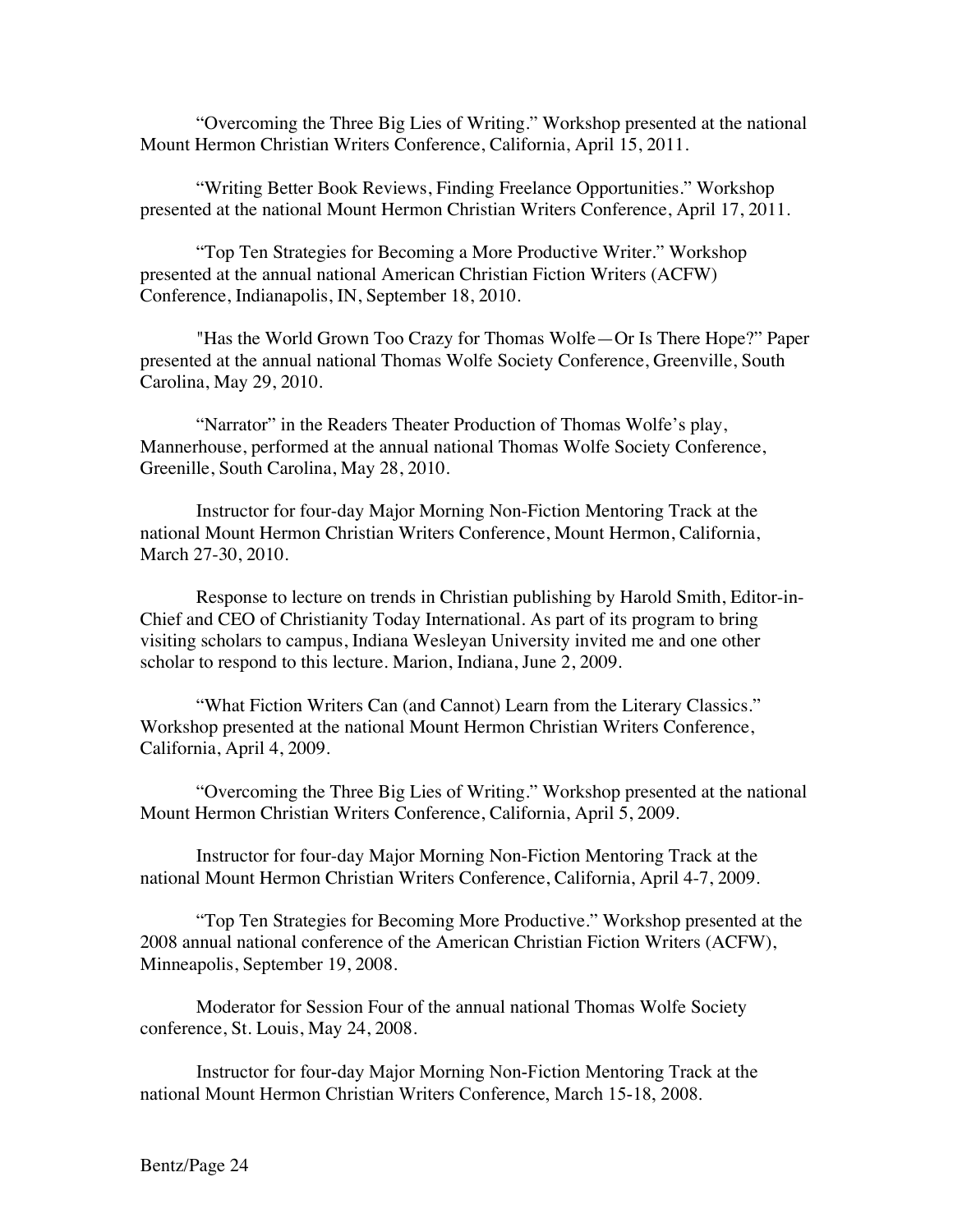"Overcoming the Three Big Lies of Writing." Workshop presented at the national Mount Hermon Christian Writers Conference, California, April 15, 2011.

"Writing Better Book Reviews, Finding Freelance Opportunities." Workshop presented at the national Mount Hermon Christian Writers Conference, April 17, 2011.

"Top Ten Strategies for Becoming a More Productive Writer." Workshop presented at the annual national American Christian Fiction Writers (ACFW) Conference, Indianapolis, IN, September 18, 2010.

"Has the World Grown Too Crazy for Thomas Wolfe—Or Is There Hope?" Paper presented at the annual national Thomas Wolfe Society Conference, Greenville, South Carolina, May 29, 2010.

"Narrator" in the Readers Theater Production of Thomas Wolfe's play, Mannerhouse, performed at the annual national Thomas Wolfe Society Conference, Greenille, South Carolina, May 28, 2010.

Instructor for four-day Major Morning Non-Fiction Mentoring Track at the national Mount Hermon Christian Writers Conference, Mount Hermon, California, March 27-30, 2010.

Response to lecture on trends in Christian publishing by Harold Smith, Editor-in-Chief and CEO of Christianity Today International. As part of its program to bring visiting scholars to campus, Indiana Wesleyan University invited me and one other scholar to respond to this lecture. Marion, Indiana, June 2, 2009.

"What Fiction Writers Can (and Cannot) Learn from the Literary Classics." Workshop presented at the national Mount Hermon Christian Writers Conference, California, April 4, 2009.

"Overcoming the Three Big Lies of Writing." Workshop presented at the national Mount Hermon Christian Writers Conference, California, April 5, 2009.

Instructor for four-day Major Morning Non-Fiction Mentoring Track at the national Mount Hermon Christian Writers Conference, California, April 4-7, 2009.

"Top Ten Strategies for Becoming More Productive." Workshop presented at the 2008 annual national conference of the American Christian Fiction Writers (ACFW), Minneapolis, September 19, 2008.

Moderator for Session Four of the annual national Thomas Wolfe Society conference, St. Louis, May 24, 2008.

Instructor for four-day Major Morning Non-Fiction Mentoring Track at the national Mount Hermon Christian Writers Conference, March 15-18, 2008.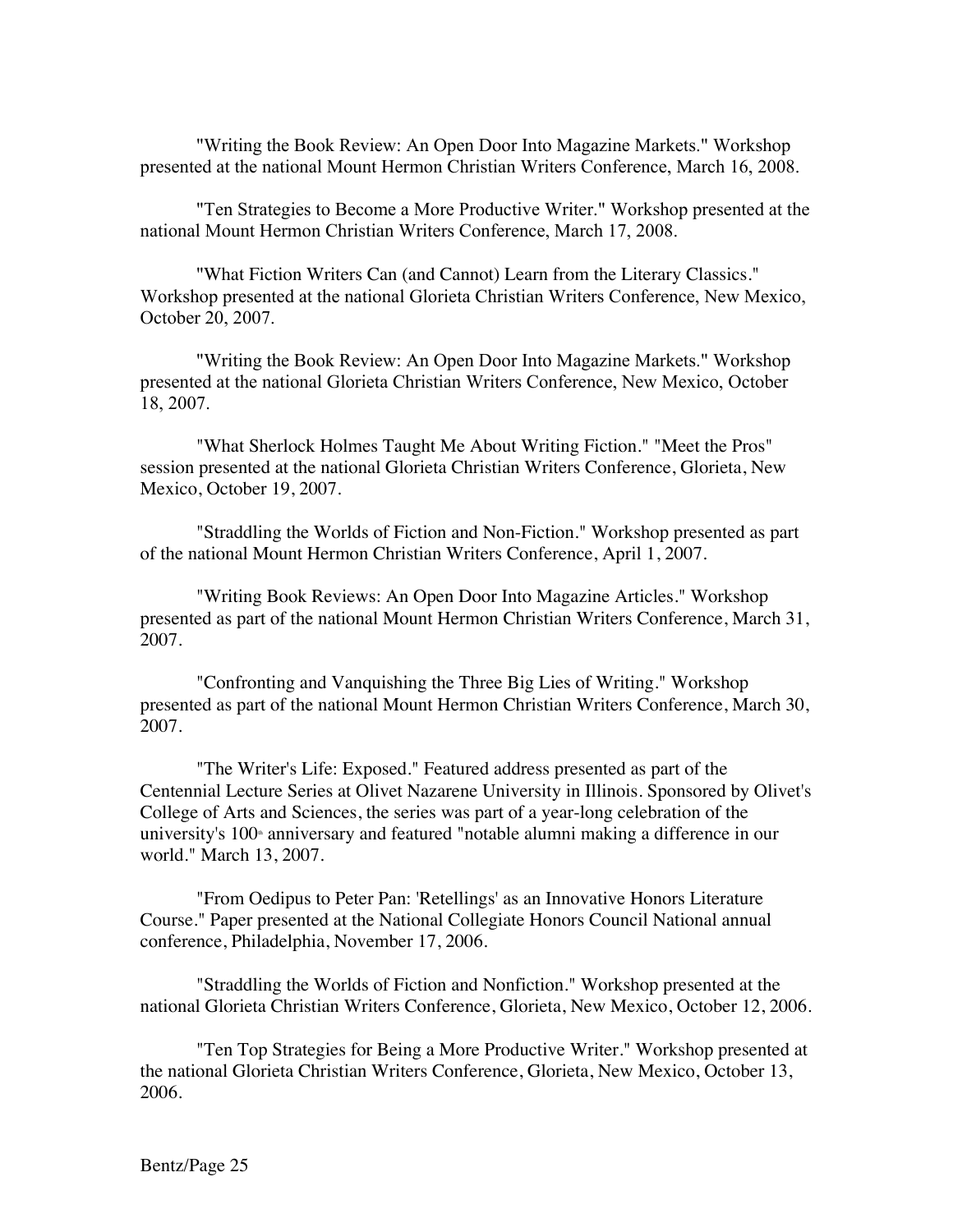"Writing the Book Review: An Open Door Into Magazine Markets." Workshop presented at the national Mount Hermon Christian Writers Conference, March 16, 2008.

"Ten Strategies to Become a More Productive Writer." Workshop presented at the national Mount Hermon Christian Writers Conference, March 17, 2008.

"What Fiction Writers Can (and Cannot) Learn from the Literary Classics." Workshop presented at the national Glorieta Christian Writers Conference, New Mexico, October 20, 2007.

"Writing the Book Review: An Open Door Into Magazine Markets." Workshop presented at the national Glorieta Christian Writers Conference, New Mexico, October 18, 2007.

"What Sherlock Holmes Taught Me About Writing Fiction." "Meet the Pros" session presented at the national Glorieta Christian Writers Conference, Glorieta, New Mexico, October 19, 2007.

"Straddling the Worlds of Fiction and Non-Fiction." Workshop presented as part of the national Mount Hermon Christian Writers Conference, April 1, 2007.

"Writing Book Reviews: An Open Door Into Magazine Articles." Workshop presented as part of the national Mount Hermon Christian Writers Conference, March 31, 2007.

"Confronting and Vanquishing the Three Big Lies of Writing." Workshop presented as part of the national Mount Hermon Christian Writers Conference, March 30, 2007.

"The Writer's Life: Exposed." Featured address presented as part of the Centennial Lecture Series at Olivet Nazarene University in Illinois. Sponsored by Olivet's College of Arts and Sciences, the series was part of a year-long celebration of the university's  $100<sup>*</sup>$  anniversary and featured "notable alumni making a difference in our world." March 13, 2007.

"From Oedipus to Peter Pan: 'Retellings' as an Innovative Honors Literature Course." Paper presented at the National Collegiate Honors Council National annual conference, Philadelphia, November 17, 2006.

"Straddling the Worlds of Fiction and Nonfiction." Workshop presented at the national Glorieta Christian Writers Conference, Glorieta, New Mexico, October 12, 2006.

"Ten Top Strategies for Being a More Productive Writer." Workshop presented at the national Glorieta Christian Writers Conference, Glorieta, New Mexico, October 13, 2006.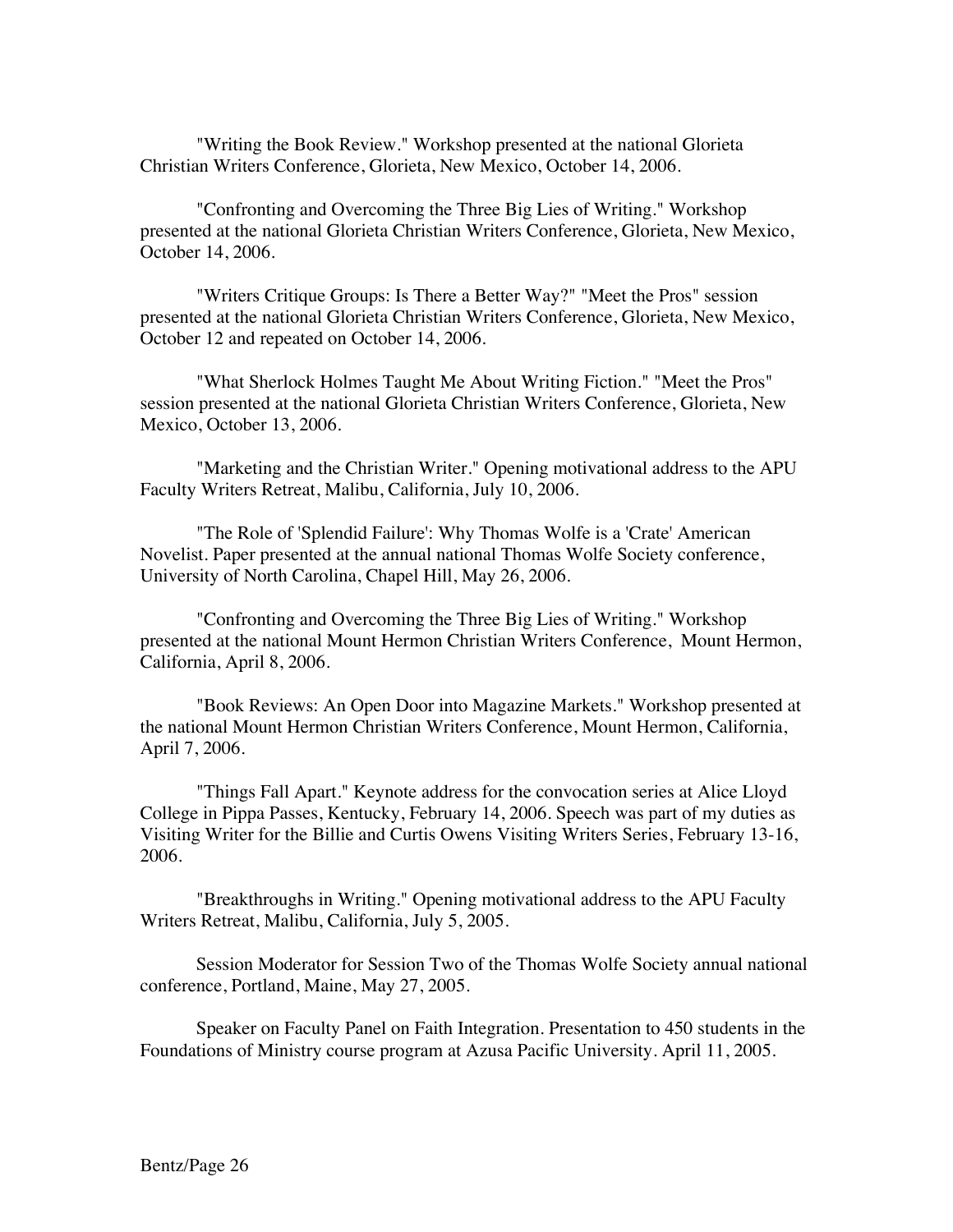"Writing the Book Review." Workshop presented at the national Glorieta Christian Writers Conference, Glorieta, New Mexico, October 14, 2006.

"Confronting and Overcoming the Three Big Lies of Writing." Workshop presented at the national Glorieta Christian Writers Conference, Glorieta, New Mexico, October 14, 2006.

"Writers Critique Groups: Is There a Better Way?" "Meet the Pros" session presented at the national Glorieta Christian Writers Conference, Glorieta, New Mexico, October 12 and repeated on October 14, 2006.

"What Sherlock Holmes Taught Me About Writing Fiction." "Meet the Pros" session presented at the national Glorieta Christian Writers Conference, Glorieta, New Mexico, October 13, 2006.

"Marketing and the Christian Writer." Opening motivational address to the APU Faculty Writers Retreat, Malibu, California, July 10, 2006.

"The Role of 'Splendid Failure': Why Thomas Wolfe is a 'Crate' American Novelist. Paper presented at the annual national Thomas Wolfe Society conference, University of North Carolina, Chapel Hill, May 26, 2006.

"Confronting and Overcoming the Three Big Lies of Writing." Workshop presented at the national Mount Hermon Christian Writers Conference, Mount Hermon, California, April 8, 2006.

"Book Reviews: An Open Door into Magazine Markets." Workshop presented at the national Mount Hermon Christian Writers Conference, Mount Hermon, California, April 7, 2006.

"Things Fall Apart." Keynote address for the convocation series at Alice Lloyd College in Pippa Passes, Kentucky, February 14, 2006. Speech was part of my duties as Visiting Writer for the Billie and Curtis Owens Visiting Writers Series, February 13-16, 2006.

"Breakthroughs in Writing." Opening motivational address to the APU Faculty Writers Retreat, Malibu, California, July 5, 2005.

Session Moderator for Session Two of the Thomas Wolfe Society annual national conference, Portland, Maine, May 27, 2005.

Speaker on Faculty Panel on Faith Integration. Presentation to 450 students in the Foundations of Ministry course program at Azusa Pacific University. April 11, 2005.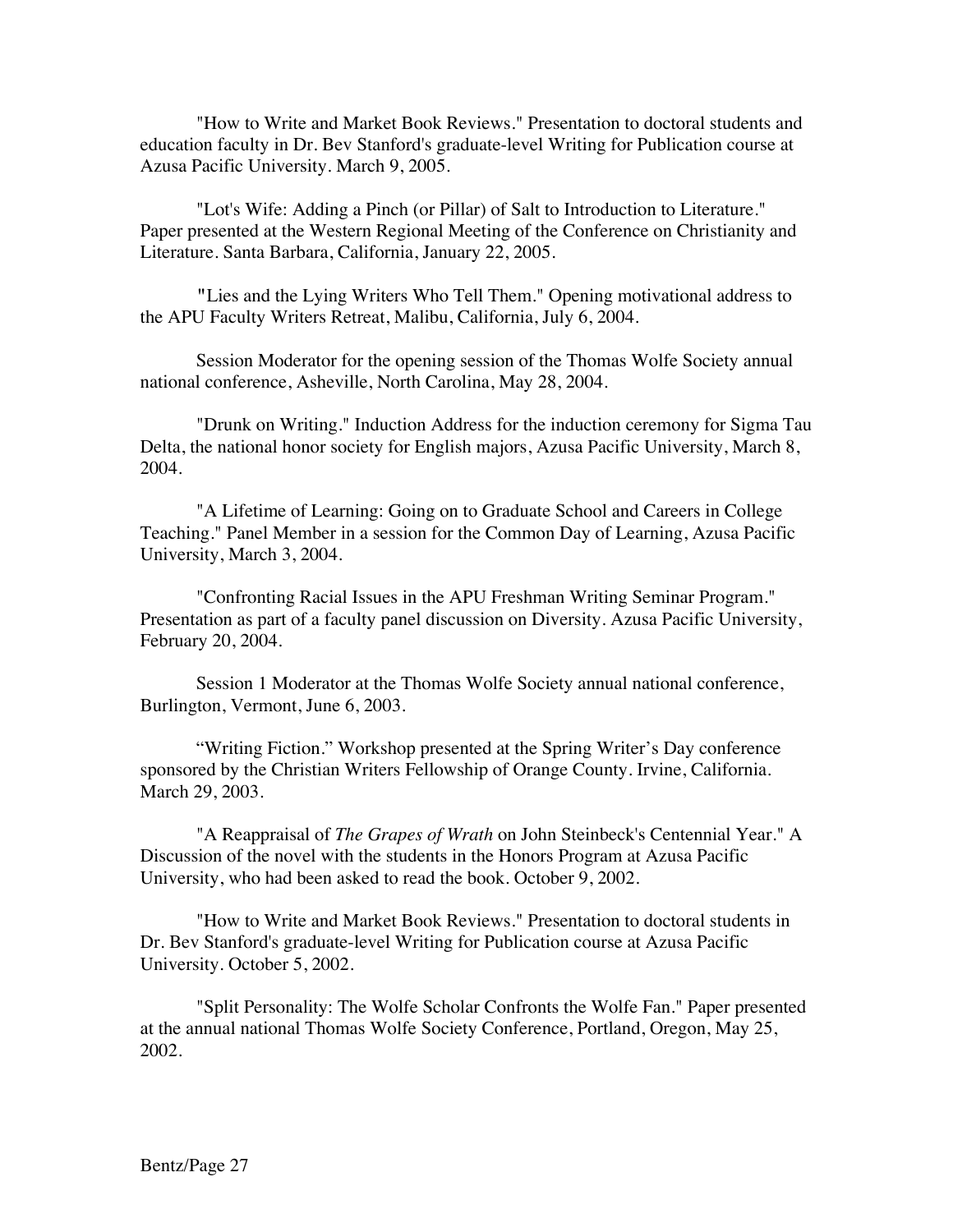"How to Write and Market Book Reviews." Presentation to doctoral students and education faculty in Dr. Bev Stanford's graduate-level Writing for Publication course at Azusa Pacific University. March 9, 2005.

"Lot's Wife: Adding a Pinch (or Pillar) of Salt to Introduction to Literature." Paper presented at the Western Regional Meeting of the Conference on Christianity and Literature. Santa Barbara, California, January 22, 2005.

**"**Lies and the Lying Writers Who Tell Them." Opening motivational address to the APU Faculty Writers Retreat, Malibu, California, July 6, 2004.

Session Moderator for the opening session of the Thomas Wolfe Society annual national conference, Asheville, North Carolina, May 28, 2004.

"Drunk on Writing." Induction Address for the induction ceremony for Sigma Tau Delta, the national honor society for English majors, Azusa Pacific University, March 8, 2004.

"A Lifetime of Learning: Going on to Graduate School and Careers in College Teaching." Panel Member in a session for the Common Day of Learning, Azusa Pacific University, March 3, 2004.

"Confronting Racial Issues in the APU Freshman Writing Seminar Program." Presentation as part of a faculty panel discussion on Diversity. Azusa Pacific University, February 20, 2004.

Session 1 Moderator at the Thomas Wolfe Society annual national conference, Burlington, Vermont, June 6, 2003.

"Writing Fiction." Workshop presented at the Spring Writer's Day conference sponsored by the Christian Writers Fellowship of Orange County. Irvine, California. March 29, 2003.

"A Reappraisal of *The Grapes of Wrath* on John Steinbeck's Centennial Year." A Discussion of the novel with the students in the Honors Program at Azusa Pacific University, who had been asked to read the book. October 9, 2002.

"How to Write and Market Book Reviews." Presentation to doctoral students in Dr. Bev Stanford's graduate-level Writing for Publication course at Azusa Pacific University. October 5, 2002.

"Split Personality: The Wolfe Scholar Confronts the Wolfe Fan." Paper presented at the annual national Thomas Wolfe Society Conference, Portland, Oregon, May 25, 2002.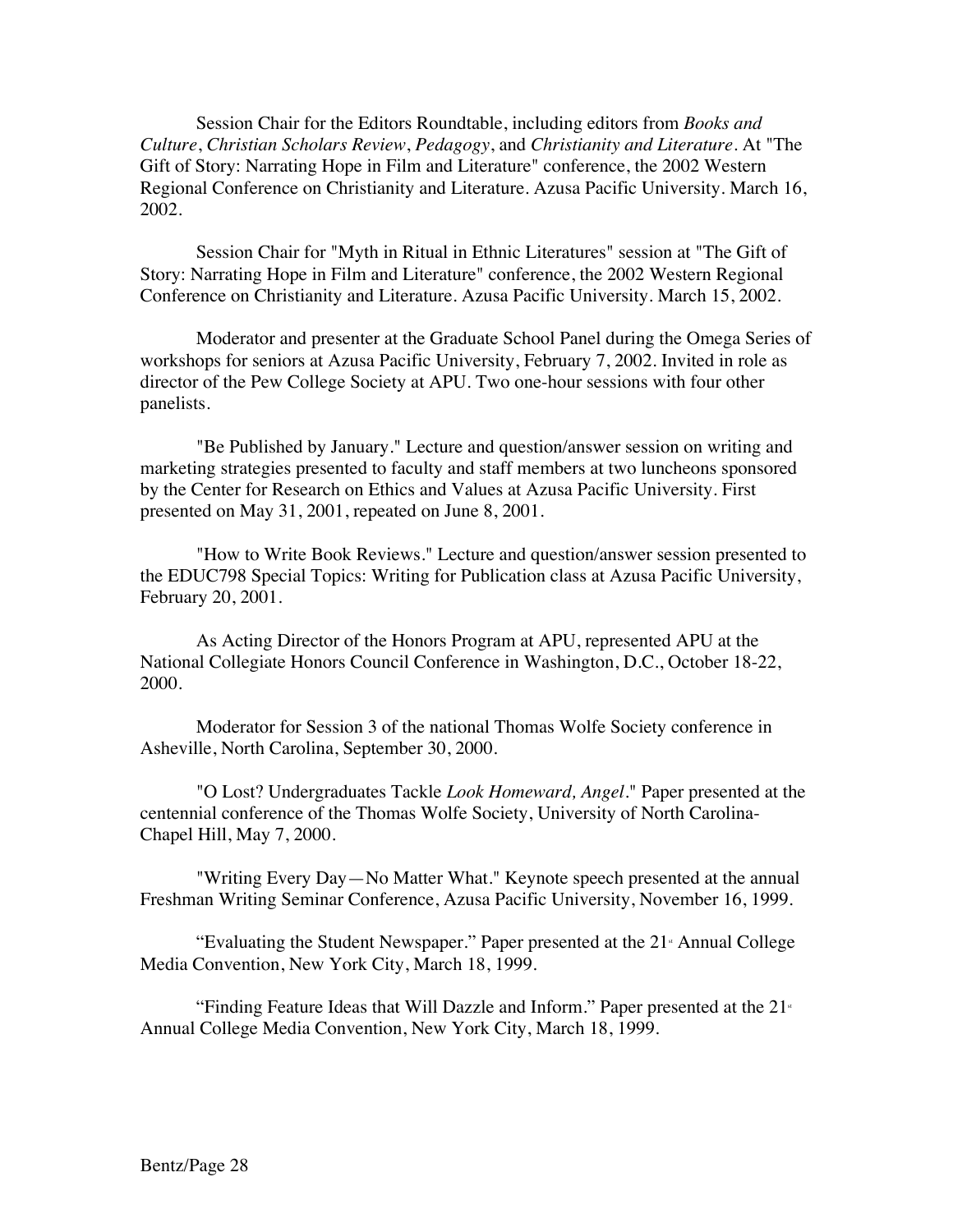Session Chair for the Editors Roundtable, including editors from *Books and Culture*, *Christian Scholars Review*, *Pedagogy*, and *Christianity and Literature*. At "The Gift of Story: Narrating Hope in Film and Literature" conference, the 2002 Western Regional Conference on Christianity and Literature. Azusa Pacific University. March 16, 2002.

Session Chair for "Myth in Ritual in Ethnic Literatures" session at "The Gift of Story: Narrating Hope in Film and Literature" conference, the 2002 Western Regional Conference on Christianity and Literature. Azusa Pacific University. March 15, 2002.

Moderator and presenter at the Graduate School Panel during the Omega Series of workshops for seniors at Azusa Pacific University, February 7, 2002. Invited in role as director of the Pew College Society at APU. Two one-hour sessions with four other panelists.

"Be Published by January." Lecture and question/answer session on writing and marketing strategies presented to faculty and staff members at two luncheons sponsored by the Center for Research on Ethics and Values at Azusa Pacific University. First presented on May 31, 2001, repeated on June 8, 2001.

"How to Write Book Reviews." Lecture and question/answer session presented to the EDUC798 Special Topics: Writing for Publication class at Azusa Pacific University, February 20, 2001.

As Acting Director of the Honors Program at APU, represented APU at the National Collegiate Honors Council Conference in Washington, D.C., October 18-22, 2000.

Moderator for Session 3 of the national Thomas Wolfe Society conference in Asheville, North Carolina, September 30, 2000.

"O Lost? Undergraduates Tackle *Look Homeward, Angel*." Paper presented at the centennial conference of the Thomas Wolfe Society, University of North Carolina-Chapel Hill, May 7, 2000.

"Writing Every Day—No Matter What." Keynote speech presented at the annual Freshman Writing Seminar Conference, Azusa Pacific University, November 16, 1999.

"Evaluating the Student Newspaper." Paper presented at the  $21$ <sup>s</sup> Annual College Media Convention, New York City, March 18, 1999.

"Finding Feature Ideas that Will Dazzle and Inform." Paper presented at the  $21<sup>*</sup>$ Annual College Media Convention, New York City, March 18, 1999.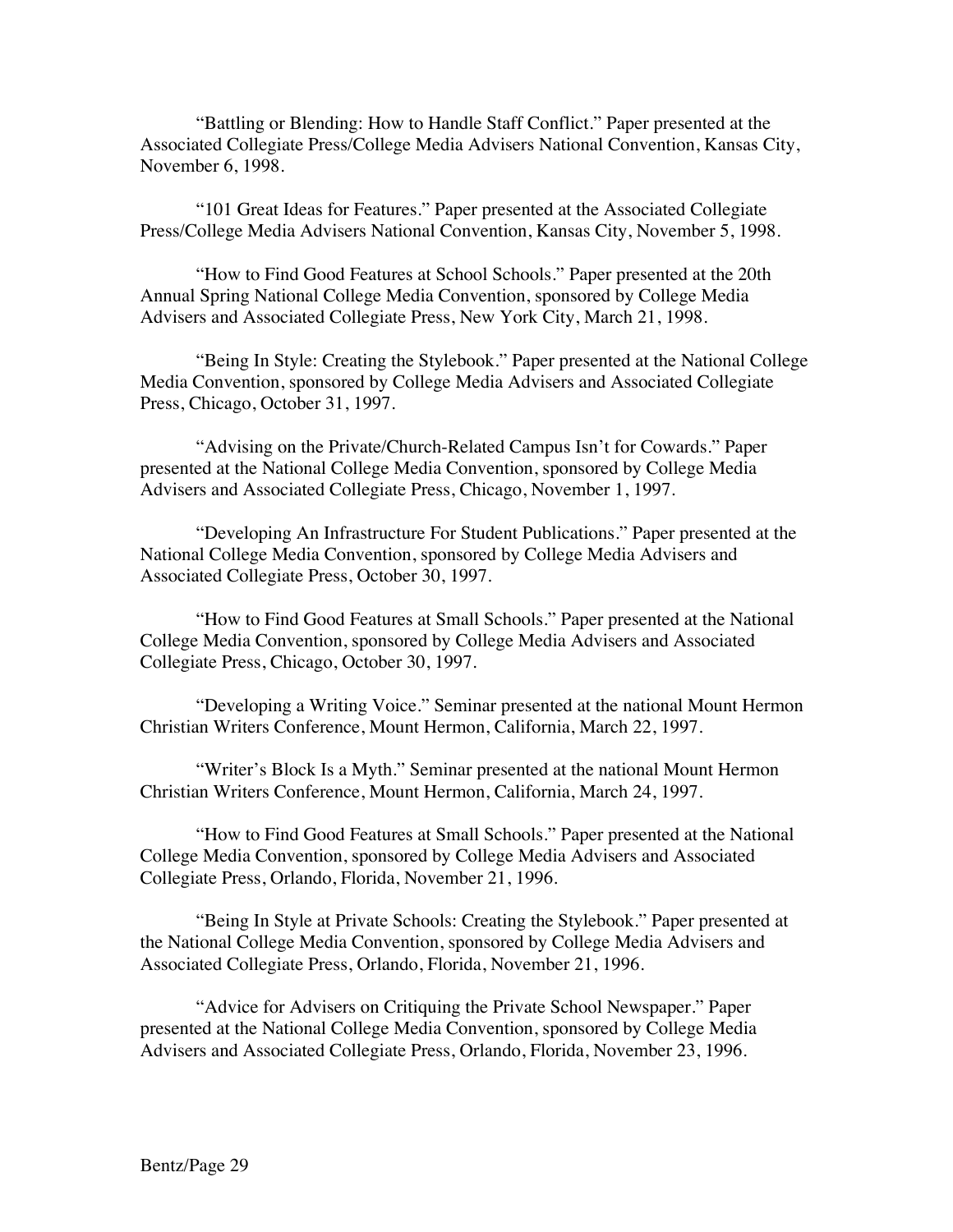"Battling or Blending: How to Handle Staff Conflict." Paper presented at the Associated Collegiate Press/College Media Advisers National Convention, Kansas City, November 6, 1998.

"101 Great Ideas for Features." Paper presented at the Associated Collegiate Press/College Media Advisers National Convention, Kansas City, November 5, 1998.

"How to Find Good Features at School Schools." Paper presented at the 20th Annual Spring National College Media Convention, sponsored by College Media Advisers and Associated Collegiate Press, New York City, March 21, 1998.

"Being In Style: Creating the Stylebook." Paper presented at the National College Media Convention, sponsored by College Media Advisers and Associated Collegiate Press, Chicago, October 31, 1997.

"Advising on the Private/Church-Related Campus Isn't for Cowards." Paper presented at the National College Media Convention, sponsored by College Media Advisers and Associated Collegiate Press, Chicago, November 1, 1997.

"Developing An Infrastructure For Student Publications." Paper presented at the National College Media Convention, sponsored by College Media Advisers and Associated Collegiate Press, October 30, 1997.

"How to Find Good Features at Small Schools." Paper presented at the National College Media Convention, sponsored by College Media Advisers and Associated Collegiate Press, Chicago, October 30, 1997.

"Developing a Writing Voice." Seminar presented at the national Mount Hermon Christian Writers Conference, Mount Hermon, California, March 22, 1997.

"Writer's Block Is a Myth." Seminar presented at the national Mount Hermon Christian Writers Conference, Mount Hermon, California, March 24, 1997.

"How to Find Good Features at Small Schools." Paper presented at the National College Media Convention, sponsored by College Media Advisers and Associated Collegiate Press, Orlando, Florida, November 21, 1996.

"Being In Style at Private Schools: Creating the Stylebook." Paper presented at the National College Media Convention, sponsored by College Media Advisers and Associated Collegiate Press, Orlando, Florida, November 21, 1996.

"Advice for Advisers on Critiquing the Private School Newspaper." Paper presented at the National College Media Convention, sponsored by College Media Advisers and Associated Collegiate Press, Orlando, Florida, November 23, 1996.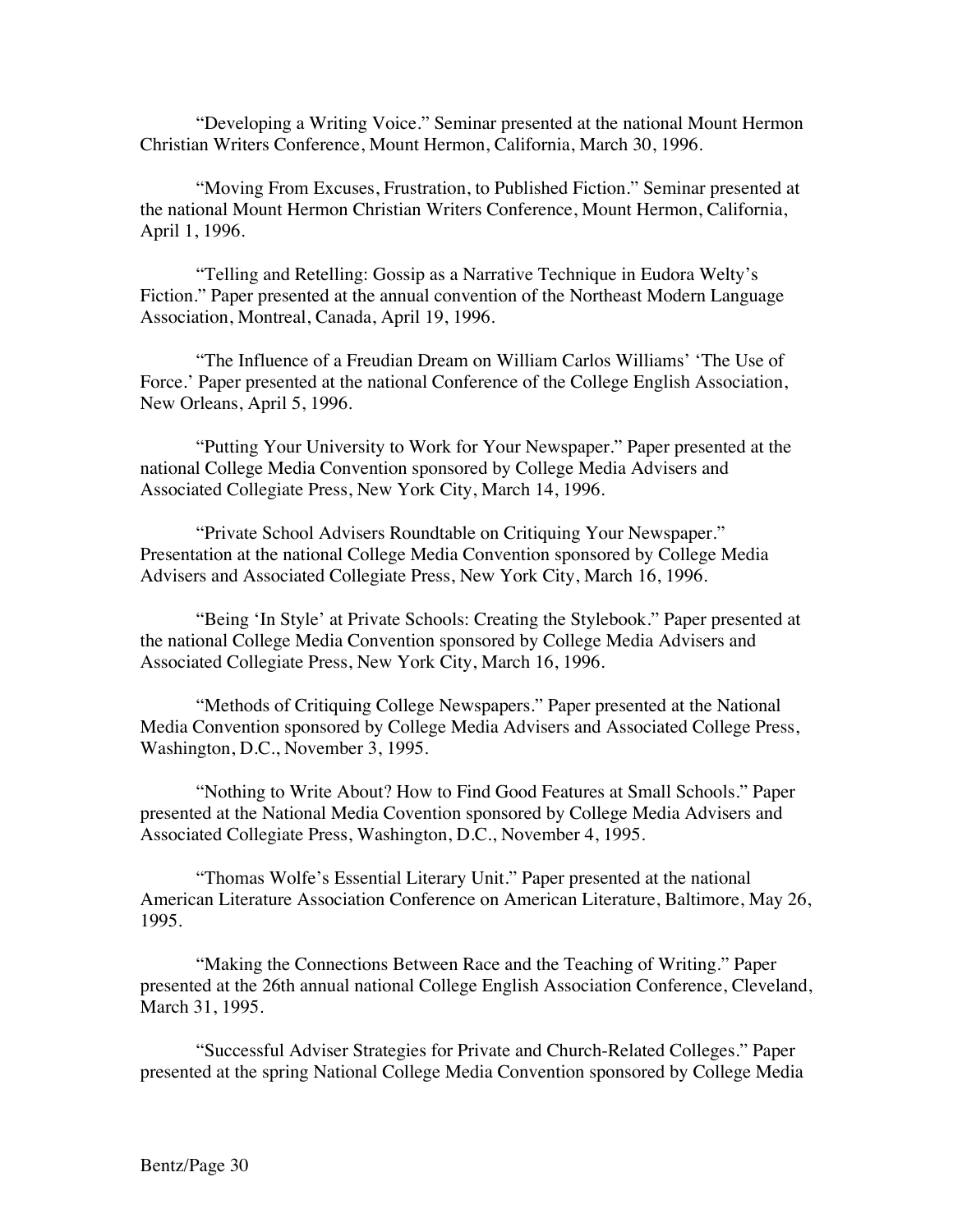"Developing a Writing Voice." Seminar presented at the national Mount Hermon Christian Writers Conference, Mount Hermon, California, March 30, 1996.

"Moving From Excuses, Frustration, to Published Fiction." Seminar presented at the national Mount Hermon Christian Writers Conference, Mount Hermon, California, April 1, 1996.

"Telling and Retelling: Gossip as a Narrative Technique in Eudora Welty's Fiction." Paper presented at the annual convention of the Northeast Modern Language Association, Montreal, Canada, April 19, 1996.

"The Influence of a Freudian Dream on William Carlos Williams' 'The Use of Force.' Paper presented at the national Conference of the College English Association, New Orleans, April 5, 1996.

"Putting Your University to Work for Your Newspaper." Paper presented at the national College Media Convention sponsored by College Media Advisers and Associated Collegiate Press, New York City, March 14, 1996.

"Private School Advisers Roundtable on Critiquing Your Newspaper." Presentation at the national College Media Convention sponsored by College Media Advisers and Associated Collegiate Press, New York City, March 16, 1996.

"Being 'In Style' at Private Schools: Creating the Stylebook." Paper presented at the national College Media Convention sponsored by College Media Advisers and Associated Collegiate Press, New York City, March 16, 1996.

"Methods of Critiquing College Newspapers." Paper presented at the National Media Convention sponsored by College Media Advisers and Associated College Press, Washington, D.C., November 3, 1995.

"Nothing to Write About? How to Find Good Features at Small Schools." Paper presented at the National Media Covention sponsored by College Media Advisers and Associated Collegiate Press, Washington, D.C., November 4, 1995.

"Thomas Wolfe's Essential Literary Unit." Paper presented at the national American Literature Association Conference on American Literature, Baltimore, May 26, 1995.

"Making the Connections Between Race and the Teaching of Writing." Paper presented at the 26th annual national College English Association Conference, Cleveland, March 31, 1995.

"Successful Adviser Strategies for Private and Church-Related Colleges." Paper presented at the spring National College Media Convention sponsored by College Media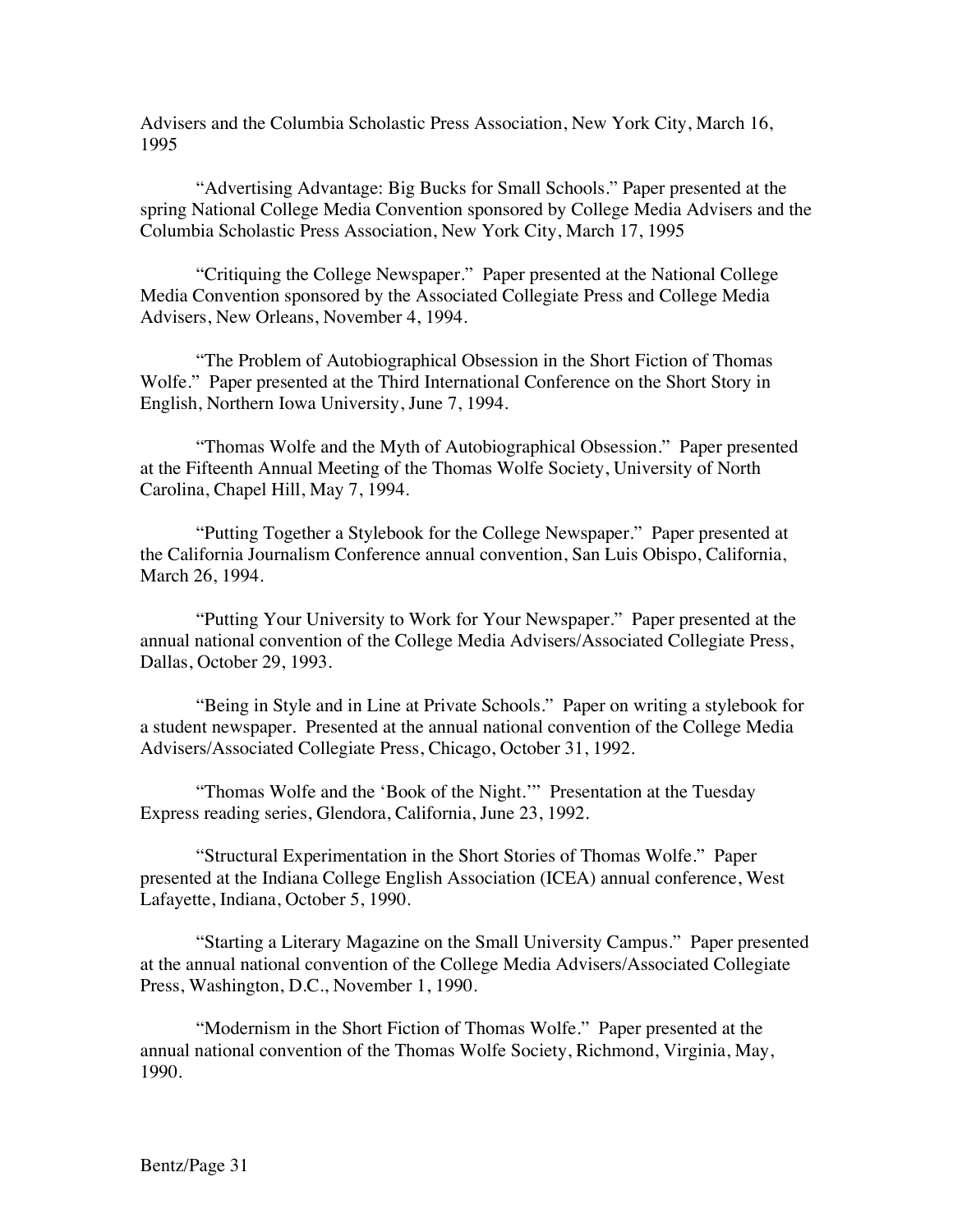Advisers and the Columbia Scholastic Press Association, New York City, March 16, 1995

"Advertising Advantage: Big Bucks for Small Schools." Paper presented at the spring National College Media Convention sponsored by College Media Advisers and the Columbia Scholastic Press Association, New York City, March 17, 1995

"Critiquing the College Newspaper." Paper presented at the National College Media Convention sponsored by the Associated Collegiate Press and College Media Advisers, New Orleans, November 4, 1994.

"The Problem of Autobiographical Obsession in the Short Fiction of Thomas Wolfe." Paper presented at the Third International Conference on the Short Story in English, Northern Iowa University, June 7, 1994.

"Thomas Wolfe and the Myth of Autobiographical Obsession." Paper presented at the Fifteenth Annual Meeting of the Thomas Wolfe Society, University of North Carolina, Chapel Hill, May 7, 1994.

"Putting Together a Stylebook for the College Newspaper." Paper presented at the California Journalism Conference annual convention, San Luis Obispo, California, March 26, 1994.

"Putting Your University to Work for Your Newspaper." Paper presented at the annual national convention of the College Media Advisers/Associated Collegiate Press, Dallas, October 29, 1993.

"Being in Style and in Line at Private Schools." Paper on writing a stylebook for a student newspaper. Presented at the annual national convention of the College Media Advisers/Associated Collegiate Press, Chicago, October 31, 1992.

"Thomas Wolfe and the 'Book of the Night.'" Presentation at the Tuesday Express reading series, Glendora, California, June 23, 1992.

"Structural Experimentation in the Short Stories of Thomas Wolfe." Paper presented at the Indiana College English Association (ICEA) annual conference, West Lafayette, Indiana, October 5, 1990.

"Starting a Literary Magazine on the Small University Campus." Paper presented at the annual national convention of the College Media Advisers/Associated Collegiate Press, Washington, D.C., November 1, 1990.

"Modernism in the Short Fiction of Thomas Wolfe." Paper presented at the annual national convention of the Thomas Wolfe Society, Richmond, Virginia, May, 1990.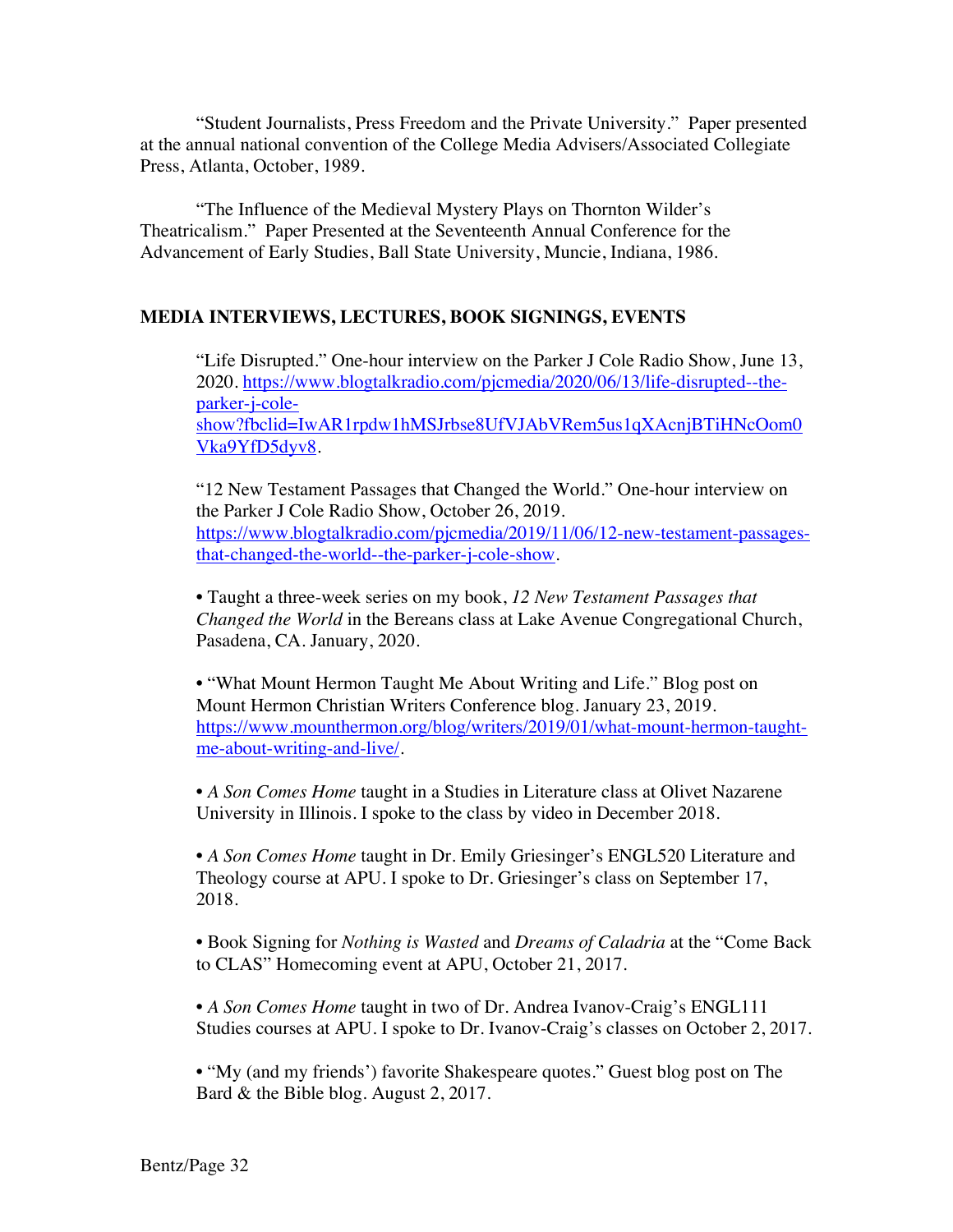"Student Journalists, Press Freedom and the Private University." Paper presented at the annual national convention of the College Media Advisers/Associated Collegiate Press, Atlanta, October, 1989.

"The Influence of the Medieval Mystery Plays on Thornton Wilder's Theatricalism." Paper Presented at the Seventeenth Annual Conference for the Advancement of Early Studies, Ball State University, Muncie, Indiana, 1986.

### **MEDIA INTERVIEWS, LECTURES, BOOK SIGNINGS, EVENTS**

"Life Disrupted." One-hour interview on the Parker J Cole Radio Show, June 13, 2020. https://www.blogtalkradio.com/pjcmedia/2020/06/13/life-disrupted--theparker-j-coleshow?fbclid=IwAR1rpdw1hMSJrbse8UfVJAbVRem5us1qXAcnjBTiHNcOom0 Vka9YfD5dyv8.

"12 New Testament Passages that Changed the World." One-hour interview on the Parker J Cole Radio Show, October 26, 2019. https://www.blogtalkradio.com/pjcmedia/2019/11/06/12-new-testament-passagesthat-changed-the-world--the-parker-j-cole-show.

• Taught a three-week series on my book, *12 New Testament Passages that Changed the World* in the Bereans class at Lake Avenue Congregational Church, Pasadena, CA. January, 2020.

• "What Mount Hermon Taught Me About Writing and Life." Blog post on Mount Hermon Christian Writers Conference blog. January 23, 2019. https://www.mounthermon.org/blog/writers/2019/01/what-mount-hermon-taughtme-about-writing-and-live/.

• *A Son Comes Home* taught in a Studies in Literature class at Olivet Nazarene University in Illinois. I spoke to the class by video in December 2018.

• *A Son Comes Home* taught in Dr. Emily Griesinger's ENGL520 Literature and Theology course at APU. I spoke to Dr. Griesinger's class on September 17, 2018.

• Book Signing for *Nothing is Wasted* and *Dreams of Caladria* at the "Come Back to CLAS" Homecoming event at APU, October 21, 2017.

• *A Son Comes Home* taught in two of Dr. Andrea Ivanov-Craig's ENGL111 Studies courses at APU. I spoke to Dr. Ivanov-Craig's classes on October 2, 2017.

• "My (and my friends') favorite Shakespeare quotes." Guest blog post on The Bard & the Bible blog. August 2, 2017.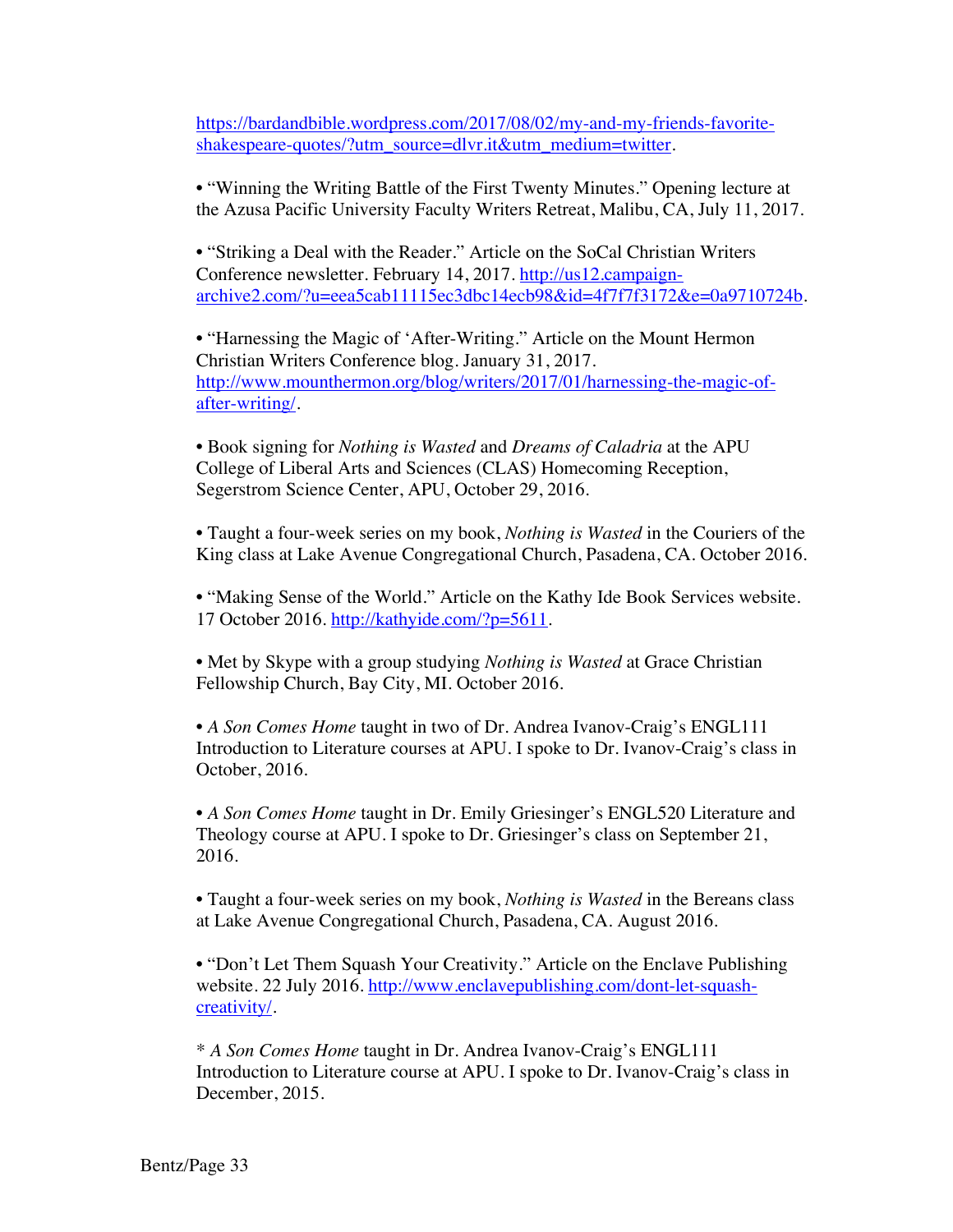https://bardandbible.wordpress.com/2017/08/02/my-and-my-friends-favoriteshakespeare-quotes/?utm\_source=dlvr.it&utm\_medium=twitter.

• "Winning the Writing Battle of the First Twenty Minutes." Opening lecture at the Azusa Pacific University Faculty Writers Retreat, Malibu, CA, July 11, 2017.

• "Striking a Deal with the Reader." Article on the SoCal Christian Writers Conference newsletter. February 14, 2017. http://us12.campaignarchive2.com/?u=eea5cab11115ec3dbc14ecb98&id=4f7f7f3172&e=0a9710724b.

• "Harnessing the Magic of 'After-Writing." Article on the Mount Hermon Christian Writers Conference blog. January 31, 2017. http://www.mounthermon.org/blog/writers/2017/01/harnessing-the-magic-ofafter-writing/.

• Book signing for *Nothing is Wasted* and *Dreams of Caladria* at the APU College of Liberal Arts and Sciences (CLAS) Homecoming Reception, Segerstrom Science Center, APU, October 29, 2016.

• Taught a four-week series on my book, *Nothing is Wasted* in the Couriers of the King class at Lake Avenue Congregational Church, Pasadena, CA. October 2016.

• "Making Sense of the World." Article on the Kathy Ide Book Services website. 17 October 2016. http://kathyide.com/?p=5611.

• Met by Skype with a group studying *Nothing is Wasted* at Grace Christian Fellowship Church, Bay City, MI. October 2016.

• *A Son Comes Home* taught in two of Dr. Andrea Ivanov-Craig's ENGL111 Introduction to Literature courses at APU. I spoke to Dr. Ivanov-Craig's class in October, 2016.

• *A Son Comes Home* taught in Dr. Emily Griesinger's ENGL520 Literature and Theology course at APU. I spoke to Dr. Griesinger's class on September 21, 2016.

• Taught a four-week series on my book, *Nothing is Wasted* in the Bereans class at Lake Avenue Congregational Church, Pasadena, CA. August 2016.

• "Don't Let Them Squash Your Creativity." Article on the Enclave Publishing website. 22 July 2016. http://www.enclavepublishing.com/dont-let-squashcreativity/.

\* *A Son Comes Home* taught in Dr. Andrea Ivanov-Craig's ENGL111 Introduction to Literature course at APU. I spoke to Dr. Ivanov-Craig's class in December, 2015.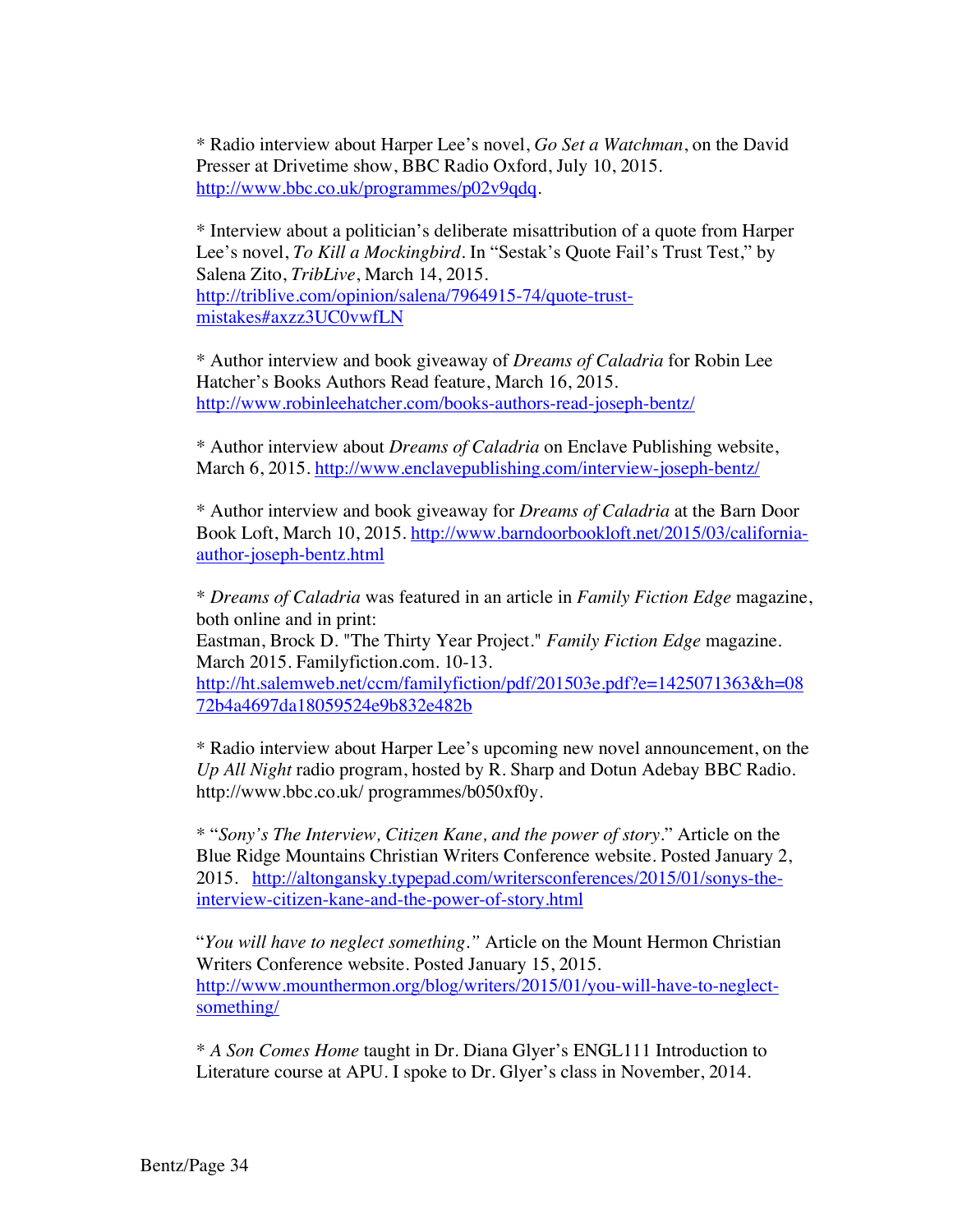\* Radio interview about Harper Lee's novel, *Go Set a Watchman*, on the David Presser at Drivetime show, BBC Radio Oxford, July 10, 2015. http://www.bbc.co.uk/programmes/p02v9qdq.

\* Interview about a politician's deliberate misattribution of a quote from Harper Lee's novel, *To Kill a Mockingbird*. In "Sestak's Quote Fail's Trust Test," by Salena Zito, *TribLive*, March 14, 2015. http://triblive.com/opinion/salena/7964915-74/quote-trustmistakes#axzz3UC0vwfLN

\* Author interview and book giveaway of *Dreams of Caladria* for Robin Lee Hatcher's Books Authors Read feature, March 16, 2015. http://www.robinleehatcher.com/books-authors-read-joseph-bentz/

\* Author interview about *Dreams of Caladria* on Enclave Publishing website, March 6, 2015. http://www.enclavepublishing.com/interview-joseph-bentz/

\* Author interview and book giveaway for *Dreams of Caladria* at the Barn Door Book Loft, March 10, 2015. http://www.barndoorbookloft.net/2015/03/californiaauthor-joseph-bentz.html

\* *Dreams of Caladria* was featured in an article in *Family Fiction Edge* magazine, both online and in print:

Eastman, Brock D. "The Thirty Year Project." *Family Fiction Edge* magazine. March 2015. Familyfiction.com. 10-13.

http://ht.salemweb.net/ccm/familyfiction/pdf/201503e.pdf?e=1425071363&h=08 72b4a4697da18059524e9b832e482b

\* Radio interview about Harper Lee's upcoming new novel announcement, on the *Up All Night* radio program, hosted by R. Sharp and Dotun Adebay BBC Radio. http://www.bbc.co.uk/ programmes/b050xf0y.

\* "*Sony's The Interview, Citizen Kane, and the power of story*." Article on the Blue Ridge Mountains Christian Writers Conference website. Posted January 2, 2015. http://altongansky.typepad.com/writersconferences/2015/01/sonys-theinterview-citizen-kane-and-the-power-of-story.html

"*You will have to neglect something."* Article on the Mount Hermon Christian Writers Conference website. Posted January 15, 2015. http://www.mounthermon.org/blog/writers/2015/01/you-will-have-to-neglectsomething/

\* *A Son Comes Home* taught in Dr. Diana Glyer's ENGL111 Introduction to Literature course at APU. I spoke to Dr. Glyer's class in November, 2014.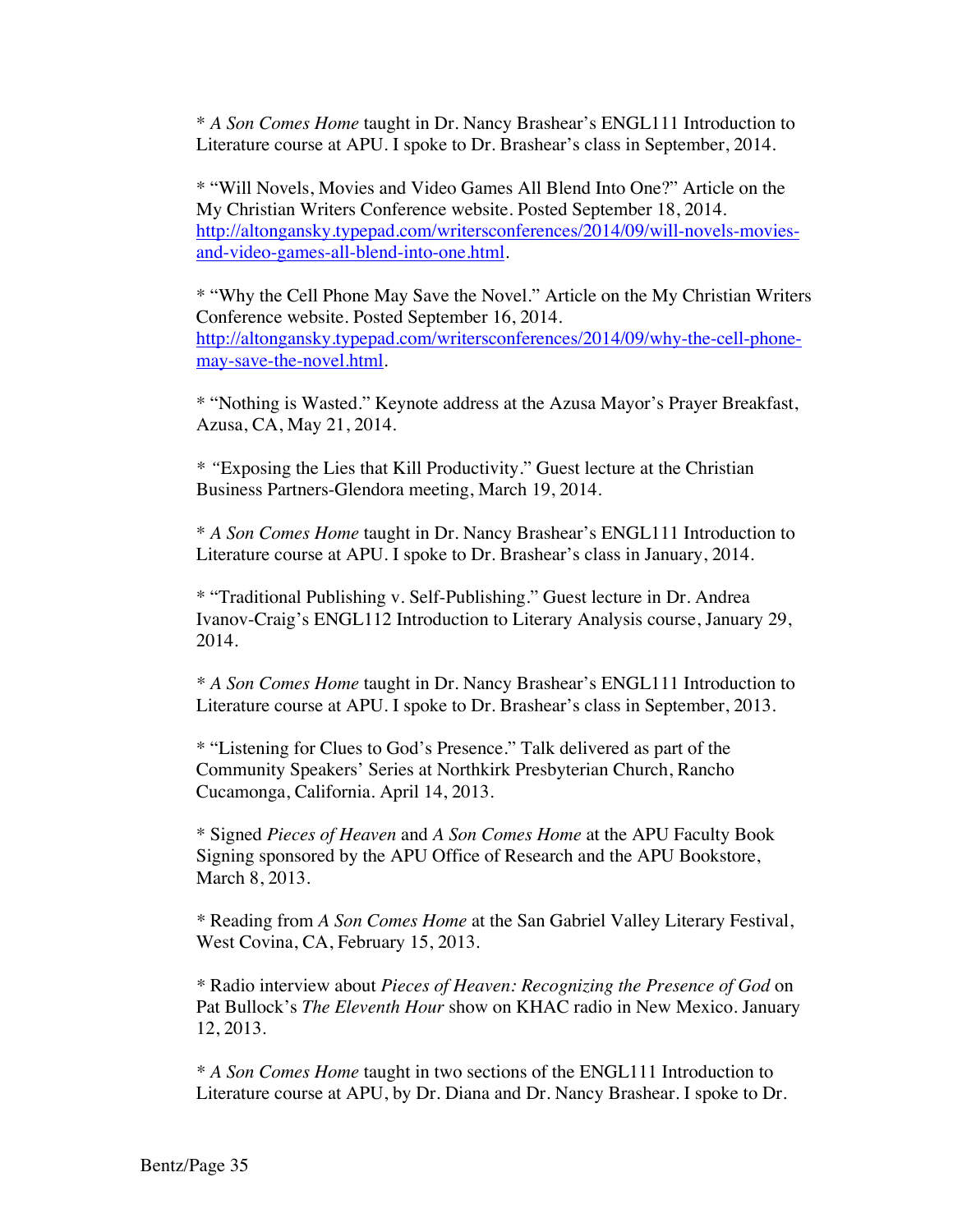\* *A Son Comes Home* taught in Dr. Nancy Brashear's ENGL111 Introduction to Literature course at APU. I spoke to Dr. Brashear's class in September, 2014.

\* "Will Novels, Movies and Video Games All Blend Into One?" Article on the My Christian Writers Conference website. Posted September 18, 2014. http://altongansky.typepad.com/writersconferences/2014/09/will-novels-moviesand-video-games-all-blend-into-one.html.

\* "Why the Cell Phone May Save the Novel." Article on the My Christian Writers Conference website. Posted September 16, 2014. http://altongansky.typepad.com/writersconferences/2014/09/why-the-cell-phonemay-save-the-novel.html.

\* "Nothing is Wasted." Keynote address at the Azusa Mayor's Prayer Breakfast, Azusa, CA, May 21, 2014.

*\* "*Exposing the Lies that Kill Productivity." Guest lecture at the Christian Business Partners-Glendora meeting, March 19, 2014.

\* *A Son Comes Home* taught in Dr. Nancy Brashear's ENGL111 Introduction to Literature course at APU. I spoke to Dr. Brashear's class in January, 2014.

\* "Traditional Publishing v. Self-Publishing." Guest lecture in Dr. Andrea Ivanov-Craig's ENGL112 Introduction to Literary Analysis course, January 29, 2014.

*\* A Son Comes Home* taught in Dr. Nancy Brashear's ENGL111 Introduction to Literature course at APU. I spoke to Dr. Brashear's class in September, 2013.

\* "Listening for Clues to God's Presence." Talk delivered as part of the Community Speakers' Series at Northkirk Presbyterian Church, Rancho Cucamonga, California. April 14, 2013.

\* Signed *Pieces of Heaven* and *A Son Comes Home* at the APU Faculty Book Signing sponsored by the APU Office of Research and the APU Bookstore, March 8, 2013.

*\** Reading from *A Son Comes Home* at the San Gabriel Valley Literary Festival, West Covina, CA, February 15, 2013.

*\** Radio interview about *Pieces of Heaven: Recognizing the Presence of God* on Pat Bullock's *The Eleventh Hour* show on KHAC radio in New Mexico. January 12, 2013.

*\* A Son Comes Home* taught in two sections of the ENGL111 Introduction to Literature course at APU, by Dr. Diana and Dr. Nancy Brashear. I spoke to Dr.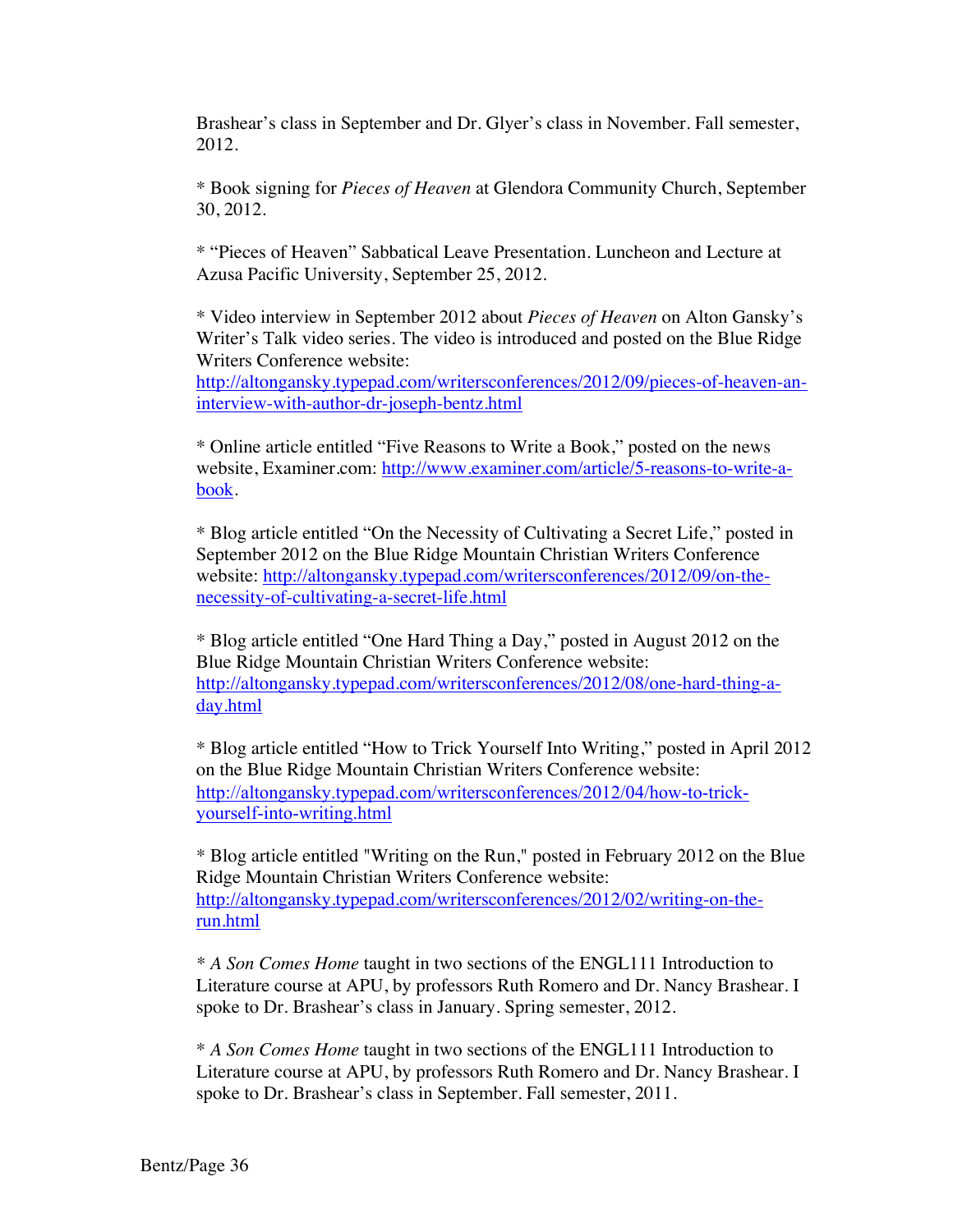Brashear's class in September and Dr. Glyer's class in November. Fall semester, 2012.

\* Book signing for *Pieces of Heaven* at Glendora Community Church, September 30, 2012.

\* "Pieces of Heaven" Sabbatical Leave Presentation. Luncheon and Lecture at Azusa Pacific University, September 25, 2012.

\* Video interview in September 2012 about *Pieces of Heaven* on Alton Gansky's Writer's Talk video series. The video is introduced and posted on the Blue Ridge Writers Conference website:

http://altongansky.typepad.com/writersconferences/2012/09/pieces-of-heaven-aninterview-with-author-dr-joseph-bentz.html

\* Online article entitled "Five Reasons to Write a Book," posted on the news website, Examiner.com: http://www.examiner.com/article/5-reasons-to-write-abook.

\* Blog article entitled "On the Necessity of Cultivating a Secret Life," posted in September 2012 on the Blue Ridge Mountain Christian Writers Conference website: http://altongansky.typepad.com/writersconferences/2012/09/on-thenecessity-of-cultivating-a-secret-life.html

\* Blog article entitled "One Hard Thing a Day," posted in August 2012 on the Blue Ridge Mountain Christian Writers Conference website: http://altongansky.typepad.com/writersconferences/2012/08/one-hard-thing-aday.html

\* Blog article entitled "How to Trick Yourself Into Writing," posted in April 2012 on the Blue Ridge Mountain Christian Writers Conference website: http://altongansky.typepad.com/writersconferences/2012/04/how-to-trickyourself-into-writing.html

\* Blog article entitled "Writing on the Run," posted in February 2012 on the Blue Ridge Mountain Christian Writers Conference website: http://altongansky.typepad.com/writersconferences/2012/02/writing-on-therun.html

*\* A Son Comes Home* taught in two sections of the ENGL111 Introduction to Literature course at APU, by professors Ruth Romero and Dr. Nancy Brashear. I spoke to Dr. Brashear's class in January. Spring semester, 2012.

\* *A Son Comes Home* taught in two sections of the ENGL111 Introduction to Literature course at APU, by professors Ruth Romero and Dr. Nancy Brashear. I spoke to Dr. Brashear's class in September. Fall semester, 2011.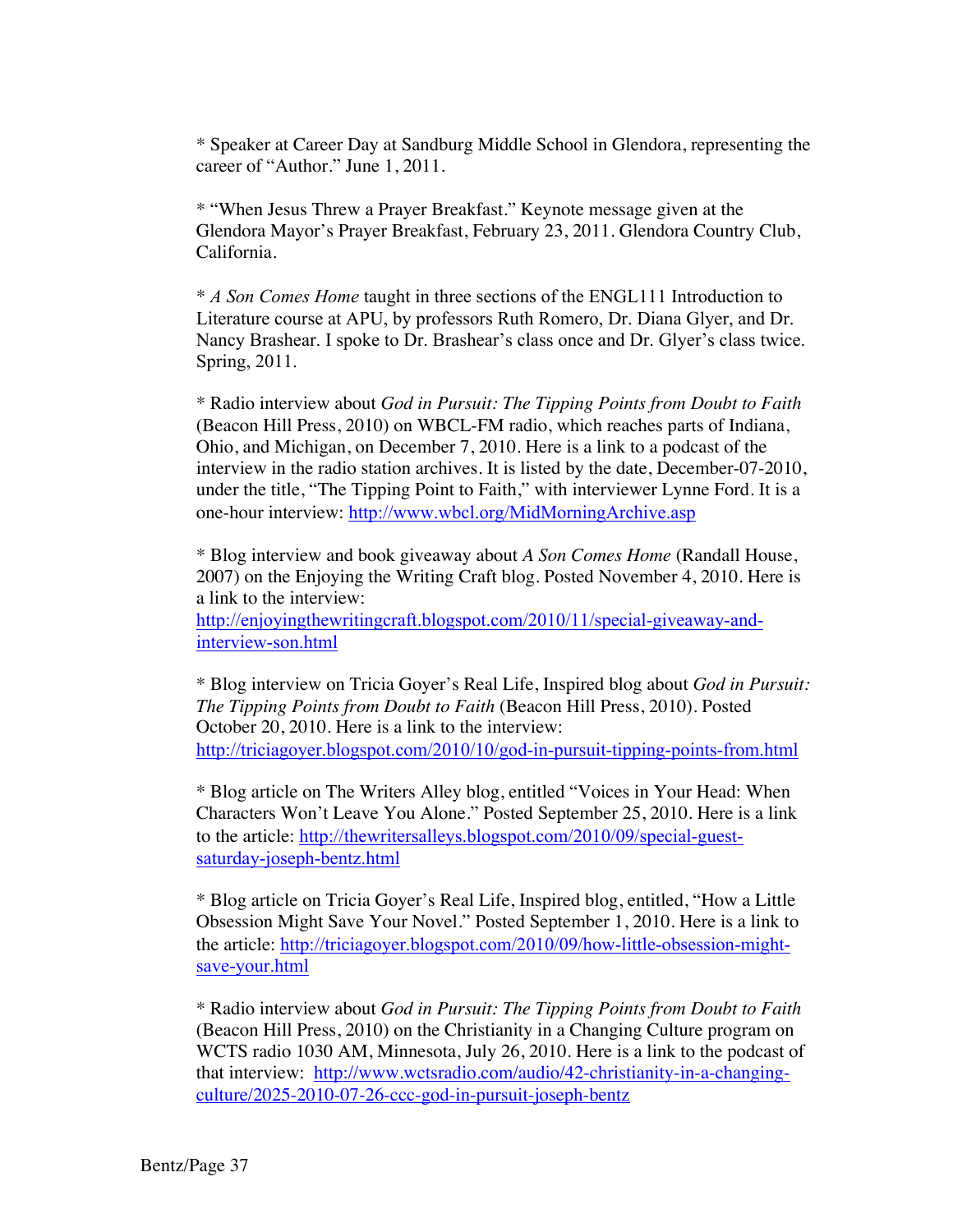\* Speaker at Career Day at Sandburg Middle School in Glendora, representing the career of "Author." June 1, 2011.

\* "When Jesus Threw a Prayer Breakfast." Keynote message given at the Glendora Mayor's Prayer Breakfast, February 23, 2011. Glendora Country Club, California.

\* *A Son Comes Home* taught in three sections of the ENGL111 Introduction to Literature course at APU, by professors Ruth Romero, Dr. Diana Glyer, and Dr. Nancy Brashear. I spoke to Dr. Brashear's class once and Dr. Glyer's class twice. Spring, 2011.

\* Radio interview about *God in Pursuit: The Tipping Points from Doubt to Faith* (Beacon Hill Press, 2010) on WBCL-FM radio, which reaches parts of Indiana, Ohio, and Michigan, on December 7, 2010. Here is a link to a podcast of the interview in the radio station archives. It is listed by the date, December-07-2010, under the title, "The Tipping Point to Faith," with interviewer Lynne Ford. It is a one-hour interview: http://www.wbcl.org/MidMorningArchive.asp

\* Blog interview and book giveaway about *A Son Comes Home* (Randall House, 2007) on the Enjoying the Writing Craft blog. Posted November 4, 2010. Here is a link to the interview:

http://enjoyingthewritingcraft.blogspot.com/2010/11/special-giveaway-andinterview-son.html

\* Blog interview on Tricia Goyer's Real Life, Inspired blog about *God in Pursuit: The Tipping Points from Doubt to Faith* (Beacon Hill Press, 2010). Posted October 20, 2010. Here is a link to the interview: http://triciagoyer.blogspot.com/2010/10/god-in-pursuit-tipping-points-from.html

\* Blog article on The Writers Alley blog, entitled "Voices in Your Head: When Characters Won't Leave You Alone." Posted September 25, 2010. Here is a link to the article: http://thewritersalleys.blogspot.com/2010/09/special-guestsaturday-joseph-bentz.html

\* Blog article on Tricia Goyer's Real Life, Inspired blog, entitled, "How a Little Obsession Might Save Your Novel." Posted September 1, 2010. Here is a link to the article: http://triciagoyer.blogspot.com/2010/09/how-little-obsession-mightsave-your.html

\* Radio interview about *God in Pursuit: The Tipping Points from Doubt to Faith*  (Beacon Hill Press, 2010) on the Christianity in a Changing Culture program on WCTS radio 1030 AM, Minnesota, July 26, 2010. Here is a link to the podcast of that interview: http://www.wctsradio.com/audio/42-christianity-in-a-changingculture/2025-2010-07-26-ccc-god-in-pursuit-joseph-bentz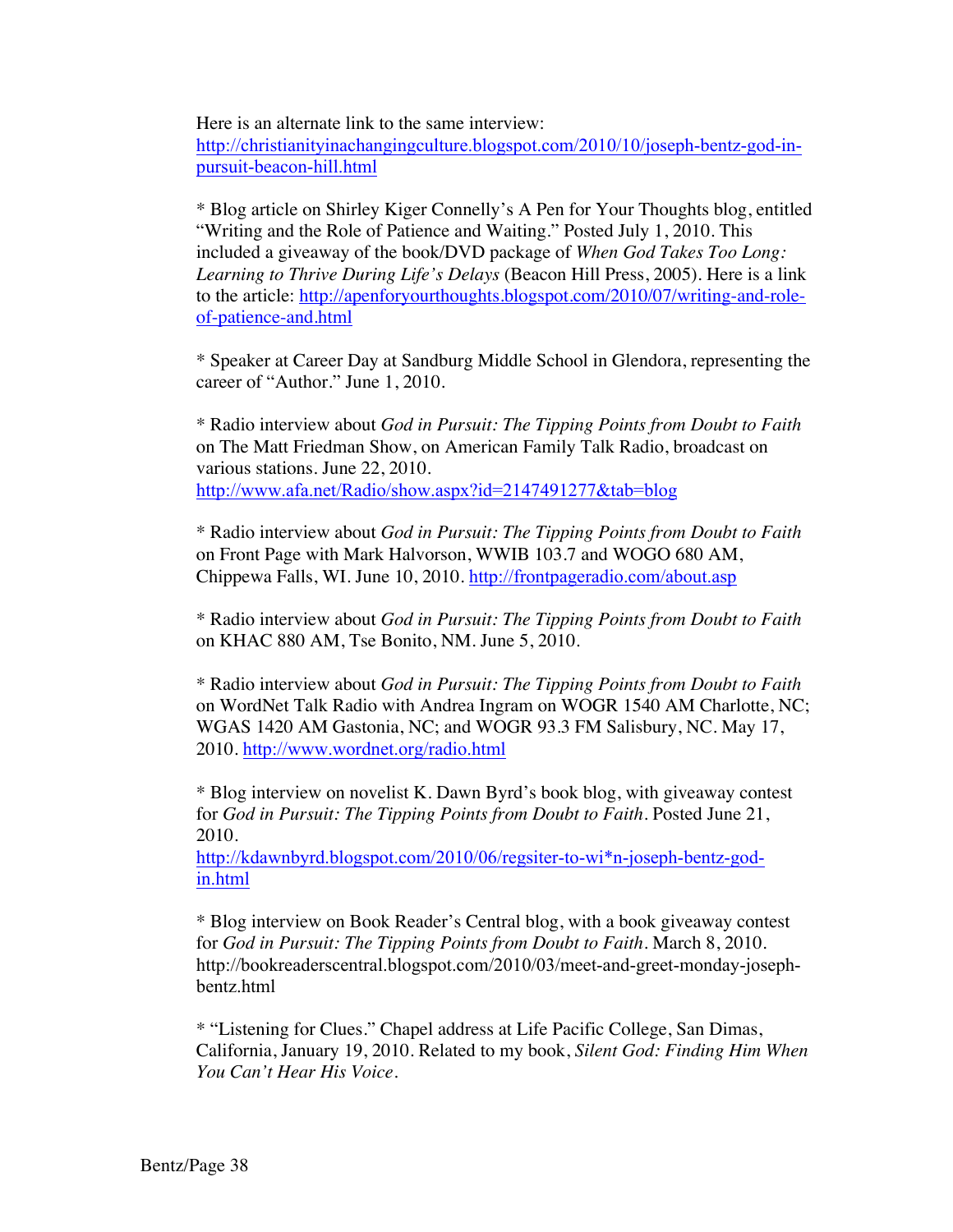Here is an alternate link to the same interview:

http://christianityinachangingculture.blogspot.com/2010/10/joseph-bentz-god-inpursuit-beacon-hill.html

\* Blog article on Shirley Kiger Connelly's A Pen for Your Thoughts blog, entitled "Writing and the Role of Patience and Waiting." Posted July 1, 2010. This included a giveaway of the book/DVD package of *When God Takes Too Long: Learning to Thrive During Life's Delays* (Beacon Hill Press, 2005). Here is a link to the article: http://apenforyourthoughts.blogspot.com/2010/07/writing-and-roleof-patience-and.html

\* Speaker at Career Day at Sandburg Middle School in Glendora, representing the career of "Author." June 1, 2010.

\* Radio interview about *God in Pursuit: The Tipping Points from Doubt to Faith* on The Matt Friedman Show, on American Family Talk Radio, broadcast on various stations. June 22, 2010. http://www.afa.net/Radio/show.aspx?id=2147491277&tab=blog

\* Radio interview about *God in Pursuit: The Tipping Points from Doubt to Faith* on Front Page with Mark Halvorson, WWIB 103.7 and WOGO 680 AM, Chippewa Falls, WI. June 10, 2010. http://frontpageradio.com/about.asp

\* Radio interview about *God in Pursuit: The Tipping Points from Doubt to Faith* on KHAC 880 AM, Tse Bonito, NM. June 5, 2010.

\* Radio interview about *God in Pursuit: The Tipping Points from Doubt to Faith* on WordNet Talk Radio with Andrea Ingram on WOGR 1540 AM Charlotte, NC; WGAS 1420 AM Gastonia, NC; and WOGR 93.3 FM Salisbury, NC. May 17, 2010. http://www.wordnet.org/radio.html

\* Blog interview on novelist K. Dawn Byrd's book blog, with giveaway contest for *God in Pursuit: The Tipping Points from Doubt to Faith*. Posted June 21, 2010.

http://kdawnbyrd.blogspot.com/2010/06/regsiter-to-wi\*n-joseph-bentz-godin.html

\* Blog interview on Book Reader's Central blog, with a book giveaway contest for *God in Pursuit: The Tipping Points from Doubt to Faith*. March 8, 2010. http://bookreaderscentral.blogspot.com/2010/03/meet-and-greet-monday-josephbentz.html

\* "Listening for Clues." Chapel address at Life Pacific College, San Dimas, California, January 19, 2010. Related to my book, *Silent God: Finding Him When You Can't Hear His Voice*.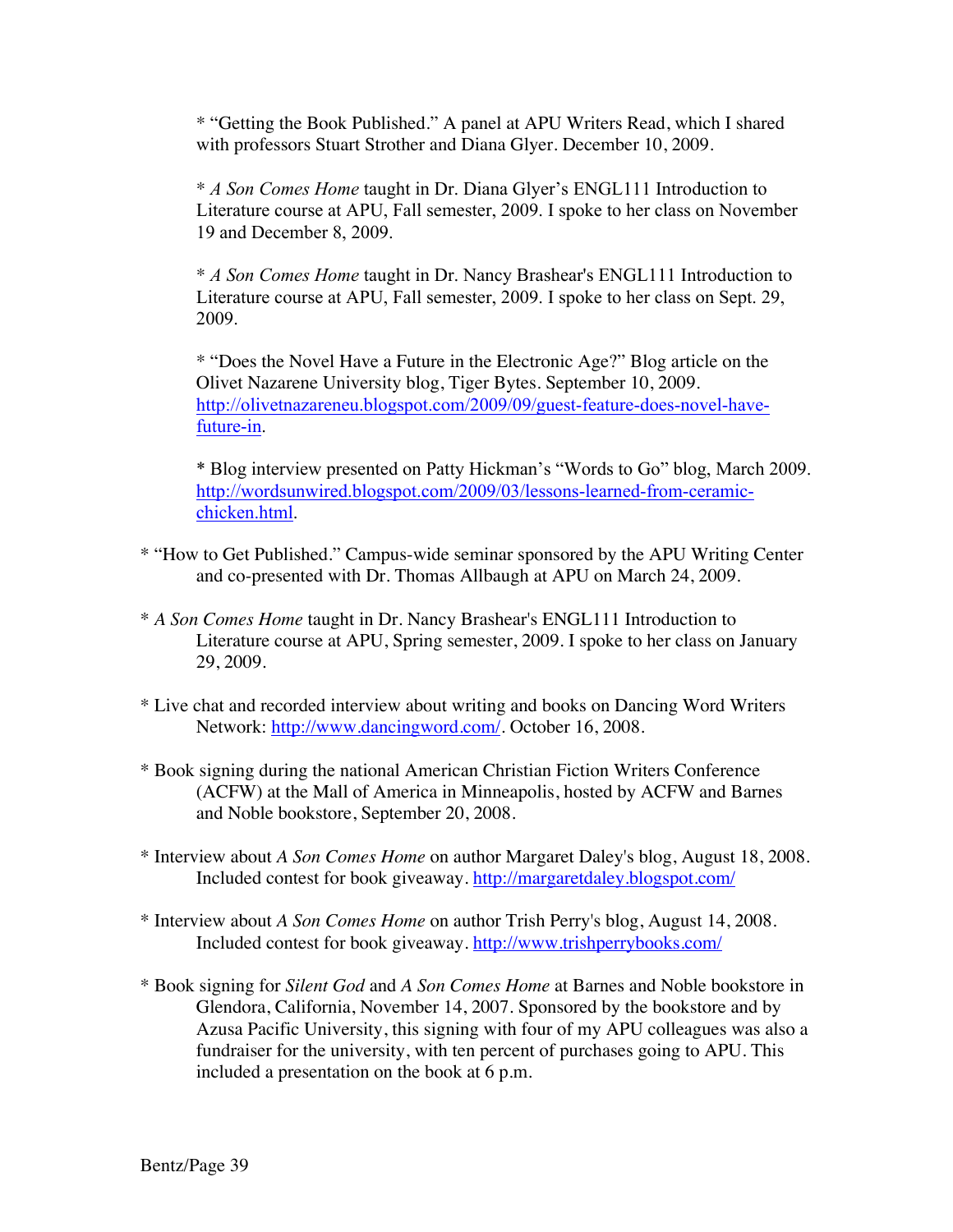\* "Getting the Book Published." A panel at APU Writers Read, which I shared with professors Stuart Strother and Diana Glyer. December 10, 2009.

\* *A Son Comes Home* taught in Dr. Diana Glyer's ENGL111 Introduction to Literature course at APU, Fall semester, 2009. I spoke to her class on November 19 and December 8, 2009.

\* *A Son Comes Home* taught in Dr. Nancy Brashear's ENGL111 Introduction to Literature course at APU, Fall semester, 2009. I spoke to her class on Sept. 29, 2009.

\* "Does the Novel Have a Future in the Electronic Age?" Blog article on the Olivet Nazarene University blog, Tiger Bytes. September 10, 2009. http://olivetnazareneu.blogspot.com/2009/09/guest-feature-does-novel-havefuture-in.

\* Blog interview presented on Patty Hickman's "Words to Go" blog, March 2009. http://wordsunwired.blogspot.com/2009/03/lessons-learned-from-ceramicchicken.html.

- \* "How to Get Published." Campus-wide seminar sponsored by the APU Writing Center and co-presented with Dr. Thomas Allbaugh at APU on March 24, 2009.
- \* *A Son Comes Home* taught in Dr. Nancy Brashear's ENGL111 Introduction to Literature course at APU, Spring semester, 2009. I spoke to her class on January 29, 2009.
- \* Live chat and recorded interview about writing and books on Dancing Word Writers Network: http://www.dancingword.com/. October 16, 2008.
- \* Book signing during the national American Christian Fiction Writers Conference (ACFW) at the Mall of America in Minneapolis, hosted by ACFW and Barnes and Noble bookstore, September 20, 2008.
- \* Interview about *A Son Comes Home* on author Margaret Daley's blog, August 18, 2008. Included contest for book giveaway. http://margaretdaley.blogspot.com/
- \* Interview about *A Son Comes Home* on author Trish Perry's blog, August 14, 2008. Included contest for book giveaway. http://www.trishperrybooks.com/
- \* Book signing for *Silent God* and *A Son Comes Home* at Barnes and Noble bookstore in Glendora, California, November 14, 2007. Sponsored by the bookstore and by Azusa Pacific University, this signing with four of my APU colleagues was also a fundraiser for the university, with ten percent of purchases going to APU. This included a presentation on the book at 6 p.m.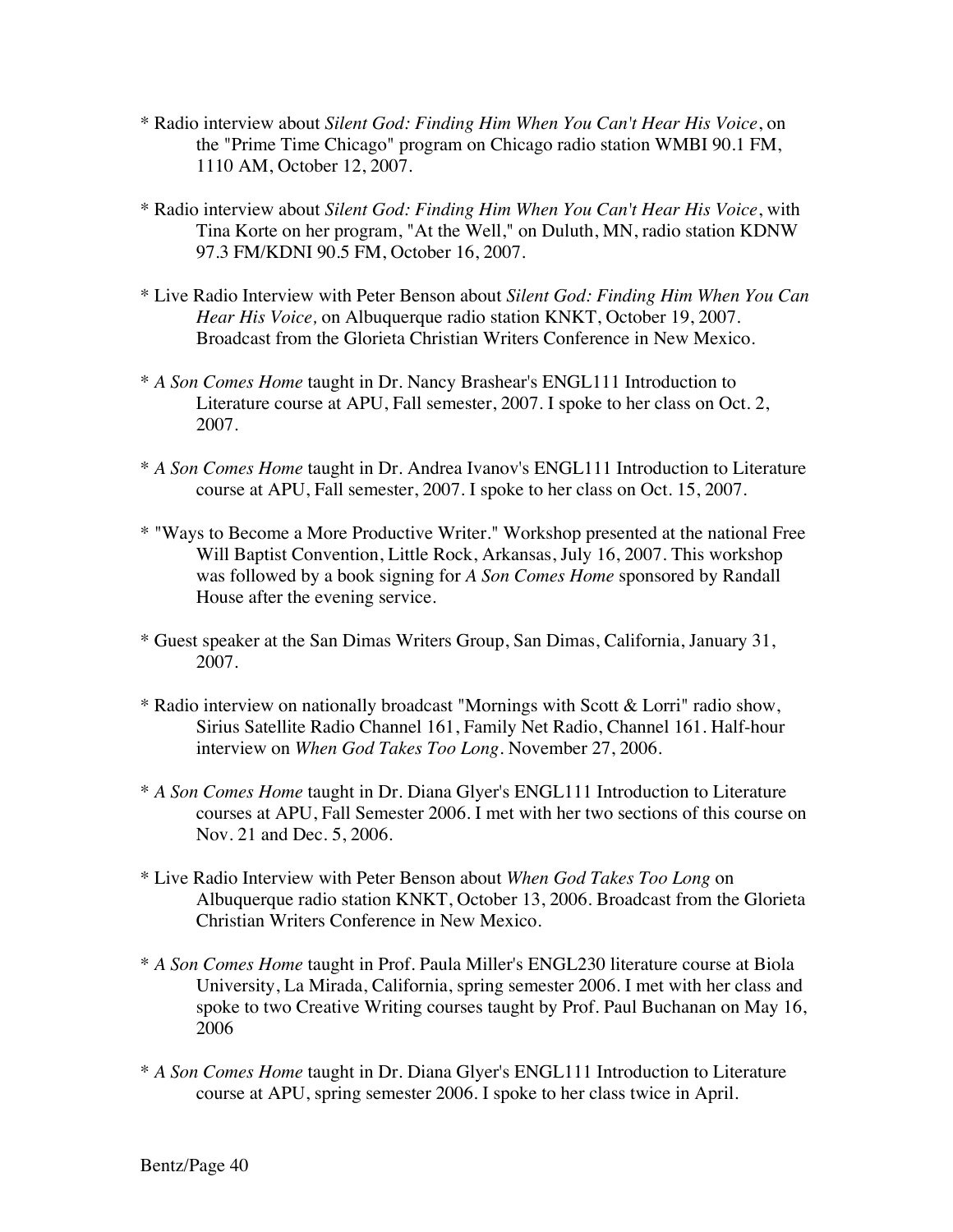- \* Radio interview about *Silent God: Finding Him When You Can't Hear His Voice*, on the "Prime Time Chicago" program on Chicago radio station WMBI 90.1 FM, 1110 AM, October 12, 2007.
- \* Radio interview about *Silent God: Finding Him When You Can't Hear His Voice*, with Tina Korte on her program, "At the Well," on Duluth, MN, radio station KDNW 97.3 FM/KDNI 90.5 FM, October 16, 2007.
- \* Live Radio Interview with Peter Benson about *Silent God: Finding Him When You Can Hear His Voice,* on Albuquerque radio station KNKT, October 19, 2007. Broadcast from the Glorieta Christian Writers Conference in New Mexico.
- \* *A Son Comes Home* taught in Dr. Nancy Brashear's ENGL111 Introduction to Literature course at APU, Fall semester, 2007. I spoke to her class on Oct. 2, 2007.
- \* *A Son Comes Home* taught in Dr. Andrea Ivanov's ENGL111 Introduction to Literature course at APU, Fall semester, 2007. I spoke to her class on Oct. 15, 2007.
- \* "Ways to Become a More Productive Writer." Workshop presented at the national Free Will Baptist Convention, Little Rock, Arkansas, July 16, 2007. This workshop was followed by a book signing for *A Son Comes Home* sponsored by Randall House after the evening service.
- \* Guest speaker at the San Dimas Writers Group, San Dimas, California, January 31, 2007.
- \* Radio interview on nationally broadcast "Mornings with Scott & Lorri" radio show, Sirius Satellite Radio Channel 161, Family Net Radio, Channel 161. Half-hour interview on *When God Takes Too Long*. November 27, 2006.
- \* *A Son Comes Home* taught in Dr. Diana Glyer's ENGL111 Introduction to Literature courses at APU, Fall Semester 2006. I met with her two sections of this course on Nov. 21 and Dec. 5, 2006.
- \* Live Radio Interview with Peter Benson about *When God Takes Too Long* on Albuquerque radio station KNKT, October 13, 2006. Broadcast from the Glorieta Christian Writers Conference in New Mexico.
- \* *A Son Comes Home* taught in Prof. Paula Miller's ENGL230 literature course at Biola University, La Mirada, California, spring semester 2006. I met with her class and spoke to two Creative Writing courses taught by Prof. Paul Buchanan on May 16, 2006
- \* *A Son Comes Home* taught in Dr. Diana Glyer's ENGL111 Introduction to Literature course at APU, spring semester 2006. I spoke to her class twice in April.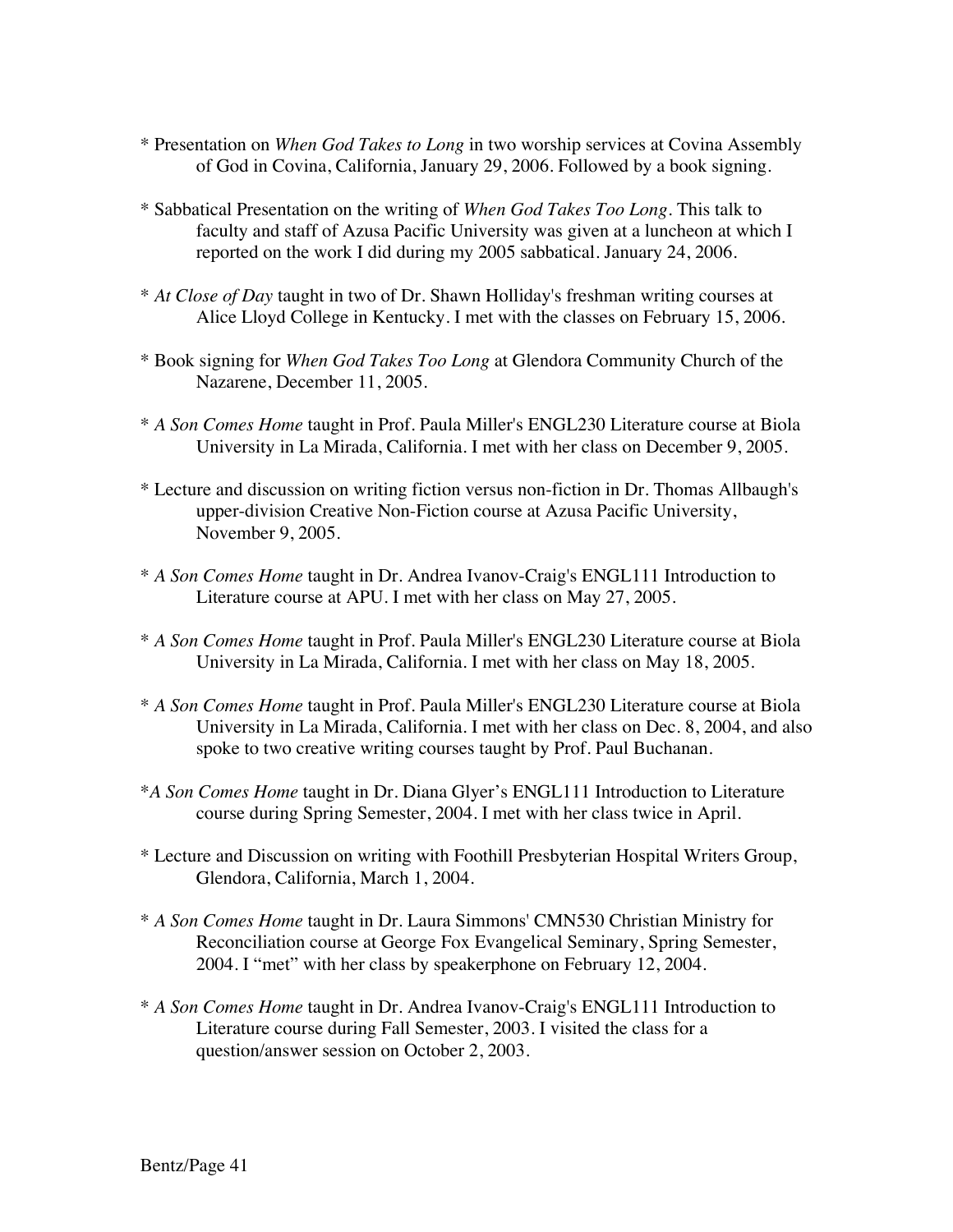- \* Presentation on *When God Takes to Long* in two worship services at Covina Assembly of God in Covina, California, January 29, 2006. Followed by a book signing.
- \* Sabbatical Presentation on the writing of *When God Takes Too Long*. This talk to faculty and staff of Azusa Pacific University was given at a luncheon at which I reported on the work I did during my 2005 sabbatical. January 24, 2006.
- \* *At Close of Day* taught in two of Dr. Shawn Holliday's freshman writing courses at Alice Lloyd College in Kentucky. I met with the classes on February 15, 2006.
- \* Book signing for *When God Takes Too Long* at Glendora Community Church of the Nazarene, December 11, 2005.
- \* *A Son Comes Home* taught in Prof. Paula Miller's ENGL230 Literature course at Biola University in La Mirada, California. I met with her class on December 9, 2005.
- \* Lecture and discussion on writing fiction versus non-fiction in Dr. Thomas Allbaugh's upper-division Creative Non-Fiction course at Azusa Pacific University, November 9, 2005.
- \* *A Son Comes Home* taught in Dr. Andrea Ivanov-Craig's ENGL111 Introduction to Literature course at APU. I met with her class on May 27, 2005.
- \* *A Son Comes Home* taught in Prof. Paula Miller's ENGL230 Literature course at Biola University in La Mirada, California. I met with her class on May 18, 2005.
- \* *A Son Comes Home* taught in Prof. Paula Miller's ENGL230 Literature course at Biola University in La Mirada, California. I met with her class on Dec. 8, 2004, and also spoke to two creative writing courses taught by Prof. Paul Buchanan.
- \**A Son Comes Home* taught in Dr. Diana Glyer's ENGL111 Introduction to Literature course during Spring Semester, 2004. I met with her class twice in April.
- \* Lecture and Discussion on writing with Foothill Presbyterian Hospital Writers Group, Glendora, California, March 1, 2004.
- \* *A Son Comes Home* taught in Dr. Laura Simmons' CMN530 Christian Ministry for Reconciliation course at George Fox Evangelical Seminary, Spring Semester, 2004. I "met" with her class by speakerphone on February 12, 2004.
- \* *A Son Comes Home* taught in Dr. Andrea Ivanov-Craig's ENGL111 Introduction to Literature course during Fall Semester, 2003. I visited the class for a question/answer session on October 2, 2003.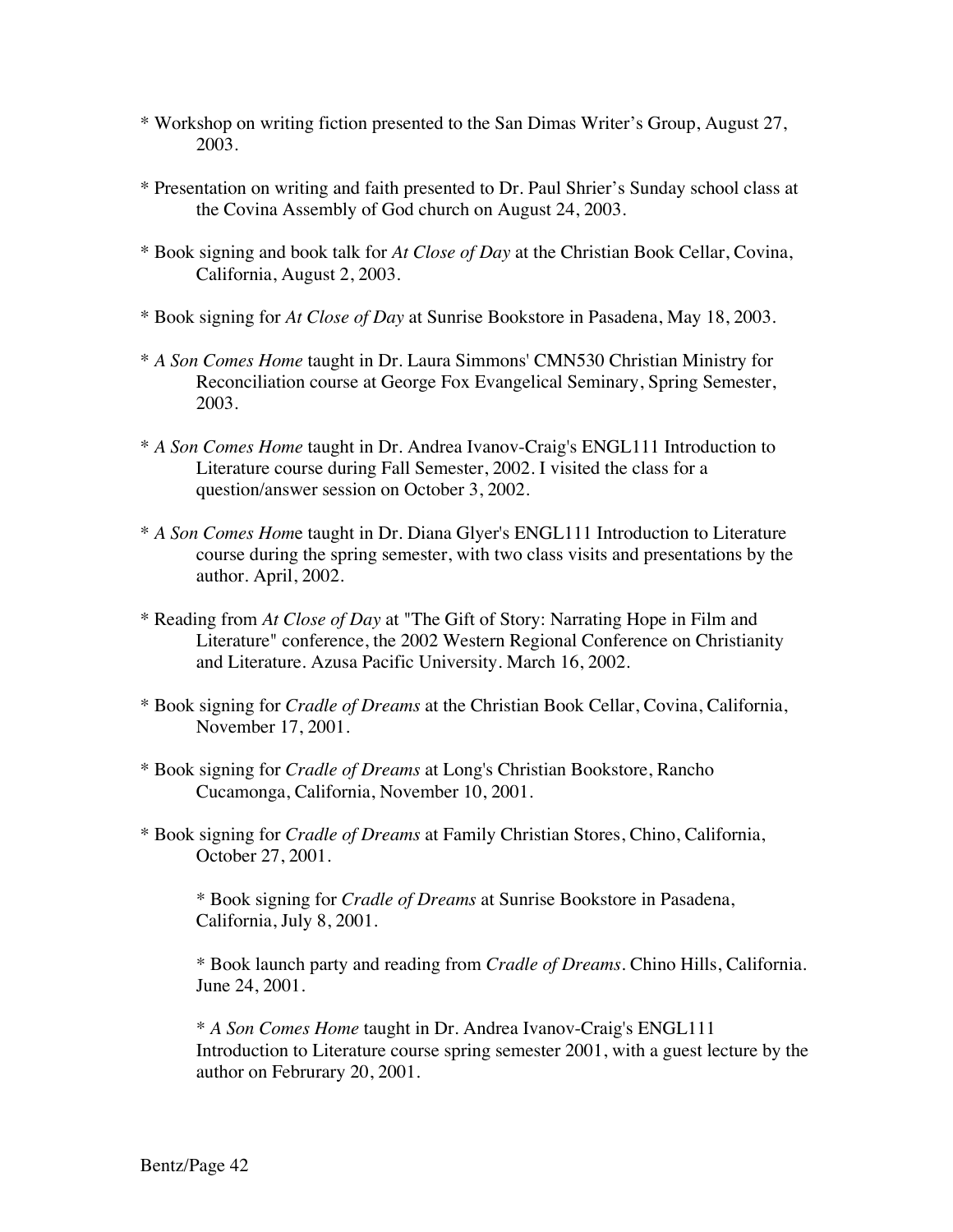- \* Workshop on writing fiction presented to the San Dimas Writer's Group, August 27, 2003.
- \* Presentation on writing and faith presented to Dr. Paul Shrier's Sunday school class at the Covina Assembly of God church on August 24, 2003.
- \* Book signing and book talk for *At Close of Day* at the Christian Book Cellar, Covina, California, August 2, 2003.
- \* Book signing for *At Close of Day* at Sunrise Bookstore in Pasadena, May 18, 2003.
- \* *A Son Comes Home* taught in Dr. Laura Simmons' CMN530 Christian Ministry for Reconciliation course at George Fox Evangelical Seminary, Spring Semester, 2003.
- \* *A Son Comes Home* taught in Dr. Andrea Ivanov-Craig's ENGL111 Introduction to Literature course during Fall Semester, 2002. I visited the class for a question/answer session on October 3, 2002.
- \* *A Son Comes Hom*e taught in Dr. Diana Glyer's ENGL111 Introduction to Literature course during the spring semester, with two class visits and presentations by the author. April, 2002.
- \* Reading from *At Close of Day* at "The Gift of Story: Narrating Hope in Film and Literature" conference, the 2002 Western Regional Conference on Christianity and Literature. Azusa Pacific University. March 16, 2002.
- \* Book signing for *Cradle of Dreams* at the Christian Book Cellar, Covina, California, November 17, 2001.
- \* Book signing for *Cradle of Dreams* at Long's Christian Bookstore, Rancho Cucamonga, California, November 10, 2001.
- \* Book signing for *Cradle of Dreams* at Family Christian Stores, Chino, California, October 27, 2001.

\* Book signing for *Cradle of Dreams* at Sunrise Bookstore in Pasadena, California, July 8, 2001.

\* Book launch party and reading from *Cradle of Dreams*. Chino Hills, California. June 24, 2001.

\* *A Son Comes Home* taught in Dr. Andrea Ivanov-Craig's ENGL111 Introduction to Literature course spring semester 2001, with a guest lecture by the author on Februrary 20, 2001.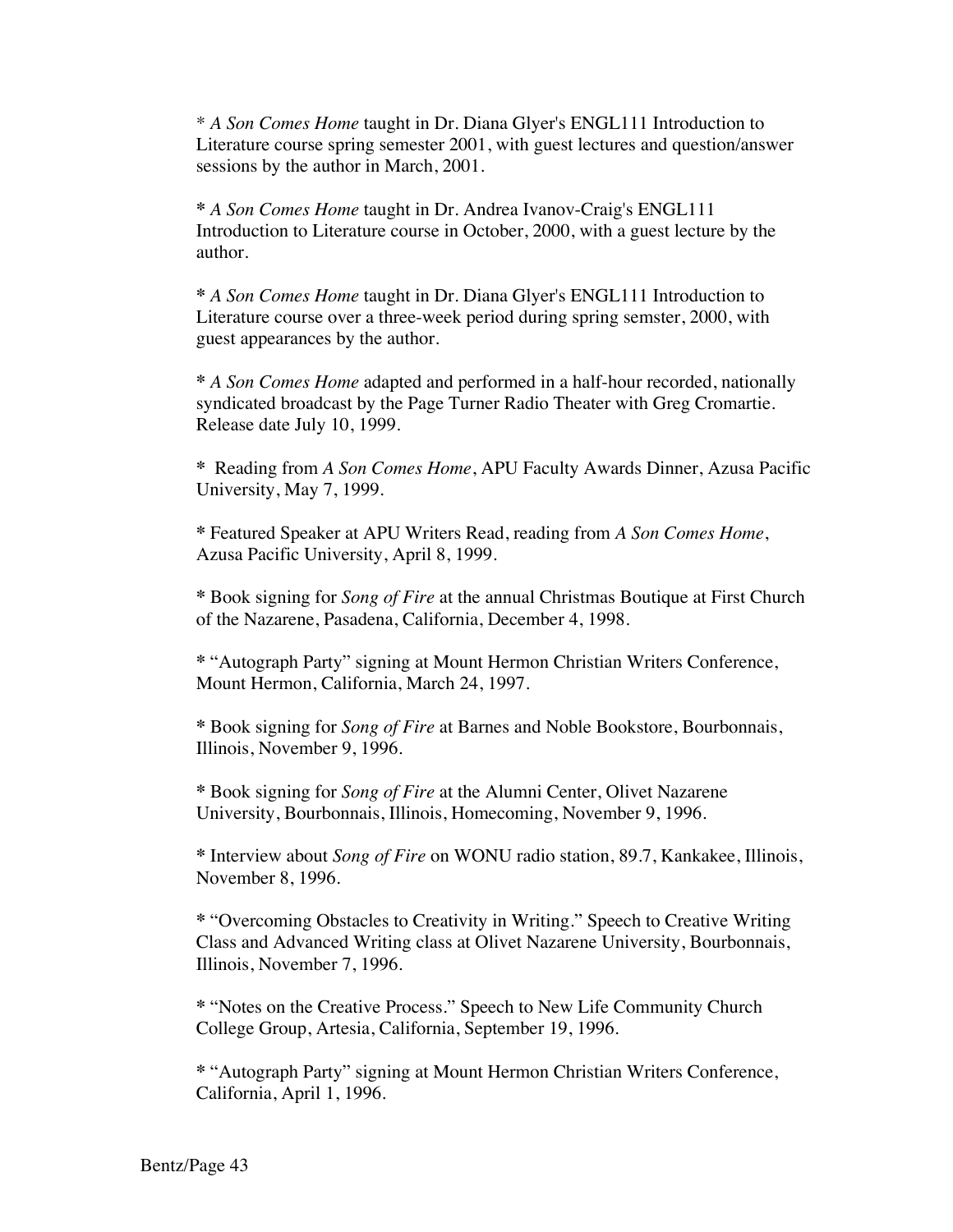\* *A Son Comes Home* taught in Dr. Diana Glyer's ENGL111 Introduction to Literature course spring semester 2001, with guest lectures and question/answer sessions by the author in March, 2001.

**\*** *A Son Comes Home* taught in Dr. Andrea Ivanov-Craig's ENGL111 Introduction to Literature course in October, 2000, with a guest lecture by the author.

**\*** *A Son Comes Home* taught in Dr. Diana Glyer's ENGL111 Introduction to Literature course over a three-week period during spring semster, 2000, with guest appearances by the author.

**\*** *A Son Comes Home* adapted and performed in a half-hour recorded, nationally syndicated broadcast by the Page Turner Radio Theater with Greg Cromartie. Release date July 10, 1999.

**\*** Reading from *A Son Comes Home*, APU Faculty Awards Dinner, Azusa Pacific University, May 7, 1999.

**\*** Featured Speaker at APU Writers Read, reading from *A Son Comes Home*, Azusa Pacific University, April 8, 1999.

**\*** Book signing for *Song of Fire* at the annual Christmas Boutique at First Church of the Nazarene, Pasadena, California, December 4, 1998.

**\*** "Autograph Party" signing at Mount Hermon Christian Writers Conference, Mount Hermon, California, March 24, 1997.

**\*** Book signing for *Song of Fire* at Barnes and Noble Bookstore, Bourbonnais, Illinois, November 9, 1996.

**\*** Book signing for *Song of Fire* at the Alumni Center, Olivet Nazarene University, Bourbonnais, Illinois, Homecoming, November 9, 1996.

**\*** Interview about *Song of Fire* on WONU radio station, 89.7, Kankakee, Illinois, November 8, 1996.

**\*** "Overcoming Obstacles to Creativity in Writing." Speech to Creative Writing Class and Advanced Writing class at Olivet Nazarene University, Bourbonnais, Illinois, November 7, 1996.

**\*** "Notes on the Creative Process." Speech to New Life Community Church College Group, Artesia, California, September 19, 1996.

**\*** "Autograph Party" signing at Mount Hermon Christian Writers Conference, California, April 1, 1996.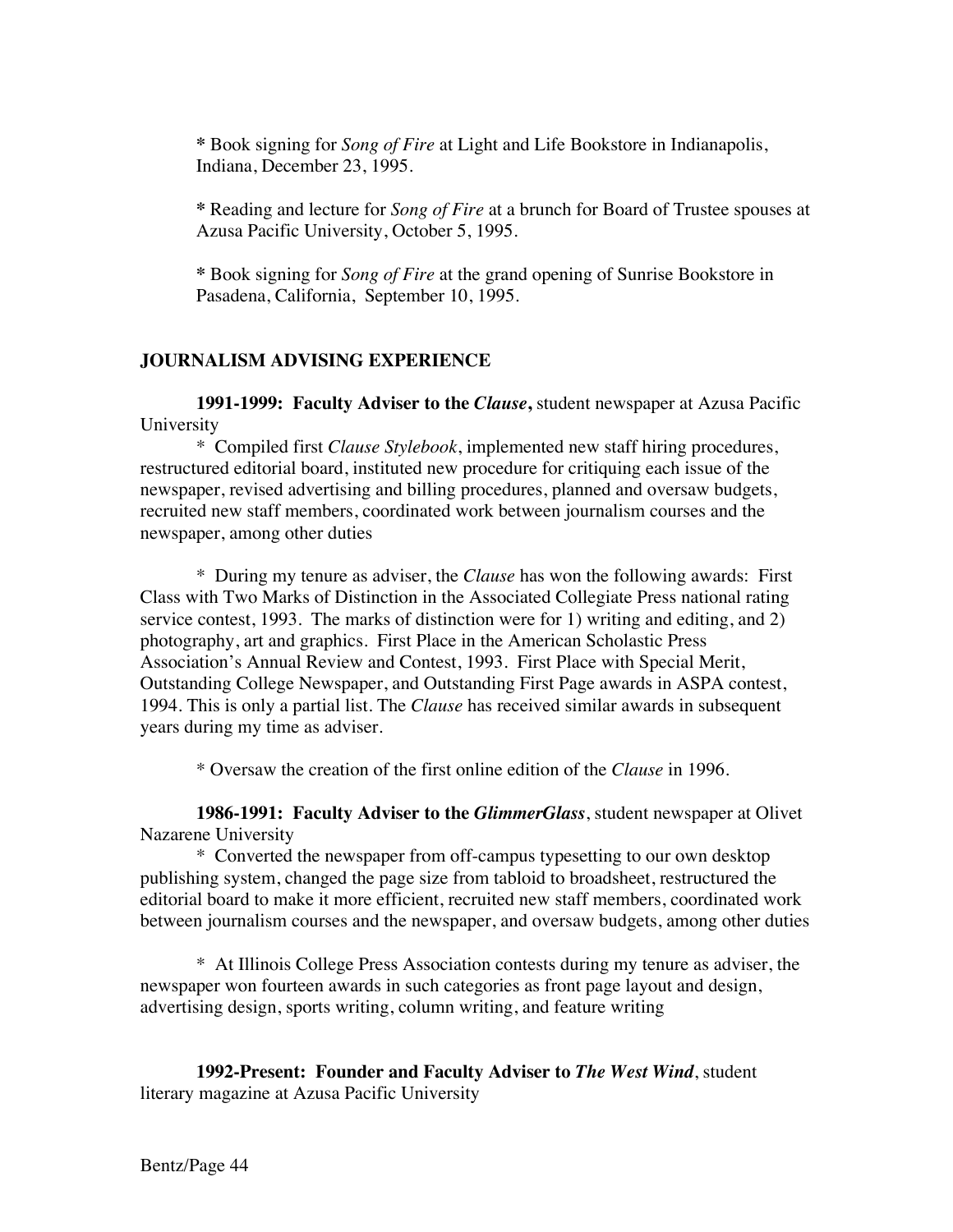**\*** Book signing for *Song of Fire* at Light and Life Bookstore in Indianapolis, Indiana, December 23, 1995.

**\*** Reading and lecture for *Song of Fire* at a brunch for Board of Trustee spouses at Azusa Pacific University, October 5, 1995.

**\*** Book signing for *Song of Fire* at the grand opening of Sunrise Bookstore in Pasadena, California, September 10, 1995.

### **JOURNALISM ADVISING EXPERIENCE**

**1991-1999: Faculty Adviser to the** *Clause***,** student newspaper at Azusa Pacific University

\* Compiled first *Clause Stylebook*, implemented new staff hiring procedures, restructured editorial board, instituted new procedure for critiquing each issue of the newspaper, revised advertising and billing procedures, planned and oversaw budgets, recruited new staff members, coordinated work between journalism courses and the newspaper, among other duties

\* During my tenure as adviser, the *Clause* has won the following awards: First Class with Two Marks of Distinction in the Associated Collegiate Press national rating service contest, 1993. The marks of distinction were for 1) writing and editing, and 2) photography, art and graphics. First Place in the American Scholastic Press Association's Annual Review and Contest, 1993. First Place with Special Merit, Outstanding College Newspaper, and Outstanding First Page awards in ASPA contest, 1994. This is only a partial list. The *Clause* has received similar awards in subsequent years during my time as adviser.

\* Oversaw the creation of the first online edition of the *Clause* in 1996.

**1986-1991: Faculty Adviser to the** *GlimmerGlass*, student newspaper at Olivet Nazarene University

\* Converted the newspaper from off-campus typesetting to our own desktop publishing system, changed the page size from tabloid to broadsheet, restructured the editorial board to make it more efficient, recruited new staff members, coordinated work between journalism courses and the newspaper, and oversaw budgets, among other duties

\* At Illinois College Press Association contests during my tenure as adviser, the newspaper won fourteen awards in such categories as front page layout and design, advertising design, sports writing, column writing, and feature writing

**1992-Present: Founder and Faculty Adviser to** *The West Wind*, student literary magazine at Azusa Pacific University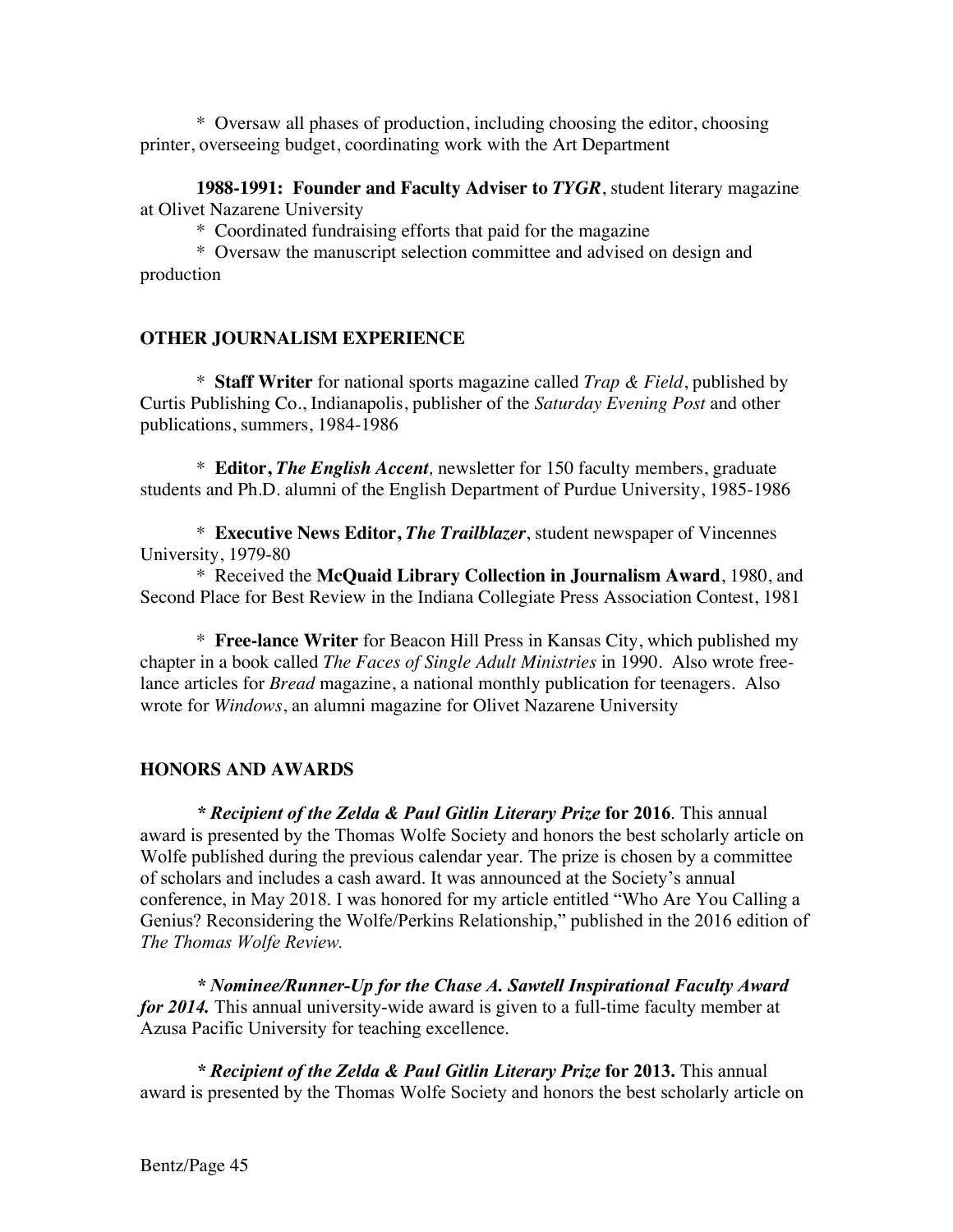\* Oversaw all phases of production, including choosing the editor, choosing printer, overseeing budget, coordinating work with the Art Department

**1988-1991: Founder and Faculty Adviser to** *TYGR*, student literary magazine at Olivet Nazarene University

\* Coordinated fundraising efforts that paid for the magazine

\* Oversaw the manuscript selection committee and advised on design and production

# **OTHER JOURNALISM EXPERIENCE**

\* **Staff Writer** for national sports magazine called *Trap & Field*, published by Curtis Publishing Co., Indianapolis, publisher of the *Saturday Evening Post* and other publications, summers, 1984-1986

\* **Editor,** *The English Accent,* newsletter for 150 faculty members, graduate students and Ph.D. alumni of the English Department of Purdue University, 1985-1986

\* **Executive News Editor,** *The Trailblazer*, student newspaper of Vincennes University, 1979-80

\* Received the **McQuaid Library Collection in Journalism Award**, 1980, and Second Place for Best Review in the Indiana Collegiate Press Association Contest, 1981

\* **Free-lance Writer** for Beacon Hill Press in Kansas City, which published my chapter in a book called *The Faces of Single Adult Ministries* in 1990. Also wrote freelance articles for *Bread* magazine, a national monthly publication for teenagers. Also wrote for *Windows*, an alumni magazine for Olivet Nazarene University

# **HONORS AND AWARDS**

*\* Recipient of the Zelda & Paul Gitlin Literary Prize* **for 2016**. This annual award is presented by the Thomas Wolfe Society and honors the best scholarly article on Wolfe published during the previous calendar year. The prize is chosen by a committee of scholars and includes a cash award. It was announced at the Society's annual conference, in May 2018. I was honored for my article entitled "Who Are You Calling a Genius? Reconsidering the Wolfe/Perkins Relationship," published in the 2016 edition of *The Thomas Wolfe Review.* 

*\* Nominee/Runner-Up for the Chase A. Sawtell Inspirational Faculty Award for 2014.* This annual university-wide award is given to a full-time faculty member at Azusa Pacific University for teaching excellence.

*\* Recipient of the Zelda & Paul Gitlin Literary Prize* **for 2013.** This annual award is presented by the Thomas Wolfe Society and honors the best scholarly article on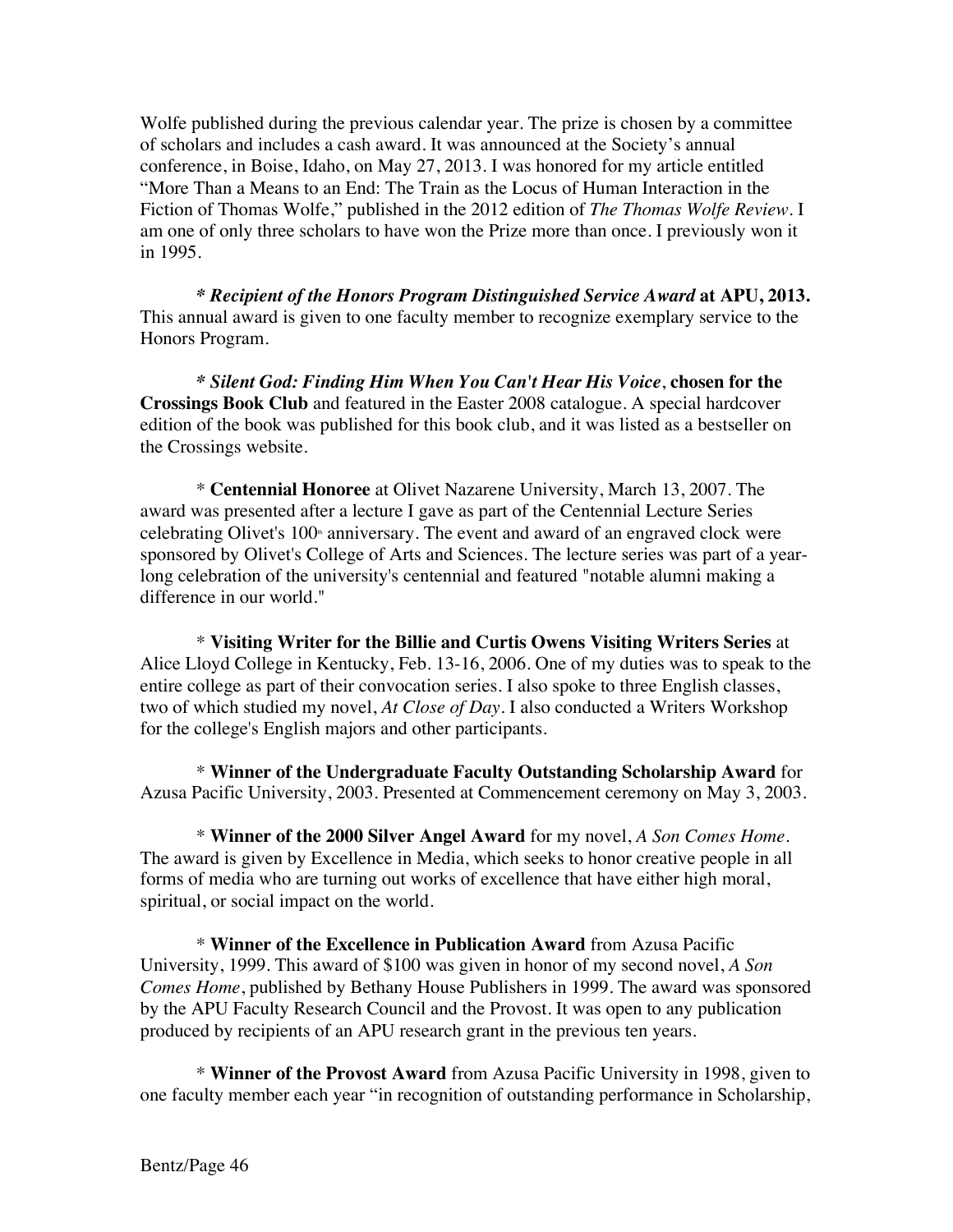Wolfe published during the previous calendar year. The prize is chosen by a committee of scholars and includes a cash award. It was announced at the Society's annual conference, in Boise, Idaho, on May 27, 2013. I was honored for my article entitled "More Than a Means to an End: The Train as the Locus of Human Interaction in the Fiction of Thomas Wolfe," published in the 2012 edition of *The Thomas Wolfe Review.* I am one of only three scholars to have won the Prize more than once. I previously won it in 1995.

*\* Recipient of the Honors Program Distinguished Service Award* **at APU, 2013.**  This annual award is given to one faculty member to recognize exemplary service to the Honors Program.

*\* Silent God: Finding Him When You Can't Hear His Voice*, **chosen for the Crossings Book Club** and featured in the Easter 2008 catalogue. A special hardcover edition of the book was published for this book club, and it was listed as a bestseller on the Crossings website.

\* **Centennial Honoree** at Olivet Nazarene University, March 13, 2007. The award was presented after a lecture I gave as part of the Centennial Lecture Series celebrating Olivet's 100<sup>th</sup> anniversary. The event and award of an engraved clock were sponsored by Olivet's College of Arts and Sciences. The lecture series was part of a yearlong celebration of the university's centennial and featured "notable alumni making a difference in our world."

\* **Visiting Writer for the Billie and Curtis Owens Visiting Writers Series** at Alice Lloyd College in Kentucky, Feb. 13-16, 2006. One of my duties was to speak to the entire college as part of their convocation series. I also spoke to three English classes, two of which studied my novel, *At Close of Day*. I also conducted a Writers Workshop for the college's English majors and other participants.

\* **Winner of the Undergraduate Faculty Outstanding Scholarship Award** for Azusa Pacific University, 2003. Presented at Commencement ceremony on May 3, 2003.

\* **Winner of the 2000 Silver Angel Award** for my novel, *A Son Comes Home*. The award is given by Excellence in Media, which seeks to honor creative people in all forms of media who are turning out works of excellence that have either high moral, spiritual, or social impact on the world.

\* **Winner of the Excellence in Publication Award** from Azusa Pacific University, 1999. This award of \$100 was given in honor of my second novel, *A Son Comes Home*, published by Bethany House Publishers in 1999. The award was sponsored by the APU Faculty Research Council and the Provost. It was open to any publication produced by recipients of an APU research grant in the previous ten years.

\* **Winner of the Provost Award** from Azusa Pacific University in 1998, given to one faculty member each year "in recognition of outstanding performance in Scholarship,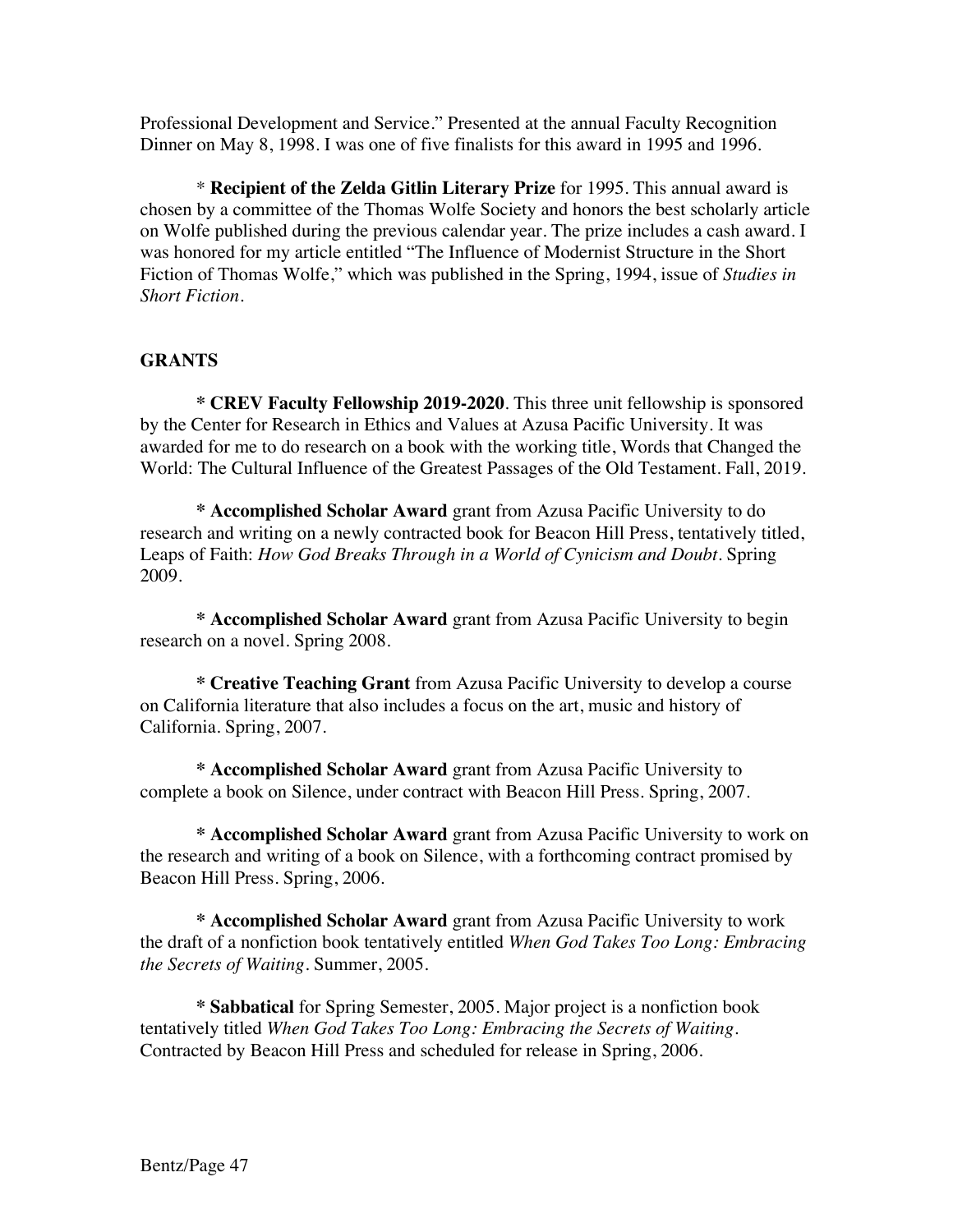Professional Development and Service." Presented at the annual Faculty Recognition Dinner on May 8, 1998. I was one of five finalists for this award in 1995 and 1996.

\* **Recipient of the Zelda Gitlin Literary Prize** for 1995. This annual award is chosen by a committee of the Thomas Wolfe Society and honors the best scholarly article on Wolfe published during the previous calendar year. The prize includes a cash award. I was honored for my article entitled "The Influence of Modernist Structure in the Short Fiction of Thomas Wolfe," which was published in the Spring, 1994, issue of *Studies in Short Fiction.*

# **GRANTS**

**\* CREV Faculty Fellowship 2019-2020**. This three unit fellowship is sponsored by the Center for Research in Ethics and Values at Azusa Pacific University. It was awarded for me to do research on a book with the working title, Words that Changed the World: The Cultural Influence of the Greatest Passages of the Old Testament. Fall, 2019.

**\* Accomplished Scholar Award** grant from Azusa Pacific University to do research and writing on a newly contracted book for Beacon Hill Press, tentatively titled, Leaps of Faith: *How God Breaks Through in a World of Cynicism and Doubt.* Spring 2009.

**\* Accomplished Scholar Award** grant from Azusa Pacific University to begin research on a novel. Spring 2008.

**\* Creative Teaching Grant** from Azusa Pacific University to develop a course on California literature that also includes a focus on the art, music and history of California. Spring, 2007.

**\* Accomplished Scholar Award** grant from Azusa Pacific University to complete a book on Silence, under contract with Beacon Hill Press. Spring, 2007.

**\* Accomplished Scholar Award** grant from Azusa Pacific University to work on the research and writing of a book on Silence, with a forthcoming contract promised by Beacon Hill Press. Spring, 2006.

**\* Accomplished Scholar Award** grant from Azusa Pacific University to work the draft of a nonfiction book tentatively entitled *When God Takes Too Long: Embracing the Secrets of Waiting*. Summer, 2005.

**\* Sabbatical** for Spring Semester, 2005. Major project is a nonfiction book tentatively titled *When God Takes Too Long: Embracing the Secrets of Waiting.* Contracted by Beacon Hill Press and scheduled for release in Spring, 2006.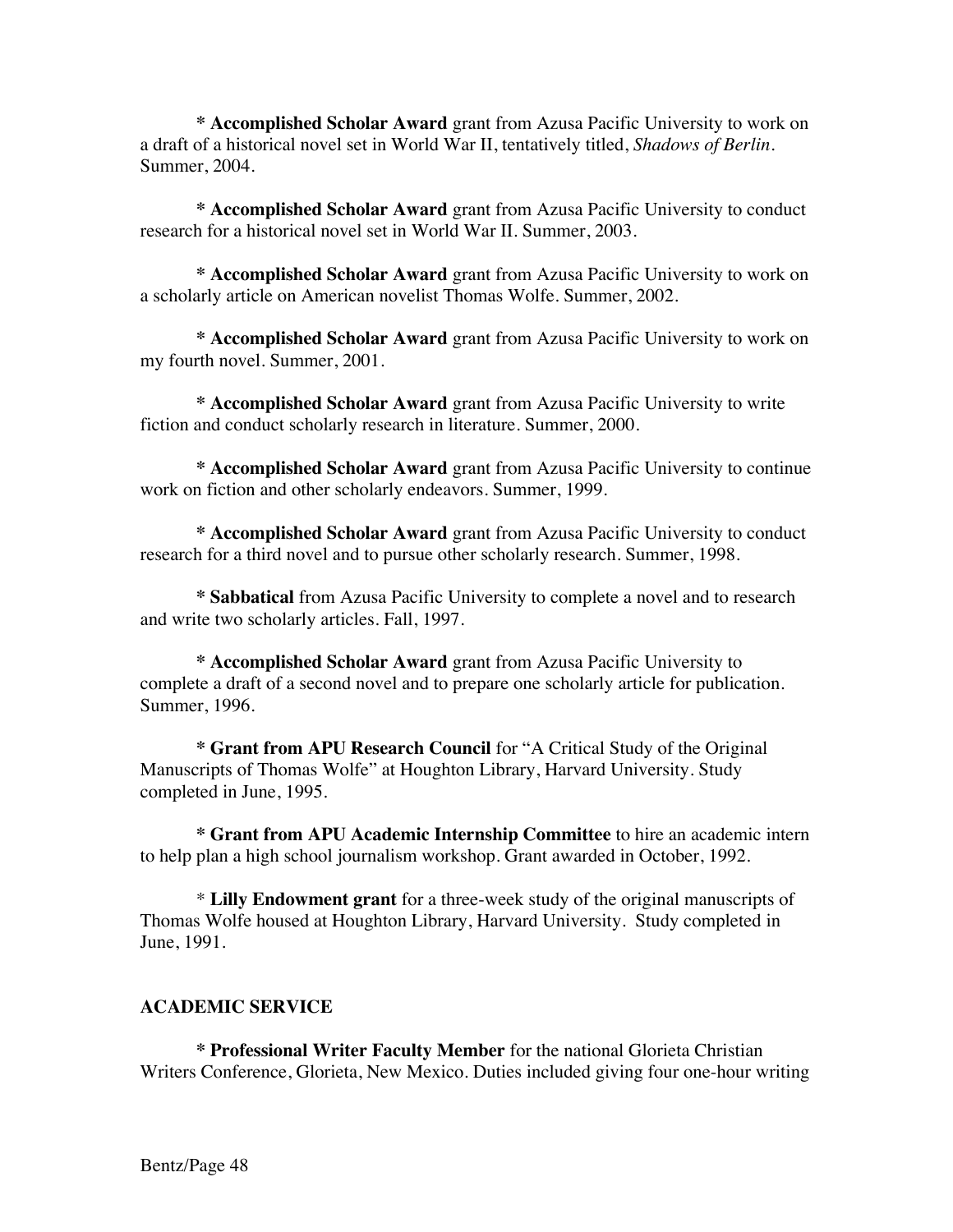**\* Accomplished Scholar Award** grant from Azusa Pacific University to work on a draft of a historical novel set in World War II, tentatively titled, *Shadows of Berlin*. Summer, 2004.

**\* Accomplished Scholar Award** grant from Azusa Pacific University to conduct research for a historical novel set in World War II. Summer, 2003.

**\* Accomplished Scholar Award** grant from Azusa Pacific University to work on a scholarly article on American novelist Thomas Wolfe. Summer, 2002.

**\* Accomplished Scholar Award** grant from Azusa Pacific University to work on my fourth novel. Summer, 2001.

**\* Accomplished Scholar Award** grant from Azusa Pacific University to write fiction and conduct scholarly research in literature. Summer, 2000.

**\* Accomplished Scholar Award** grant from Azusa Pacific University to continue work on fiction and other scholarly endeavors. Summer, 1999.

**\* Accomplished Scholar Award** grant from Azusa Pacific University to conduct research for a third novel and to pursue other scholarly research. Summer, 1998.

**\* Sabbatical** from Azusa Pacific University to complete a novel and to research and write two scholarly articles. Fall, 1997.

**\* Accomplished Scholar Award** grant from Azusa Pacific University to complete a draft of a second novel and to prepare one scholarly article for publication. Summer, 1996.

**\* Grant from APU Research Council** for "A Critical Study of the Original Manuscripts of Thomas Wolfe" at Houghton Library, Harvard University. Study completed in June, 1995.

**\* Grant from APU Academic Internship Committee** to hire an academic intern to help plan a high school journalism workshop. Grant awarded in October, 1992.

\* **Lilly Endowment grant** for a three-week study of the original manuscripts of Thomas Wolfe housed at Houghton Library, Harvard University. Study completed in June, 1991.

# **ACADEMIC SERVICE**

**\* Professional Writer Faculty Member** for the national Glorieta Christian Writers Conference, Glorieta, New Mexico. Duties included giving four one-hour writing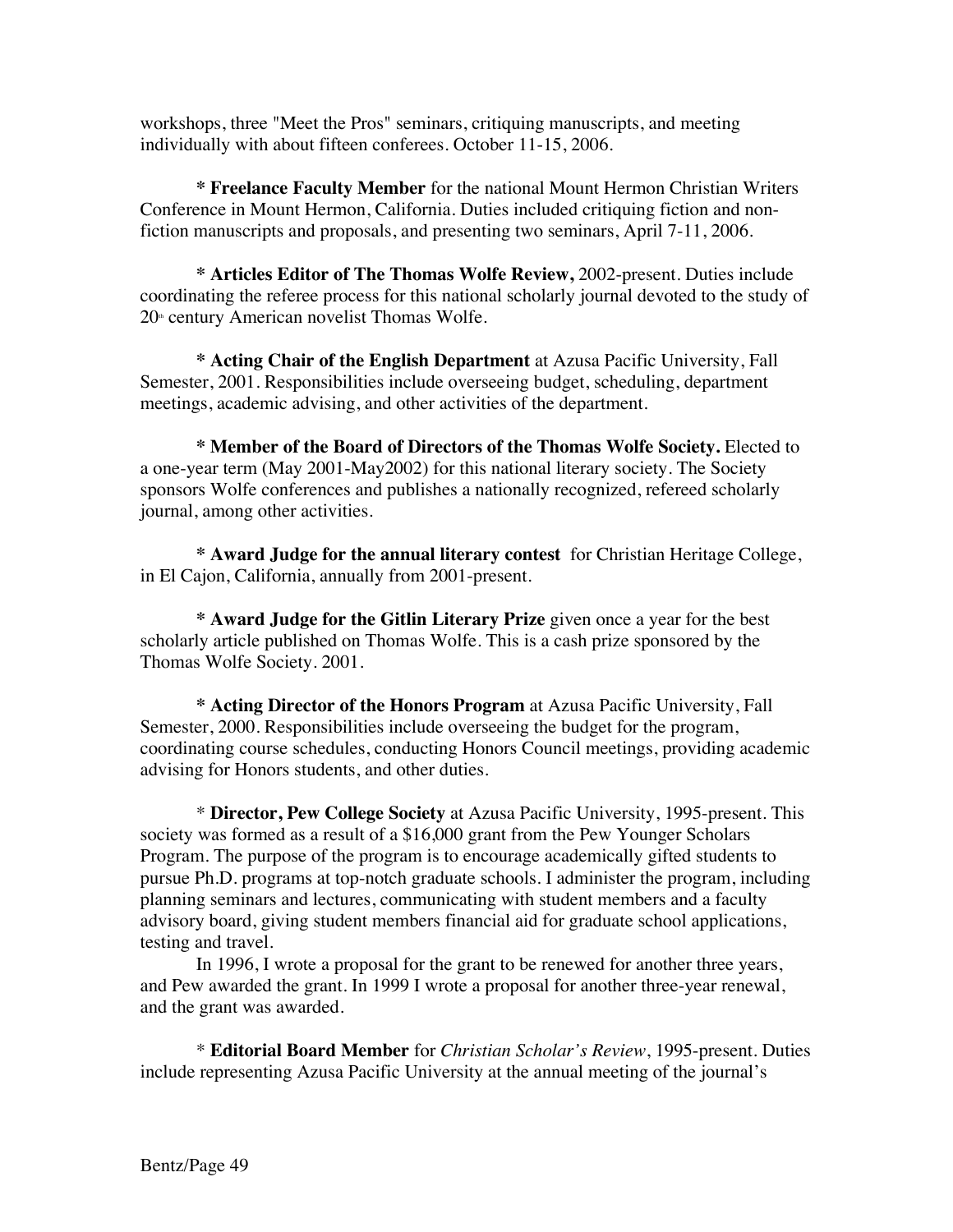workshops, three "Meet the Pros" seminars, critiquing manuscripts, and meeting individually with about fifteen conferees. October 11-15, 2006.

**\* Freelance Faculty Member** for the national Mount Hermon Christian Writers Conference in Mount Hermon, California. Duties included critiquing fiction and nonfiction manuscripts and proposals, and presenting two seminars, April 7-11, 2006.

**\* Articles Editor of The Thomas Wolfe Review,** 2002-present. Duties include coordinating the referee process for this national scholarly journal devoted to the study of  $20<sup>th</sup>$  century American novelist Thomas Wolfe.

**\* Acting Chair of the English Department** at Azusa Pacific University, Fall Semester, 2001. Responsibilities include overseeing budget, scheduling, department meetings, academic advising, and other activities of the department.

**\* Member of the Board of Directors of the Thomas Wolfe Society.** Elected to a one-year term (May 2001-May2002) for this national literary society. The Society sponsors Wolfe conferences and publishes a nationally recognized, refereed scholarly journal, among other activities.

**\* Award Judge for the annual literary contest** for Christian Heritage College, in El Cajon, California, annually from 2001-present.

**\* Award Judge for the Gitlin Literary Prize** given once a year for the best scholarly article published on Thomas Wolfe. This is a cash prize sponsored by the Thomas Wolfe Society. 2001.

**\* Acting Director of the Honors Program** at Azusa Pacific University, Fall Semester, 2000. Responsibilities include overseeing the budget for the program, coordinating course schedules, conducting Honors Council meetings, providing academic advising for Honors students, and other duties.

\* **Director, Pew College Society** at Azusa Pacific University, 1995-present. This society was formed as a result of a \$16,000 grant from the Pew Younger Scholars Program. The purpose of the program is to encourage academically gifted students to pursue Ph.D. programs at top-notch graduate schools. I administer the program, including planning seminars and lectures, communicating with student members and a faculty advisory board, giving student members financial aid for graduate school applications, testing and travel.

In 1996, I wrote a proposal for the grant to be renewed for another three years, and Pew awarded the grant. In 1999 I wrote a proposal for another three-year renewal, and the grant was awarded.

\* **Editorial Board Member** for *Christian Scholar's Review*, 1995-present. Duties include representing Azusa Pacific University at the annual meeting of the journal's